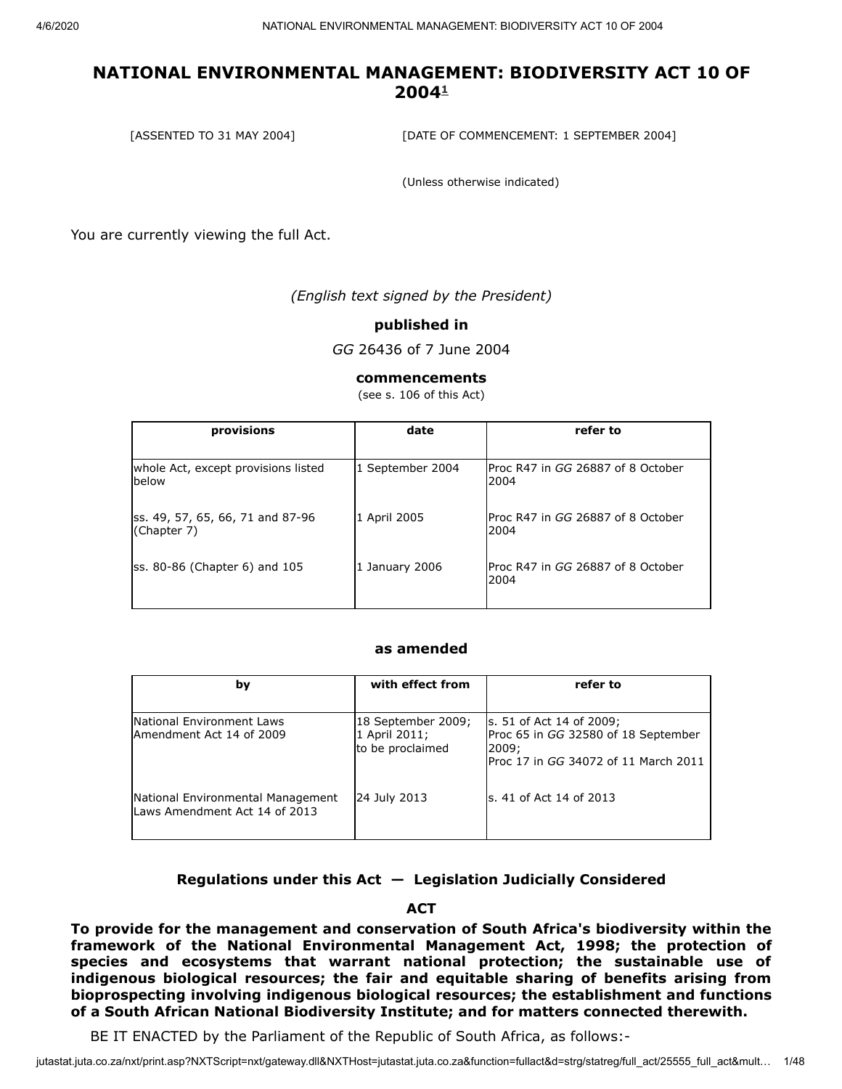[ASSENTED TO 31 MAY 2004] [DATE OF COMMENCEMENT: 1 SEPTEMBER 2004]

(Unless otherwise indicated)

You are currently viewing the full Act.

*(English text signed by the President)*

#### **published in**

*GG* 26436 of 7 June 2004

#### **commencements**

(see s. 106 of this Act)

| provisions                                      | date             | refer to                                          |
|-------------------------------------------------|------------------|---------------------------------------------------|
| whole Act, except provisions listed<br>below    | 1 September 2004 | lProc R47 in <i>GG</i> 26887 of 8 October<br>2004 |
| ss. 49, 57, 65, 66, 71 and 87-96<br>(Chapter 7) | 1 April 2005     | Proc R47 in GG 26887 of 8 October<br>2004         |
| $\textsf{ss. 80-86}$ (Chapter 6) and 105        | 1 January 2006   | lProc R47 in <i>GG</i> 26887 of 8 October<br>2004 |

#### **as amended**

| by                                                                 | with effect from                                        | refer to                                                                                                         |
|--------------------------------------------------------------------|---------------------------------------------------------|------------------------------------------------------------------------------------------------------------------|
|                                                                    |                                                         |                                                                                                                  |
| National Environment Laws<br>Amendment Act 14 of 2009              | 18 September 2009;<br>1 April 2011;<br>to be proclaimed | s. 51 of Act 14 of 2009;<br>Proc 65 in GG 32580 of 18 September<br>2009;<br>Proc 17 in GG 34072 of 11 March 2011 |
| National Environmental Management<br>Laws Amendment Act 14 of 2013 | 24 July 2013                                            | ls. 41 of Act 14 of 2013                                                                                         |

#### **Regulations under this Act — Legislation Judicially Considered**

#### **ACT**

**To provide for the management and conservation of South Africa's biodiversity within the framework of the National Environmental Management Act, 1998; the protection of species and ecosystems that warrant national protection; the sustainable use of indigenous biological resources; the fair and equitable sharing of benefits arising from bioprospecting involving indigenous biological resources; the establishment and functions of a South African National Biodiversity Institute; and for matters connected therewith.**

BE IT ENACTED by the Parliament of the Republic of South Africa, as follows:-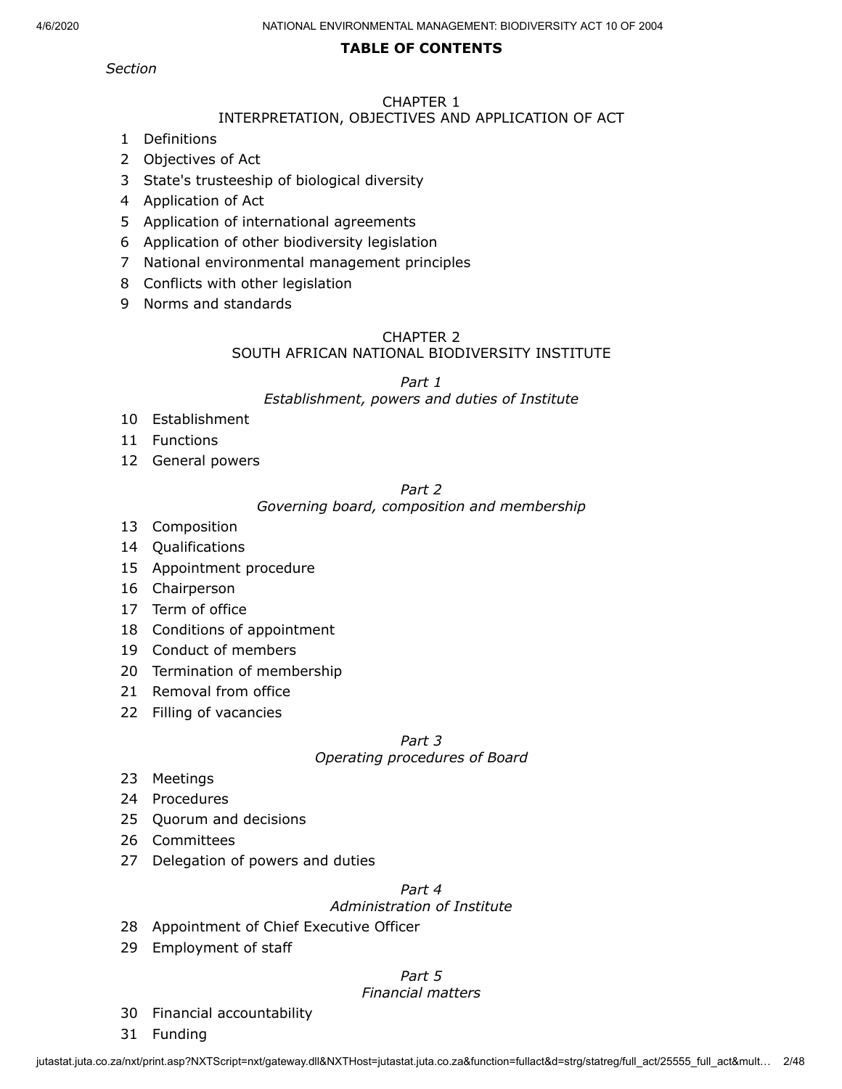### **TABLE OF CONTENTS**

*Section*

# CHAPTER 1

# INTERPRETATION, OBJECTIVES AND APPLICATION OF ACT

- Definitions
- Objectives of Act
- State's trusteeship of biological diversity
- Application of Act
- Application of international agreements
- Application of other biodiversity legislation
- National environmental management principles
- Conflicts with other legislation
- Norms and standards

#### CHAPTER 2

#### SOUTH AFRICAN NATIONAL BIODIVERSITY INSTITUTE

*Part 1*

#### *Establishment, powers and duties of Institute*

- Establishment
- Functions
- General powers

#### *Part 2*

#### *Governing board, composition and membership*

- Composition
- Qualifications
- Appointment procedure
- Chairperson
- Term of office
- Conditions of appointment
- Conduct of members
- Termination of membership
- Removal from office
- Filling of vacancies

# *Part 3*

# *Operating procedures of Board*

- Meetings
- Procedures
- Quorum and decisions
- Committees
- Delegation of powers and duties

# *Part 4*

# *Administration of Institute*

- Appointment of Chief Executive Officer
- Employment of staff

# *Part 5*

### *Financial matters*

- Financial accountability
- Funding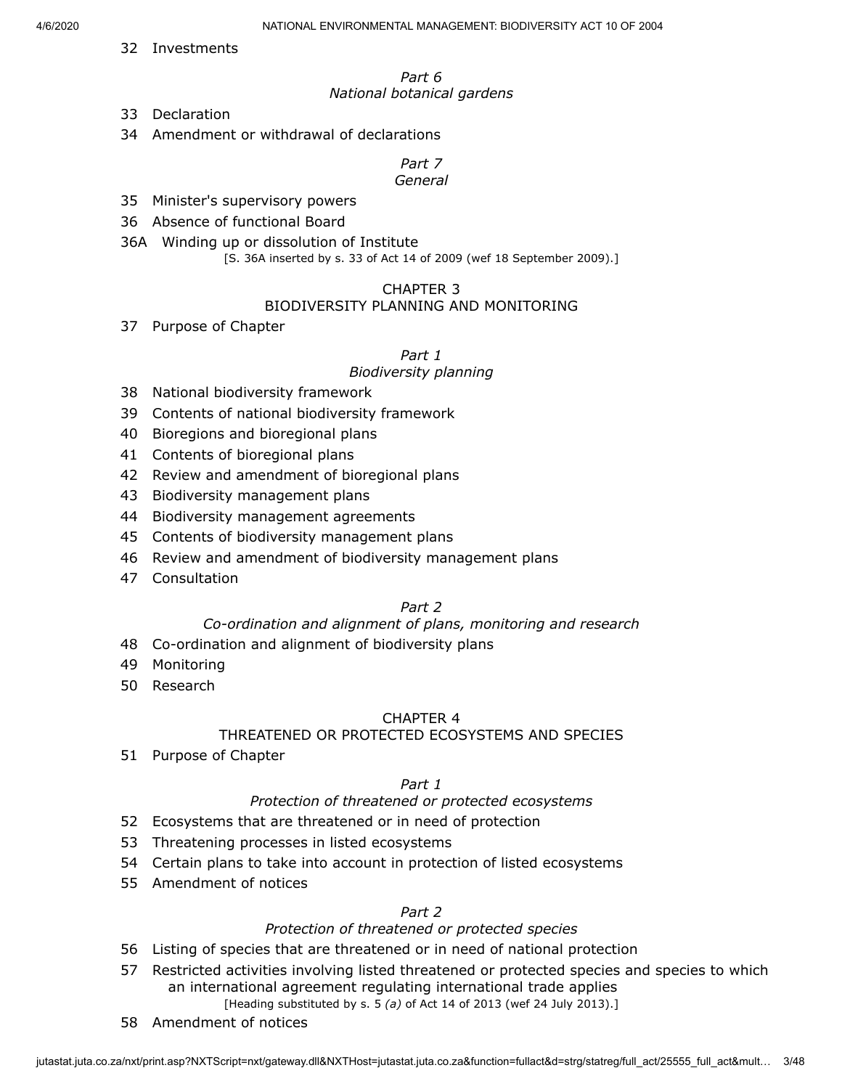32 Investments

#### *Part 6 National botanical gardens*

- 33 Declaration
- 34 Amendment or withdrawal of declarations

*Part 7 General*

- 35 Minister's supervisory powers
- 36 Absence of functional Board
- 36A Winding up or dissolution of Institute

[S. 36A inserted by s. 33 of Act 14 of 2009 (wef 18 September 2009).]

# CHAPTER 3

### BIODIVERSITY PLANNING AND MONITORING

37 Purpose of Chapter

### *Part 1*

### *Biodiversity planning*

- 38 National biodiversity framework
- 39 Contents of national biodiversity framework
- 40 Bioregions and bioregional plans
- 41 Contents of bioregional plans
- 42 Review and amendment of bioregional plans
- 43 Biodiversity management plans
- 44 Biodiversity management agreements
- 45 Contents of biodiversity management plans
- 46 Review and amendment of biodiversity management plans
- 47 Consultation

# *Part 2*

### *Co-ordination and alignment of plans, monitoring and research*

- 48 Co-ordination and alignment of biodiversity plans
- 49 Monitoring
- 50 Research

### CHAPTER 4

### THREATENED OR PROTECTED ECOSYSTEMS AND SPECIES

51 Purpose of Chapter

### *Part 1*

### *Protection of threatened or protected ecosystems*

- 52 Ecosystems that are threatened or in need of protection
- 53 Threatening processes in listed ecosystems
- 54 Certain plans to take into account in protection of listed ecosystems
- 55 Amendment of notices

# *Part 2*

# *Protection of threatened or protected species*

- 56 Listing of species that are threatened or in need of national protection
- 57 Restricted activities involving listed threatened or protected species and species to which an international agreement regulating international trade applies [Heading substituted by s. 5 *(a)* of Act 14 of 2013 (wef 24 July 2013).]
- 58 Amendment of notices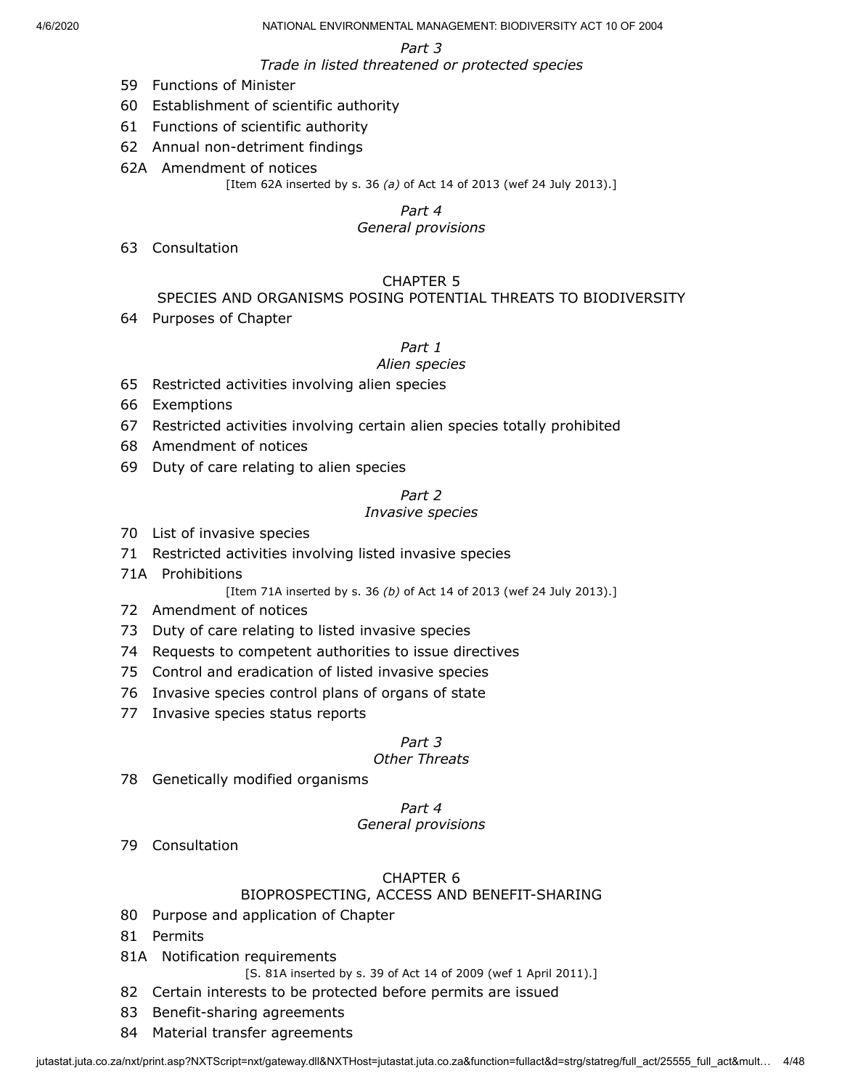*Part 3*

*Trade in listed threatened or protected species*

- 59 Functions of Minister
- 60 Establishment of scientific authority
- 61 Functions of scientific authority
- 62 Annual non-detriment findings
- 62A Amendment of notices

[Item 62A inserted by s. 36 *(a)* of Act 14 of 2013 (wef 24 July 2013).]

# *Part 4*

### *General provisions*

63 Consultation

# CHAPTER 5

# SPECIES AND ORGANISMS POSING POTENTIAL THREATS TO BIODIVERSITY

64 Purposes of Chapter

*Part 1*

### *Alien species*

- 65 Restricted activities involving alien species
- 66 Exemptions
- 67 Restricted activities involving certain alien species totally prohibited
- 68 Amendment of notices
- 69 Duty of care relating to alien species

### *Part 2*

### *Invasive species*

- 70 List of invasive species
- 71 Restricted activities involving listed invasive species
- 71A Prohibitions

[Item 71A inserted by s. 36 *(b)* of Act 14 of 2013 (wef 24 July 2013).]

- 72 Amendment of notices
- 73 Duty of care relating to listed invasive species
- 74 Requests to competent authorities to issue directives
- 75 Control and eradication of listed invasive species
- 76 Invasive species control plans of organs of state
- 77 Invasive species status reports

### *Part 3*

# *Other Threats*

78 Genetically modified organisms

# *Part 4*

# *General provisions*

79 Consultation

# CHAPTER 6

# BIOPROSPECTING, ACCESS AND BENEFIT-SHARING

- 80 Purpose and application of Chapter
- 81 Permits
- 81A Notification requirements
	- [S. 81A inserted by s. 39 of Act 14 of 2009 (wef 1 April 2011).]
- 82 Certain interests to be protected before permits are issued
- 83 Benefit-sharing agreements
- 84 Material transfer agreements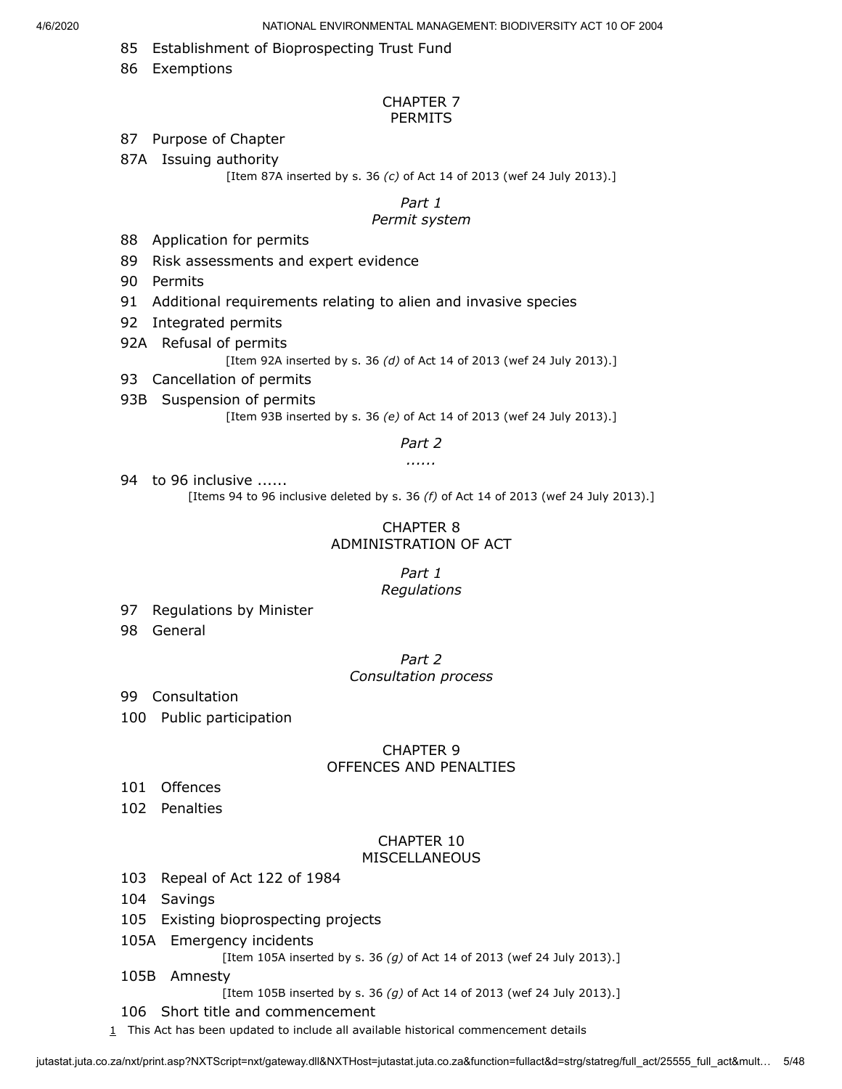- 85 Establishment of Bioprospecting Trust Fund
- 86 Exemptions

#### CHAPTER 7 PERMITS

#### 87 Purpose of Chapter

- 87A Issuing authority
	- [Item 87A inserted by s. 36 *(c)* of Act 14 of 2013 (wef 24 July 2013).]

# *Part 1*

# *Permit system*

- 88 Application for permits
- 89 Risk assessments and expert evidence
- 90 Permits
- 91 Additional requirements relating to alien and invasive species
- 92 Integrated permits
- 92A Refusal of permits
	- [Item 92A inserted by s. 36 *(d)* of Act 14 of 2013 (wef 24 July 2013).]
- 93 Cancellation of permits
- 93B Suspension of permits

[Item 93B inserted by s. 36 *(e)* of Act 14 of 2013 (wef 24 July 2013).]

#### *Part 2*

*......*

94 to 96 inclusive ...... [Items 94 to 96 inclusive deleted by s. 36 *(f)* of Act 14 of 2013 (wef 24 July 2013).]

#### CHAPTER 8 ADMINISTRATION OF ACT

#### *Part 1 Regulations*

- 97 Regulations by Minister
- 98 General

*Part 2 Consultation process*

- 99 Consultation
- 100 Public participation

#### CHAPTER 9 OFFENCES AND PENALTIES

- 101 Offences
- 102 Penalties

#### CHAPTER 10 MISCELLANEOUS

- 103 Repeal of Act 122 of 1984
- 104 Savings
- 105 Existing bioprospecting projects
- 105A Emergency incidents

[Item 105A inserted by s. 36 *(g)* of Act 14 of 2013 (wef 24 July 2013).]

- 105B Amnesty
	- [Item 105B inserted by s. 36 *(g)* of Act 14 of 2013 (wef 24 July 2013).]
- 106 Short title and commencement
- <span id="page-4-0"></span> $1$  This Act has been updated to include all available historical commencement details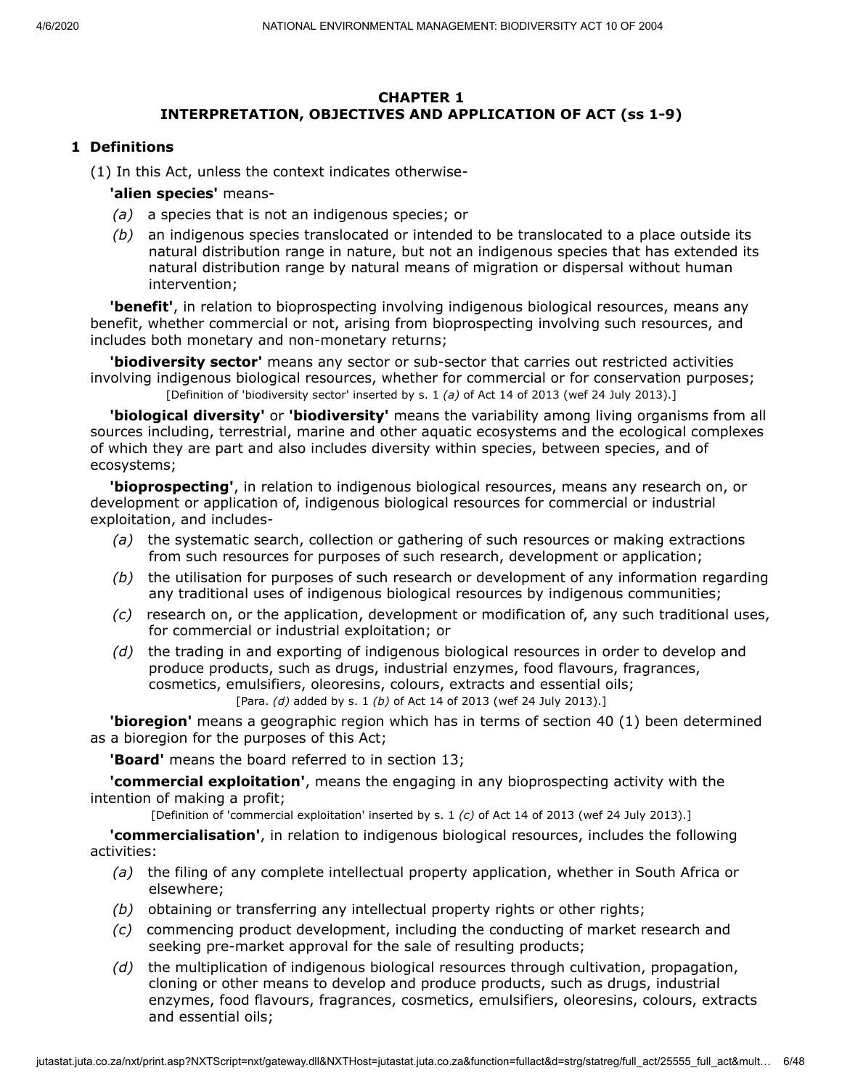### **CHAPTER 1 INTERPRETATION, OBJECTIVES AND APPLICATION OF ACT (ss 1-9)**

# **1 Definitions**

(1) In this Act, unless the context indicates otherwise-

**'alien species'** means-

- *(a)* a species that is not an indigenous species; or
- *(b)* an indigenous species translocated or intended to be translocated to a place outside its natural distribution range in nature, but not an indigenous species that has extended its natural distribution range by natural means of migration or dispersal without human intervention;

**'benefit'**, in relation to bioprospecting involving indigenous biological resources, means any benefit, whether commercial or not, arising from bioprospecting involving such resources, and includes both monetary and non-monetary returns;

**'biodiversity sector'** means any sector or sub-sector that carries out restricted activities involving indigenous biological resources, whether for commercial or for conservation purposes; [Definition of 'biodiversity sector' inserted by s. 1 *(a)* of Act 14 of 2013 (wef 24 July 2013).]

**'biological diversity'** or **'biodiversity'** means the variability among living organisms from all sources including, terrestrial, marine and other aquatic ecosystems and the ecological complexes of which they are part and also includes diversity within species, between species, and of ecosystems;

**'bioprospecting'**, in relation to indigenous biological resources, means any research on, or development or application of, indigenous biological resources for commercial or industrial exploitation, and includes-

- *(a)* the systematic search, collection or gathering of such resources or making extractions from such resources for purposes of such research, development or application;
- *(b)* the utilisation for purposes of such research or development of any information regarding any traditional uses of indigenous biological resources by indigenous communities;
- *(c)* research on, or the application, development or modification of, any such traditional uses, for commercial or industrial exploitation; or
- *(d)* the trading in and exporting of indigenous biological resources in order to develop and produce products, such as drugs, industrial enzymes, food flavours, fragrances, cosmetics, emulsifiers, oleoresins, colours, extracts and essential oils; [Para. *(d)* added by s. 1 *(b)* of Act 14 of 2013 (wef 24 July 2013).]

**'bioregion'** means a geographic region which has in terms of section 40 (1) been determined as a bioregion for the purposes of this Act;

**'Board'** means the board referred to in section 13;

**'commercial exploitation'**, means the engaging in any bioprospecting activity with the intention of making a profit;

[Definition of 'commercial exploitation' inserted by s. 1 *(c)* of Act 14 of 2013 (wef 24 July 2013).]

**'commercialisation'**, in relation to indigenous biological resources, includes the following activities:

- *(a)* the filing of any complete intellectual property application, whether in South Africa or elsewhere;
- *(b)* obtaining or transferring any intellectual property rights or other rights;
- *(c)* commencing product development, including the conducting of market research and seeking pre-market approval for the sale of resulting products;
- *(d)* the multiplication of indigenous biological resources through cultivation, propagation, cloning or other means to develop and produce products, such as drugs, industrial enzymes, food flavours, fragrances, cosmetics, emulsifiers, oleoresins, colours, extracts and essential oils;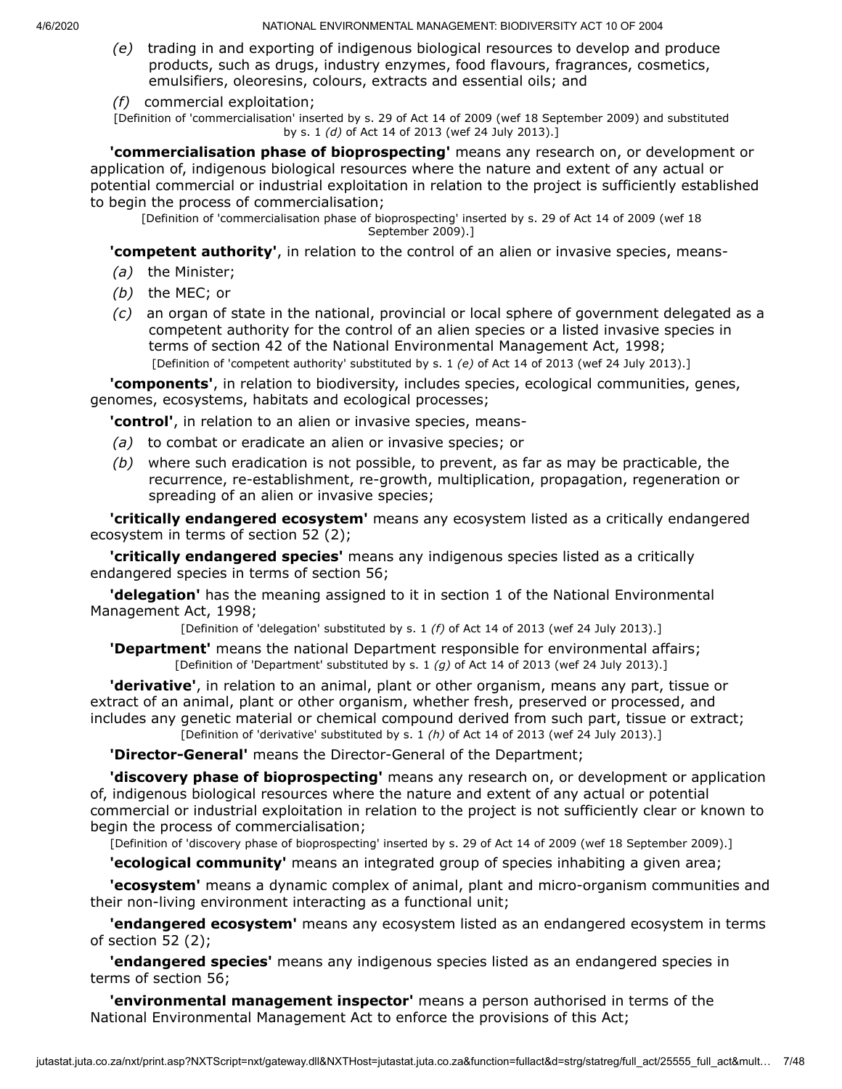- *(e)* trading in and exporting of indigenous biological resources to develop and produce products, such as drugs, industry enzymes, food flavours, fragrances, cosmetics, emulsifiers, oleoresins, colours, extracts and essential oils; and
- *(f)* commercial exploitation;

[Definition of 'commercialisation' inserted by s. 29 of Act 14 of 2009 (wef 18 September 2009) and substituted by s. 1 *(d)* of Act 14 of 2013 (wef 24 July 2013).]

**'commercialisation phase of bioprospecting'** means any research on, or development or application of, indigenous biological resources where the nature and extent of any actual or potential commercial or industrial exploitation in relation to the project is sufficiently established to begin the process of commercialisation;

[Definition of 'commercialisation phase of bioprospecting' inserted by s. 29 of Act 14 of 2009 (wef 18 September 2009).]

**'competent authority'**, in relation to the control of an alien or invasive species, means-

- *(a)* the Minister;
- *(b)* the MEC; or
- *(c)* an organ of state in the national, provincial or local sphere of government delegated as a competent authority for the control of an alien species or a listed invasive species in terms of section 42 of the National Environmental Management Act, 1998; [Definition of 'competent authority' substituted by s. 1 *(e)* of Act 14 of 2013 (wef 24 July 2013).]

**'components'**, in relation to biodiversity, includes species, ecological communities, genes, genomes, ecosystems, habitats and ecological processes;

**'control'**, in relation to an alien or invasive species, means-

- *(a)* to combat or eradicate an alien or invasive species; or
- *(b)* where such eradication is not possible, to prevent, as far as may be practicable, the recurrence, re-establishment, re-growth, multiplication, propagation, regeneration or spreading of an alien or invasive species;

**'critically endangered ecosystem'** means any ecosystem listed as a critically endangered ecosystem in terms of section 52 (2);

**'critically endangered species'** means any indigenous species listed as a critically endangered species in terms of section 56;

**'delegation'** has the meaning assigned to it in section 1 of the National Environmental Management Act, 1998;

[Definition of 'delegation' substituted by s. 1 *(f)* of Act 14 of 2013 (wef 24 July 2013).]

**'Department'** means the national Department responsible for environmental affairs; [Definition of 'Department' substituted by s. 1 *(g)* of Act 14 of 2013 (wef 24 July 2013).]

**'derivative'**, in relation to an animal, plant or other organism, means any part, tissue or extract of an animal, plant or other organism, whether fresh, preserved or processed, and includes any genetic material or chemical compound derived from such part, tissue or extract; [Definition of 'derivative' substituted by s. 1 *(h)* of Act 14 of 2013 (wef 24 July 2013).]

**'Director-General'** means the Director-General of the Department;

**'discovery phase of bioprospecting'** means any research on, or development or application of, indigenous biological resources where the nature and extent of any actual or potential commercial or industrial exploitation in relation to the project is not sufficiently clear or known to begin the process of commercialisation;

[Definition of 'discovery phase of bioprospecting' inserted by s. 29 of Act 14 of 2009 (wef 18 September 2009).]

**'ecological community'** means an integrated group of species inhabiting a given area;

**'ecosystem'** means a dynamic complex of animal, plant and micro-organism communities and their non-living environment interacting as a functional unit;

**'endangered ecosystem'** means any ecosystem listed as an endangered ecosystem in terms of section  $52(2)$ ;

**'endangered species'** means any indigenous species listed as an endangered species in terms of section 56;

**'environmental management inspector'** means a person authorised in terms of the National Environmental Management Act to enforce the provisions of this Act;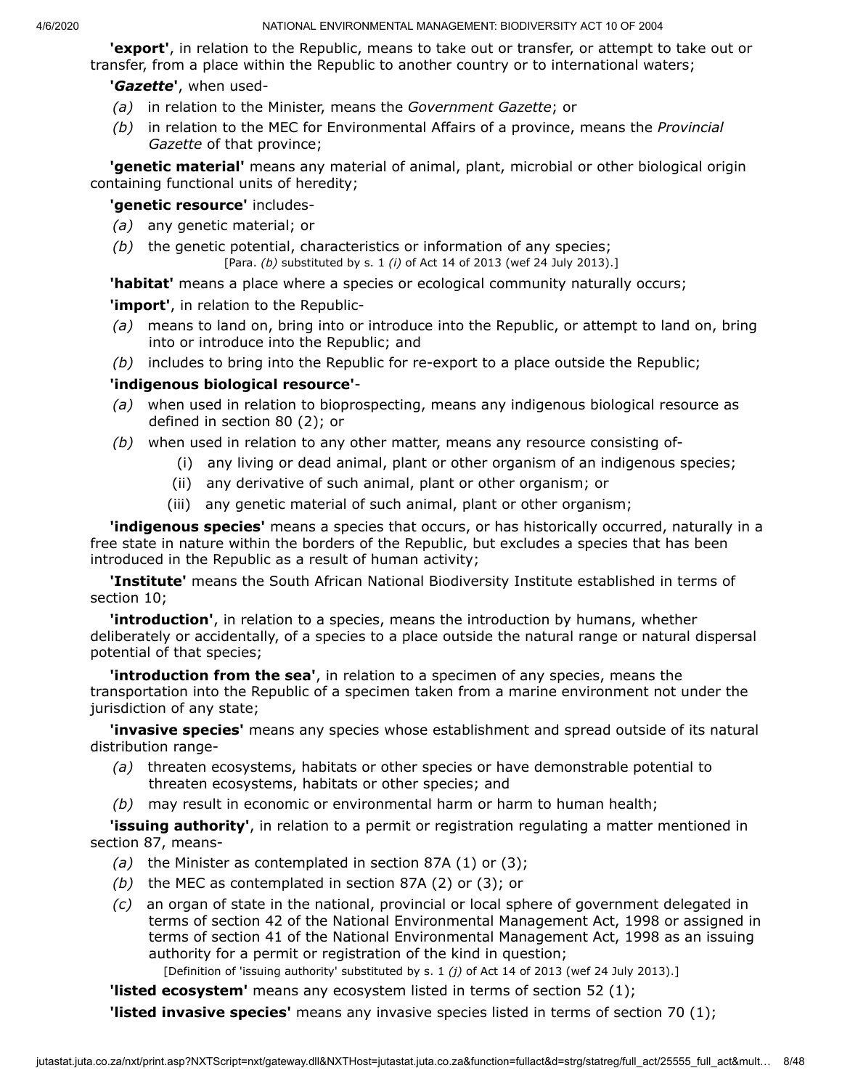**'export'**, in relation to the Republic, means to take out or transfer, or attempt to take out or transfer, from a place within the Republic to another country or to international waters;

# **'***Gazette***'**, when used-

- *(a)* in relation to the Minister, means the *Government Gazette*; or
- *(b)* in relation to the MEC for Environmental Affairs of a province, means the *Provincial Gazette* of that province;

**'genetic material'** means any material of animal, plant, microbial or other biological origin containing functional units of heredity;

# **'genetic resource'** includes-

- *(a)* any genetic material; or
- *(b)* the genetic potential, characteristics or information of any species;

[Para. *(b)* substituted by s. 1 *(i)* of Act 14 of 2013 (wef 24 July 2013).]

**'habitat'** means a place where a species or ecological community naturally occurs;

**'import'**, in relation to the Republic-

- *(a)* means to land on, bring into or introduce into the Republic, or attempt to land on, bring into or introduce into the Republic; and
- *(b)* includes to bring into the Republic for re-export to a place outside the Republic;

# **'indigenous biological resource'**-

- *(a)* when used in relation to bioprospecting, means any indigenous biological resource as defined in section 80 (2); or
- *(b)* when used in relation to any other matter, means any resource consisting of-
	- (i) any living or dead animal, plant or other organism of an indigenous species;
	- (ii) any derivative of such animal, plant or other organism; or
	- (iii) any genetic material of such animal, plant or other organism;

**'indigenous species'** means a species that occurs, or has historically occurred, naturally in a free state in nature within the borders of the Republic, but excludes a species that has been introduced in the Republic as a result of human activity;

**'Institute'** means the South African National Biodiversity Institute established in terms of section 10;

**'introduction'**, in relation to a species, means the introduction by humans, whether deliberately or accidentally, of a species to a place outside the natural range or natural dispersal potential of that species;

**'introduction from the sea'**, in relation to a specimen of any species, means the transportation into the Republic of a specimen taken from a marine environment not under the jurisdiction of any state;

**'invasive species'** means any species whose establishment and spread outside of its natural distribution range-

- *(a)* threaten ecosystems, habitats or other species or have demonstrable potential to threaten ecosystems, habitats or other species; and
- *(b)* may result in economic or environmental harm or harm to human health;

**'issuing authority'**, in relation to a permit or registration regulating a matter mentioned in section 87, means-

- *(a)* the Minister as contemplated in section 87A (1) or (3);
- *(b)* the MEC as contemplated in section 87A (2) or (3); or
- *(c)* an organ of state in the national, provincial or local sphere of government delegated in terms of section 42 of the National Environmental Management Act, 1998 or assigned in terms of section 41 of the National Environmental Management Act, 1998 as an issuing authority for a permit or registration of the kind in question;

[Definition of 'issuing authority' substituted by s. 1 *(j)* of Act 14 of 2013 (wef 24 July 2013).]

**'listed ecosystem'** means any ecosystem listed in terms of section 52 (1);

**'listed invasive species'** means any invasive species listed in terms of section 70 (1);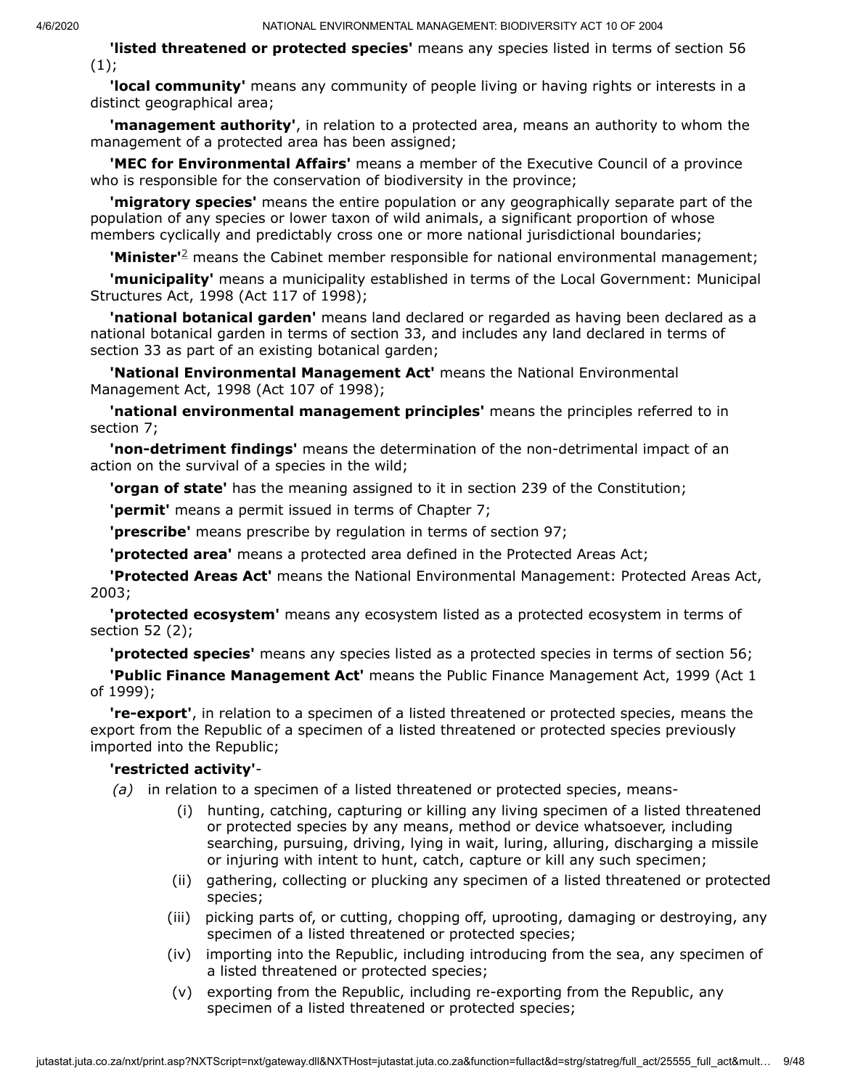**'listed threatened or protected species'** means any species listed in terms of section 56  $(1);$ 

**'local community'** means any community of people living or having rights or interests in a distinct geographical area;

**'management authority'**, in relation to a protected area, means an authority to whom the management of a protected area has been assigned;

**'MEC for Environmental Affairs'** means a member of the Executive Council of a province who is responsible for the conservation of biodiversity in the province;

**'migratory species'** means the entire population or any geographically separate part of the population of any species or lower taxon of wild animals, a significant proportion of whose members cyclically and predictably cross one or more national jurisdictional boundaries;

**'Minister'**<sup>[2](#page-10-0)</sup> means the Cabinet member responsible for national environmental management;

**'municipality'** means a municipality established in terms of the Local Government: Municipal Structures Act, 1998 (Act 117 of 1998);

**'national botanical garden'** means land declared or regarded as having been declared as a national botanical garden in terms of section 33, and includes any land declared in terms of section 33 as part of an existing botanical garden;

**'National Environmental Management Act'** means the National Environmental Management Act, 1998 (Act 107 of 1998);

**'national environmental management principles'** means the principles referred to in section 7;

**'non-detriment findings'** means the determination of the non-detrimental impact of an action on the survival of a species in the wild;

**'organ of state'** has the meaning assigned to it in section 239 of the Constitution;

**'permit'** means a permit issued in terms of Chapter 7;

**'prescribe'** means prescribe by regulation in terms of section 97;

**'protected area'** means a protected area defined in the Protected Areas Act;

**'Protected Areas Act'** means the National Environmental Management: Protected Areas Act, 2003;

**'protected ecosystem'** means any ecosystem listed as a protected ecosystem in terms of section 52 (2);

**'protected species'** means any species listed as a protected species in terms of section 56;

**'Public Finance Management Act'** means the Public Finance Management Act, 1999 (Act 1 of 1999);

**'re-export'**, in relation to a specimen of a listed threatened or protected species, means the export from the Republic of a specimen of a listed threatened or protected species previously imported into the Republic;

#### **'restricted activity'**-

- *(a)* in relation to a specimen of a listed threatened or protected species, means-
	- (i) hunting, catching, capturing or killing any living specimen of a listed threatened or protected species by any means, method or device whatsoever, including searching, pursuing, driving, lying in wait, luring, alluring, discharging a missile or injuring with intent to hunt, catch, capture or kill any such specimen;
	- (ii) gathering, collecting or plucking any specimen of a listed threatened or protected species;
	- (iii) picking parts of, or cutting, chopping off, uprooting, damaging or destroying, any specimen of a listed threatened or protected species;
	- (iv) importing into the Republic, including introducing from the sea, any specimen of a listed threatened or protected species;
	- (v) exporting from the Republic, including re-exporting from the Republic, any specimen of a listed threatened or protected species;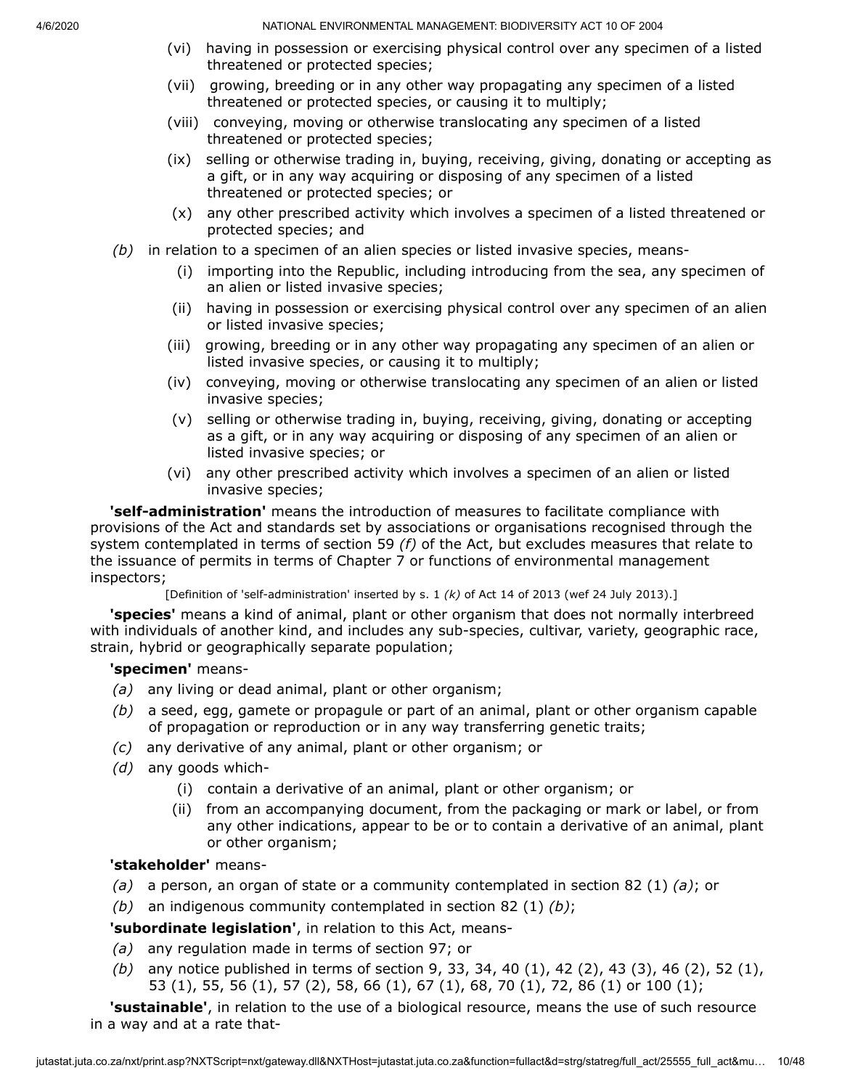- (vi) having in possession or exercising physical control over any specimen of a listed threatened or protected species;
- (vii) growing, breeding or in any other way propagating any specimen of a listed threatened or protected species, or causing it to multiply;
- (viii) conveying, moving or otherwise translocating any specimen of a listed threatened or protected species;
- (ix) selling or otherwise trading in, buying, receiving, giving, donating or accepting as a gift, or in any way acquiring or disposing of any specimen of a listed threatened or protected species; or
- (x) any other prescribed activity which involves a specimen of a listed threatened or protected species; and
- *(b)* in relation to a specimen of an alien species or listed invasive species, means-
	- (i) importing into the Republic, including introducing from the sea, any specimen of an alien or listed invasive species;
	- (ii) having in possession or exercising physical control over any specimen of an alien or listed invasive species;
	- (iii) growing, breeding or in any other way propagating any specimen of an alien or listed invasive species, or causing it to multiply;
	- (iv) conveying, moving or otherwise translocating any specimen of an alien or listed invasive species;
	- (v) selling or otherwise trading in, buying, receiving, giving, donating or accepting as a gift, or in any way acquiring or disposing of any specimen of an alien or listed invasive species; or
	- (vi) any other prescribed activity which involves a specimen of an alien or listed invasive species;

**'self-administration'** means the introduction of measures to facilitate compliance with provisions of the Act and standards set by associations or organisations recognised through the system contemplated in terms of section 59 *(f)* of the Act, but excludes measures that relate to the issuance of permits in terms of Chapter 7 or functions of environmental management inspectors;

[Definition of 'self-administration' inserted by s. 1 *(k)* of Act 14 of 2013 (wef 24 July 2013).]

**'species'** means a kind of animal, plant or other organism that does not normally interbreed with individuals of another kind, and includes any sub-species, cultivar, variety, geographic race, strain, hybrid or geographically separate population;

# **'specimen'** means-

- *(a)* any living or dead animal, plant or other organism;
- *(b)* a seed, egg, gamete or propagule or part of an animal, plant or other organism capable of propagation or reproduction or in any way transferring genetic traits;
- *(c)* any derivative of any animal, plant or other organism; or
- *(d)* any goods which-
	- (i) contain a derivative of an animal, plant or other organism; or
	- (ii) from an accompanying document, from the packaging or mark or label, or from any other indications, appear to be or to contain a derivative of an animal, plant or other organism;

# **'stakeholder'** means-

- *(a)* a person, an organ of state or a community contemplated in section 82 (1) *(a)*; or
- *(b)* an indigenous community contemplated in section 82 (1) *(b)*;

**'subordinate legislation'**, in relation to this Act, means-

- *(a)* any regulation made in terms of section 97; or
- *(b)* any notice published in terms of section 9, 33, 34, 40 (1), 42 (2), 43 (3), 46 (2), 52 (1), 53 (1), 55, 56 (1), 57 (2), 58, 66 (1), 67 (1), 68, 70 (1), 72, 86 (1) or 100 (1);

**'sustainable'**, in relation to the use of a biological resource, means the use of such resource in a way and at a rate that-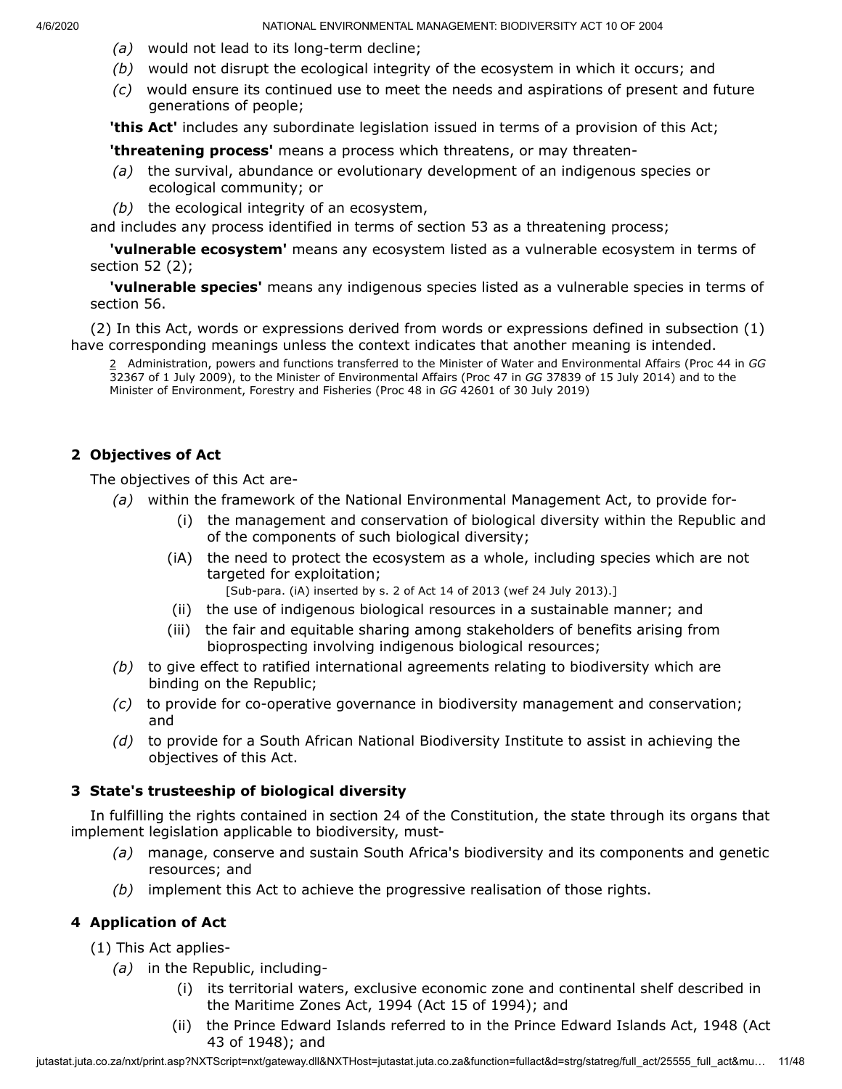- *(a)* would not lead to its long-term decline;
- *(b)* would not disrupt the ecological integrity of the ecosystem in which it occurs; and
- *(c)* would ensure its continued use to meet the needs and aspirations of present and future generations of people;

**'this Act'** includes any subordinate legislation issued in terms of a provision of this Act;

**'threatening process'** means a process which threatens, or may threaten-

- *(a)* the survival, abundance or evolutionary development of an indigenous species or ecological community; or
- *(b)* the ecological integrity of an ecosystem,

and includes any process identified in terms of section 53 as a threatening process;

**'vulnerable ecosystem'** means any ecosystem listed as a vulnerable ecosystem in terms of section 52 (2);

**'vulnerable species'** means any indigenous species listed as a vulnerable species in terms of section 56.

<span id="page-10-0"></span>(2) In this Act, words or expressions derived from words or expressions defined in subsection (1) have corresponding meanings unless the context indicates that another meaning is intended.

2 Administration, powers and functions transferred to the Minister of Water and Environmental Affairs (Proc 44 in *GG* 32367 of 1 July 2009), to the Minister of Environmental Affairs (Proc 47 in *GG* 37839 of 15 July 2014) and to the Minister of Environment, Forestry and Fisheries (Proc 48 in *GG* 42601 of 30 July 2019)

# **2 Objectives of Act**

The objectives of this Act are-

- *(a)* within the framework of the National Environmental Management Act, to provide for-
	- (i) the management and conservation of biological diversity within the Republic and of the components of such biological diversity;
	- (iA) the need to protect the ecosystem as a whole, including species which are not targeted for exploitation;

[Sub-para. (iA) inserted by s. 2 of Act 14 of 2013 (wef 24 July 2013).]

- (ii) the use of indigenous biological resources in a sustainable manner; and
- (iii) the fair and equitable sharing among stakeholders of benefits arising from bioprospecting involving indigenous biological resources;
- *(b)* to give effect to ratified international agreements relating to biodiversity which are binding on the Republic;
- *(c)* to provide for co-operative governance in biodiversity management and conservation; and
- *(d)* to provide for a South African National Biodiversity Institute to assist in achieving the objectives of this Act.

### **3 State's trusteeship of biological diversity**

In fulfilling the rights contained in section 24 of the Constitution, the state through its organs that implement legislation applicable to biodiversity, must-

- *(a)* manage, conserve and sustain South Africa's biodiversity and its components and genetic resources; and
- *(b)* implement this Act to achieve the progressive realisation of those rights.

# **4 Application of Act**

(1) This Act applies-

- *(a)* in the Republic, including-
	- (i) its territorial waters, exclusive economic zone and continental shelf described in the Maritime Zones Act, 1994 (Act 15 of 1994); and
	- (ii) the Prince Edward Islands referred to in the Prince Edward Islands Act, 1948 (Act 43 of 1948); and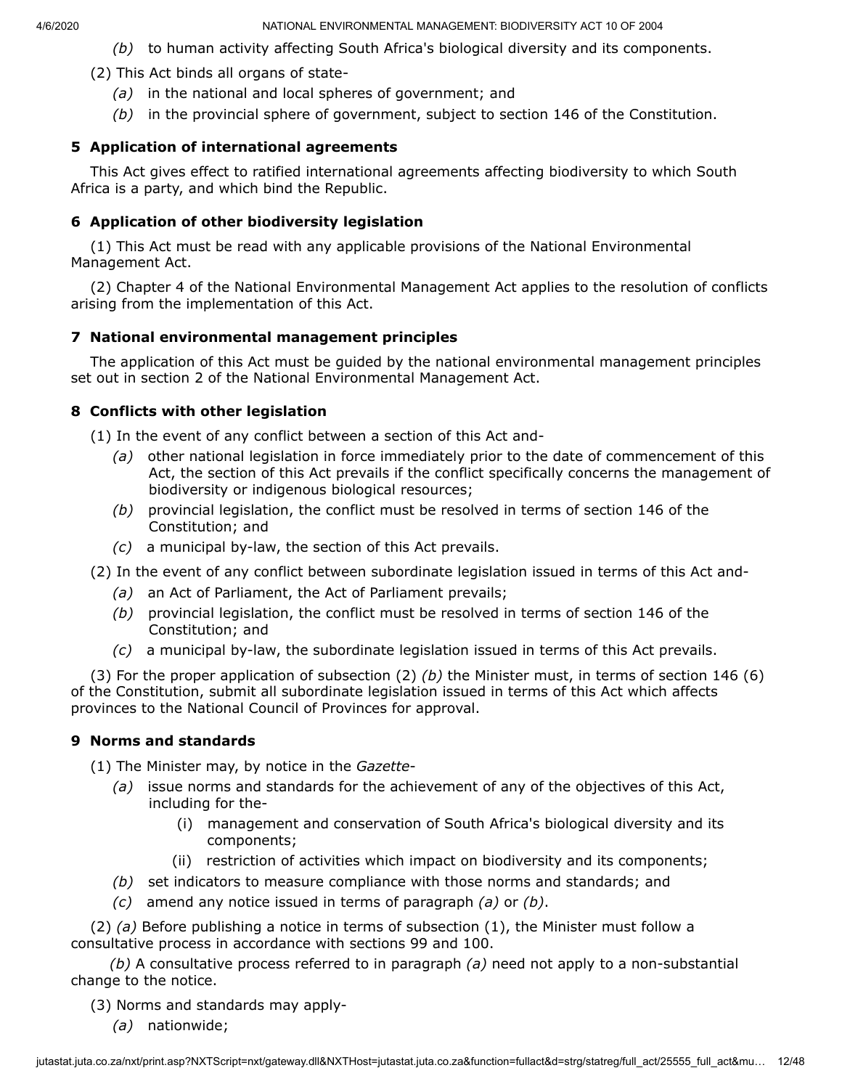- *(b)* to human activity affecting South Africa's biological diversity and its components.
- (2) This Act binds all organs of state-
	- *(a)* in the national and local spheres of government; and
	- *(b)* in the provincial sphere of government, subject to section 146 of the Constitution.

# **5 Application of international agreements**

This Act gives effect to ratified international agreements affecting biodiversity to which South Africa is a party, and which bind the Republic.

# **6 Application of other biodiversity legislation**

(1) This Act must be read with any applicable provisions of the National Environmental Management Act.

(2) Chapter 4 of the National Environmental Management Act applies to the resolution of conflicts arising from the implementation of this Act.

# **7 National environmental management principles**

The application of this Act must be guided by the national environmental management principles set out in section 2 of the National Environmental Management Act.

# **8 Conflicts with other legislation**

(1) In the event of any conflict between a section of this Act and-

- *(a)* other national legislation in force immediately prior to the date of commencement of this Act, the section of this Act prevails if the conflict specifically concerns the management of biodiversity or indigenous biological resources;
- *(b)* provincial legislation, the conflict must be resolved in terms of section 146 of the Constitution; and
- *(c)* a municipal by-law, the section of this Act prevails.
- (2) In the event of any conflict between subordinate legislation issued in terms of this Act and-
	- *(a)* an Act of Parliament, the Act of Parliament prevails;
	- *(b)* provincial legislation, the conflict must be resolved in terms of section 146 of the Constitution; and
	- *(c)* a municipal by-law, the subordinate legislation issued in terms of this Act prevails.

(3) For the proper application of subsection (2) *(b)* the Minister must, in terms of section 146 (6) of the Constitution, submit all subordinate legislation issued in terms of this Act which affects provinces to the National Council of Provinces for approval.

# **9 Norms and standards**

(1) The Minister may, by notice in the *Gazette*-

- *(a)* issue norms and standards for the achievement of any of the objectives of this Act, including for the-
	- (i) management and conservation of South Africa's biological diversity and its components;
	- (ii) restriction of activities which impact on biodiversity and its components;
- *(b)* set indicators to measure compliance with those norms and standards; and
- *(c)* amend any notice issued in terms of paragraph *(a)* or *(b)*.

(2) *(a)* Before publishing a notice in terms of subsection (1), the Minister must follow a consultative process in accordance with sections 99 and 100.

*(b)* A consultative process referred to in paragraph *(a)* need not apply to a non-substantial change to the notice.

(3) Norms and standards may apply-

*(a)* nationwide;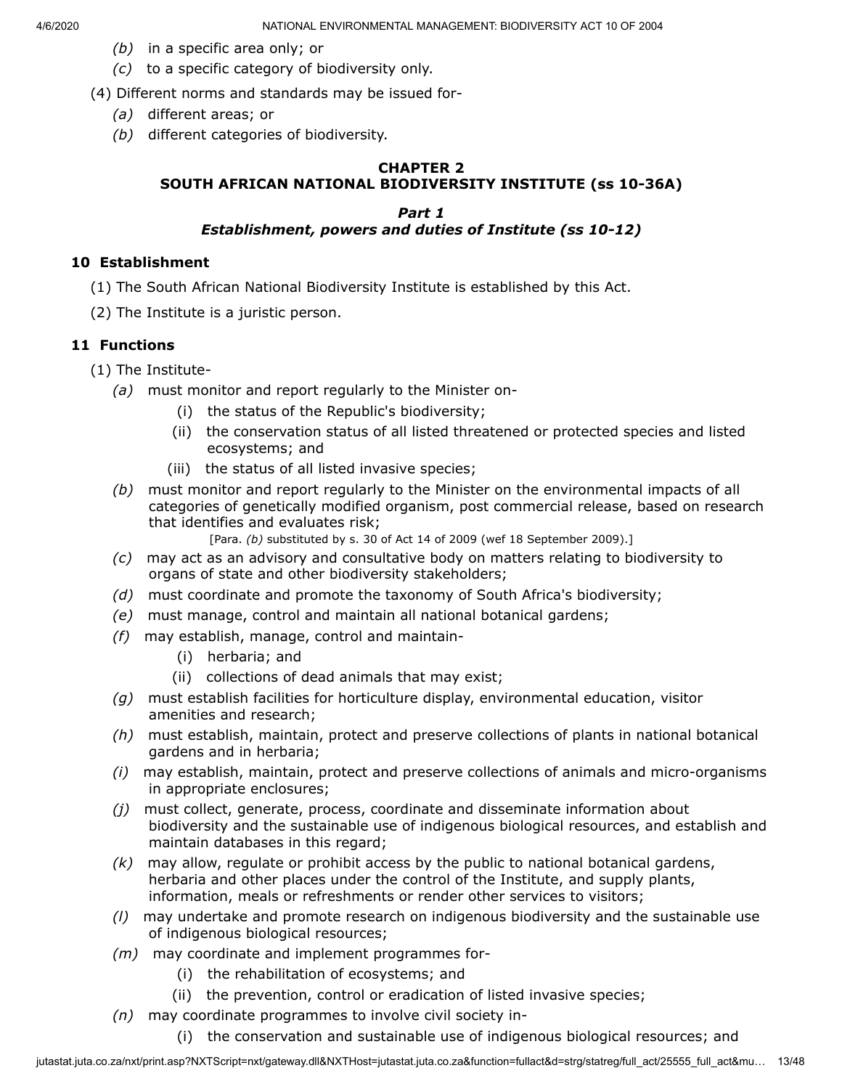- *(b)* in a specific area only; or
- *(c)* to a specific category of biodiversity only.
- (4) Different norms and standards may be issued for-
	- *(a)* different areas; or
	- *(b)* different categories of biodiversity.

# **CHAPTER 2 SOUTH AFRICAN NATIONAL BIODIVERSITY INSTITUTE (ss 10-36A)**

### *Part 1 Establishment, powers and duties of Institute (ss 10-12)*

#### **10 Establishment**

- (1) The South African National Biodiversity Institute is established by this Act.
- (2) The Institute is a juristic person.

### **11 Functions**

- (1) The Institute-
	- *(a)* must monitor and report regularly to the Minister on-
		- (i) the status of the Republic's biodiversity;
		- (ii) the conservation status of all listed threatened or protected species and listed ecosystems; and
		- (iii) the status of all listed invasive species;
	- *(b)* must monitor and report regularly to the Minister on the environmental impacts of all categories of genetically modified organism, post commercial release, based on research that identifies and evaluates risk;
		- [Para. *(b)* substituted by s. 30 of Act 14 of 2009 (wef 18 September 2009).]
	- *(c)* may act as an advisory and consultative body on matters relating to biodiversity to organs of state and other biodiversity stakeholders;
	- *(d)* must coordinate and promote the taxonomy of South Africa's biodiversity;
	- *(e)* must manage, control and maintain all national botanical gardens;
	- *(f)* may establish, manage, control and maintain-
		- (i) herbaria; and
		- (ii) collections of dead animals that may exist;
	- *(g)* must establish facilities for horticulture display, environmental education, visitor amenities and research;
	- *(h)* must establish, maintain, protect and preserve collections of plants in national botanical gardens and in herbaria;
	- *(i)* may establish, maintain, protect and preserve collections of animals and micro-organisms in appropriate enclosures;
	- *(j)* must collect, generate, process, coordinate and disseminate information about biodiversity and the sustainable use of indigenous biological resources, and establish and maintain databases in this regard;
	- *(k)* may allow, regulate or prohibit access by the public to national botanical gardens, herbaria and other places under the control of the Institute, and supply plants, information, meals or refreshments or render other services to visitors;
	- *(l)* may undertake and promote research on indigenous biodiversity and the sustainable use of indigenous biological resources;
	- *(m)* may coordinate and implement programmes for-
		- (i) the rehabilitation of ecosystems; and
		- (ii) the prevention, control or eradication of listed invasive species;
	- *(n)* may coordinate programmes to involve civil society in-
		- (i) the conservation and sustainable use of indigenous biological resources; and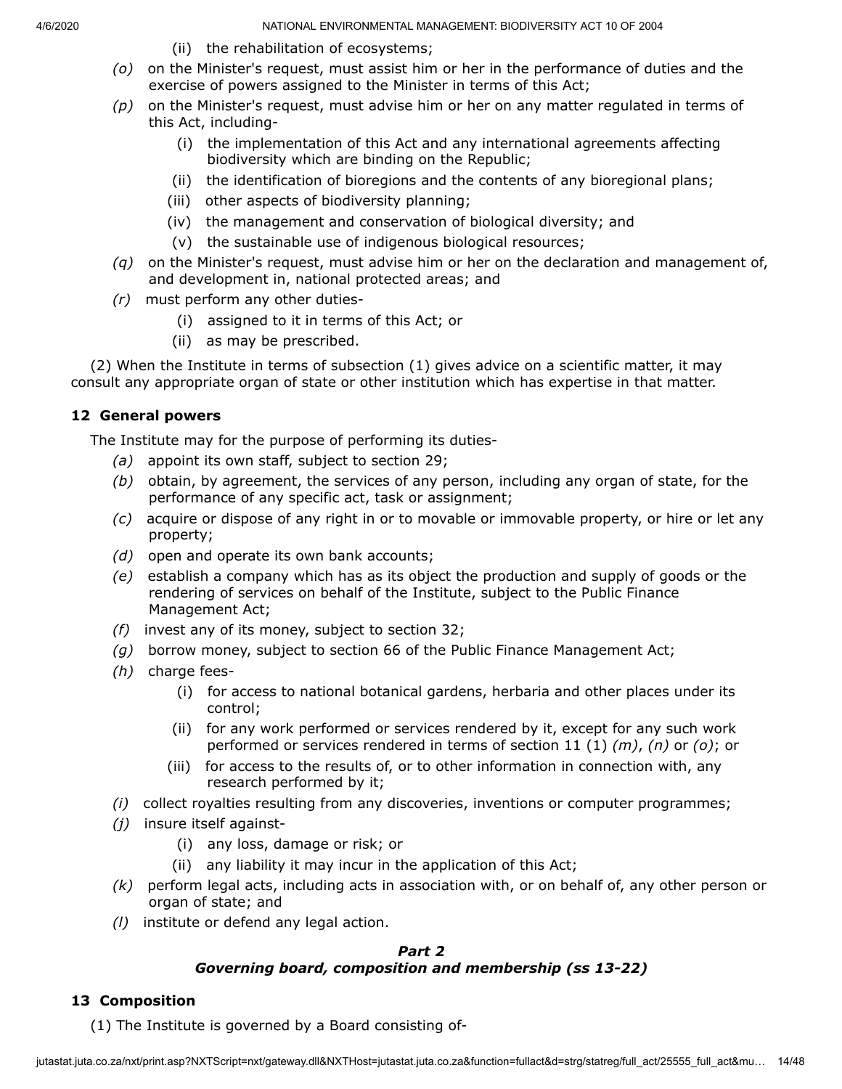- (ii) the rehabilitation of ecosystems;
- *(o)* on the Minister's request, must assist him or her in the performance of duties and the exercise of powers assigned to the Minister in terms of this Act;
- *(p)* on the Minister's request, must advise him or her on any matter regulated in terms of this Act, including-
	- (i) the implementation of this Act and any international agreements affecting biodiversity which are binding on the Republic;
	- (ii) the identification of bioregions and the contents of any bioregional plans;
	- (iii) other aspects of biodiversity planning;
	- (iv) the management and conservation of biological diversity; and
	- (v) the sustainable use of indigenous biological resources;
- *(q)* on the Minister's request, must advise him or her on the declaration and management of, and development in, national protected areas; and
- *(r)* must perform any other duties-
	- (i) assigned to it in terms of this Act; or
	- (ii) as may be prescribed.

(2) When the Institute in terms of subsection (1) gives advice on a scientific matter, it may consult any appropriate organ of state or other institution which has expertise in that matter.

# **12 General powers**

The Institute may for the purpose of performing its duties-

- *(a)* appoint its own staff, subject to section 29;
- *(b)* obtain, by agreement, the services of any person, including any organ of state, for the performance of any specific act, task or assignment;
- *(c)* acquire or dispose of any right in or to movable or immovable property, or hire or let any property;
- *(d)* open and operate its own bank accounts;
- *(e)* establish a company which has as its object the production and supply of goods or the rendering of services on behalf of the Institute, subject to the Public Finance Management Act;
- *(f)* invest any of its money, subject to section 32;
- *(g)* borrow money, subject to section 66 of the Public Finance Management Act;
- *(h)* charge fees-
	- (i) for access to national botanical gardens, herbaria and other places under its control;
	- (ii) for any work performed or services rendered by it, except for any such work performed or services rendered in terms of section 11 (1) *(m)*, *(n)* or *(o)*; or
	- (iii) for access to the results of, or to other information in connection with, any research performed by it;
- *(i)* collect royalties resulting from any discoveries, inventions or computer programmes;
- *(j)* insure itself against-
	- (i) any loss, damage or risk; or
	- (ii) any liability it may incur in the application of this Act;
- *(k)* perform legal acts, including acts in association with, or on behalf of, any other person or organ of state; and
- *(l)* institute or defend any legal action.

# *Part 2 Governing board, composition and membership (ss 13-22)*

# **13 Composition**

(1) The Institute is governed by a Board consisting of-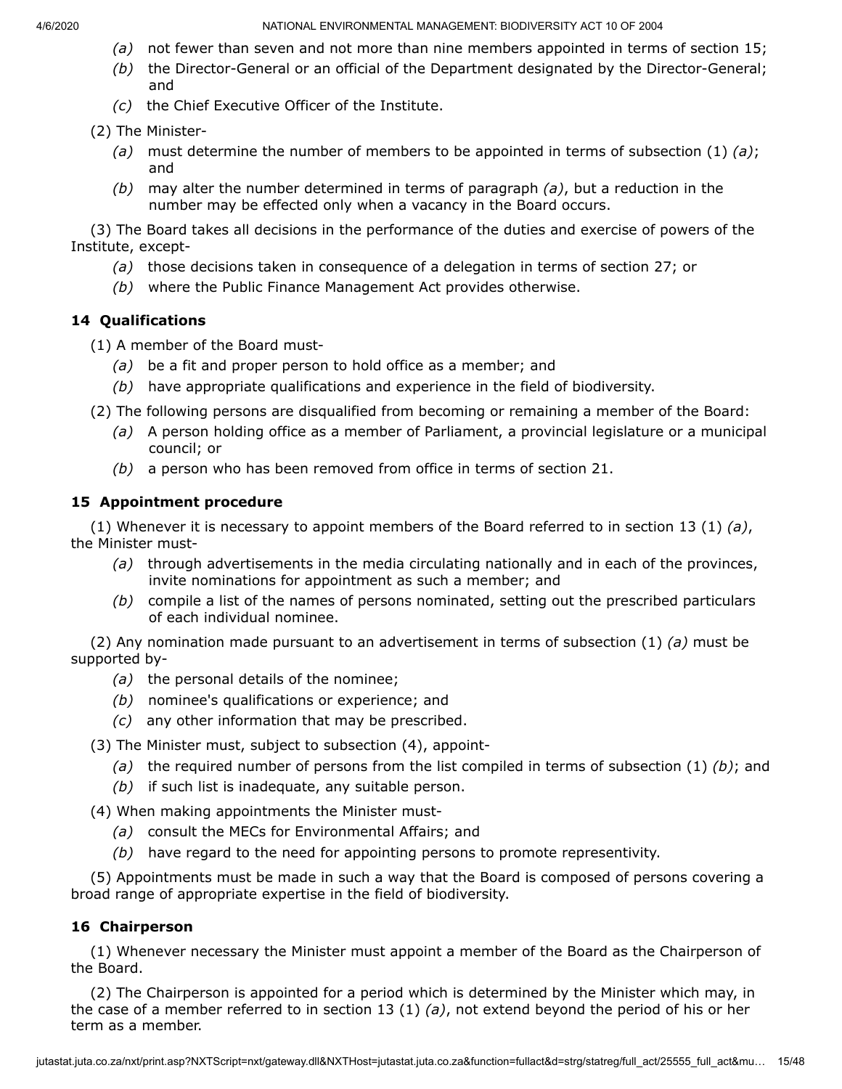- *(a)* not fewer than seven and not more than nine members appointed in terms of section 15;
- *(b)* the Director-General or an official of the Department designated by the Director-General; and
- *(c)* the Chief Executive Officer of the Institute.
- (2) The Minister-
	- *(a)* must determine the number of members to be appointed in terms of subsection (1) *(a)*; and
	- *(b)* may alter the number determined in terms of paragraph *(a)*, but a reduction in the number may be effected only when a vacancy in the Board occurs.

(3) The Board takes all decisions in the performance of the duties and exercise of powers of the Institute, except-

- *(a)* those decisions taken in consequence of a delegation in terms of section 27; or
- *(b)* where the Public Finance Management Act provides otherwise.

# **14 Qualifications**

(1) A member of the Board must-

- *(a)* be a fit and proper person to hold office as a member; and
- *(b)* have appropriate qualifications and experience in the field of biodiversity.
- (2) The following persons are disqualified from becoming or remaining a member of the Board:
	- *(a)* A person holding office as a member of Parliament, a provincial legislature or a municipal council; or
	- *(b)* a person who has been removed from office in terms of section 21.

# **15 Appointment procedure**

(1) Whenever it is necessary to appoint members of the Board referred to in section 13 (1) *(a)*, the Minister must-

- *(a)* through advertisements in the media circulating nationally and in each of the provinces, invite nominations for appointment as such a member; and
- *(b)* compile a list of the names of persons nominated, setting out the prescribed particulars of each individual nominee.

(2) Any nomination made pursuant to an advertisement in terms of subsection (1) *(a)* must be supported by-

- *(a)* the personal details of the nominee;
- *(b)* nominee's qualifications or experience; and
- *(c)* any other information that may be prescribed.

(3) The Minister must, subject to subsection (4), appoint-

- *(a)* the required number of persons from the list compiled in terms of subsection (1) *(b)*; and
- *(b)* if such list is inadequate, any suitable person.

(4) When making appointments the Minister must-

- *(a)* consult the MECs for Environmental Affairs; and
- *(b)* have regard to the need for appointing persons to promote representivity.

(5) Appointments must be made in such a way that the Board is composed of persons covering a broad range of appropriate expertise in the field of biodiversity.

# **16 Chairperson**

(1) Whenever necessary the Minister must appoint a member of the Board as the Chairperson of the Board.

(2) The Chairperson is appointed for a period which is determined by the Minister which may, in the case of a member referred to in section 13 (1) *(a)*, not extend beyond the period of his or her term as a member.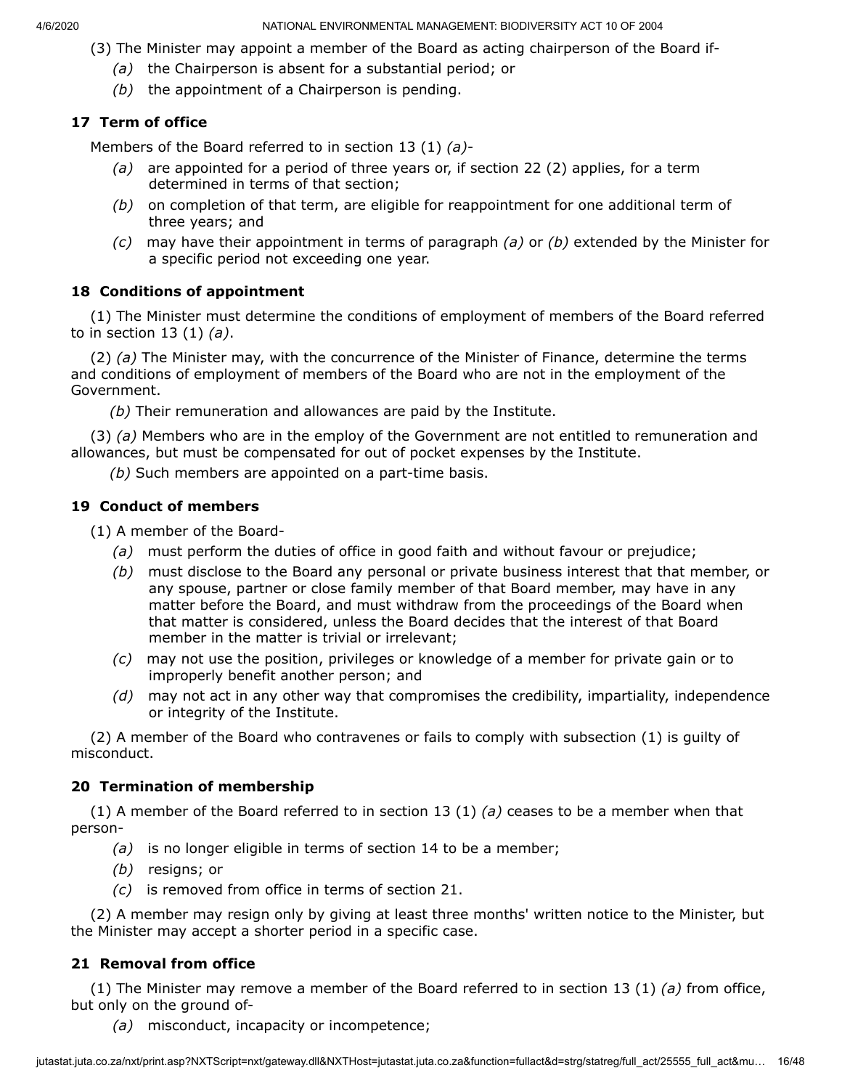- (3) The Minister may appoint a member of the Board as acting chairperson of the Board if-
	- *(a)* the Chairperson is absent for a substantial period; or
	- *(b)* the appointment of a Chairperson is pending.

# **17 Term of office**

Members of the Board referred to in section 13 (1) *(a)*-

- *(a)* are appointed for a period of three years or, if section 22 (2) applies, for a term determined in terms of that section;
- *(b)* on completion of that term, are eligible for reappointment for one additional term of three years; and
- *(c)* may have their appointment in terms of paragraph *(a)* or *(b)* extended by the Minister for a specific period not exceeding one year.

# **18 Conditions of appointment**

(1) The Minister must determine the conditions of employment of members of the Board referred to in section 13 (1) *(a)*.

(2) *(a)* The Minister may, with the concurrence of the Minister of Finance, determine the terms and conditions of employment of members of the Board who are not in the employment of the Government.

*(b)* Their remuneration and allowances are paid by the Institute.

(3) *(a)* Members who are in the employ of the Government are not entitled to remuneration and allowances, but must be compensated for out of pocket expenses by the Institute.

*(b)* Such members are appointed on a part-time basis.

# **19 Conduct of members**

(1) A member of the Board-

- *(a)* must perform the duties of office in good faith and without favour or prejudice;
- *(b)* must disclose to the Board any personal or private business interest that that member, or any spouse, partner or close family member of that Board member, may have in any matter before the Board, and must withdraw from the proceedings of the Board when that matter is considered, unless the Board decides that the interest of that Board member in the matter is trivial or irrelevant;
- *(c)* may not use the position, privileges or knowledge of a member for private gain or to improperly benefit another person; and
- *(d)* may not act in any other way that compromises the credibility, impartiality, independence or integrity of the Institute.

(2) A member of the Board who contravenes or fails to comply with subsection (1) is guilty of misconduct.

# **20 Termination of membership**

(1) A member of the Board referred to in section 13 (1) *(a)* ceases to be a member when that person-

- *(a)* is no longer eligible in terms of section 14 to be a member;
- *(b)* resigns; or
- *(c)* is removed from office in terms of section 21.

(2) A member may resign only by giving at least three months' written notice to the Minister, but the Minister may accept a shorter period in a specific case.

# **21 Removal from office**

(1) The Minister may remove a member of the Board referred to in section 13 (1) *(a)* from office, but only on the ground of-

*(a)* misconduct, incapacity or incompetence;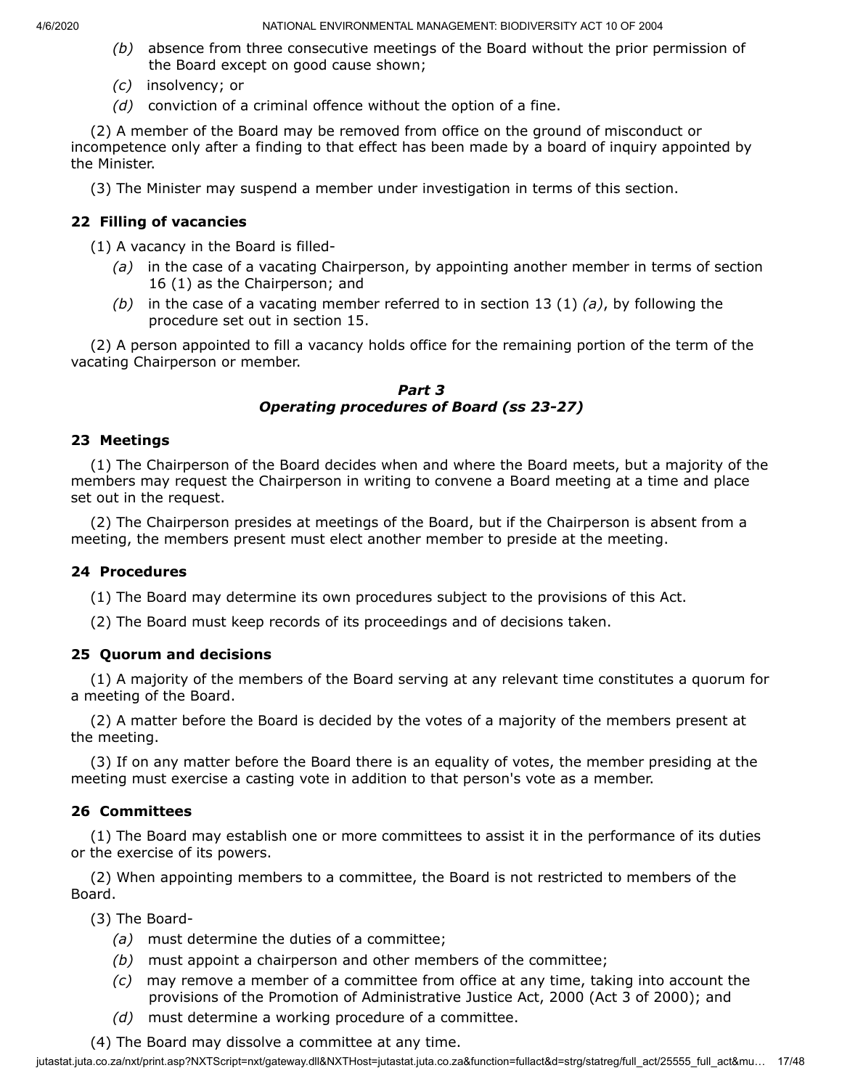- *(b)* absence from three consecutive meetings of the Board without the prior permission of the Board except on good cause shown;
- *(c)* insolvency; or
- *(d)* conviction of a criminal offence without the option of a fine.

(2) A member of the Board may be removed from office on the ground of misconduct or incompetence only after a finding to that effect has been made by a board of inquiry appointed by the Minister.

(3) The Minister may suspend a member under investigation in terms of this section.

# **22 Filling of vacancies**

(1) A vacancy in the Board is filled-

- *(a)* in the case of a vacating Chairperson, by appointing another member in terms of section 16 (1) as the Chairperson; and
- *(b)* in the case of a vacating member referred to in section 13 (1) *(a)*, by following the procedure set out in section 15.

(2) A person appointed to fill a vacancy holds office for the remaining portion of the term of the vacating Chairperson or member.

#### *Part 3 Operating procedures of Board (ss 23-27)*

### **23 Meetings**

(1) The Chairperson of the Board decides when and where the Board meets, but a majority of the members may request the Chairperson in writing to convene a Board meeting at a time and place set out in the request.

(2) The Chairperson presides at meetings of the Board, but if the Chairperson is absent from a meeting, the members present must elect another member to preside at the meeting.

### **24 Procedures**

(1) The Board may determine its own procedures subject to the provisions of this Act.

(2) The Board must keep records of its proceedings and of decisions taken.

# **25 Quorum and decisions**

(1) A majority of the members of the Board serving at any relevant time constitutes a quorum for a meeting of the Board.

(2) A matter before the Board is decided by the votes of a majority of the members present at the meeting.

(3) If on any matter before the Board there is an equality of votes, the member presiding at the meeting must exercise a casting vote in addition to that person's vote as a member.

# **26 Committees**

(1) The Board may establish one or more committees to assist it in the performance of its duties or the exercise of its powers.

(2) When appointing members to a committee, the Board is not restricted to members of the Board.

(3) The Board-

- *(a)* must determine the duties of a committee;
- *(b)* must appoint a chairperson and other members of the committee;
- *(c)* may remove a member of a committee from office at any time, taking into account the provisions of the Promotion of Administrative Justice Act, 2000 (Act 3 of 2000); and
- *(d)* must determine a working procedure of a committee.

(4) The Board may dissolve a committee at any time.

jutastat.juta.co.za/nxt/print.asp?NXTScript=nxt/gateway.dll&NXTHost=jutastat.juta.co.za&function=fullact&d=strg/statreg/full\_act/25555\_full\_act&mu... 17/48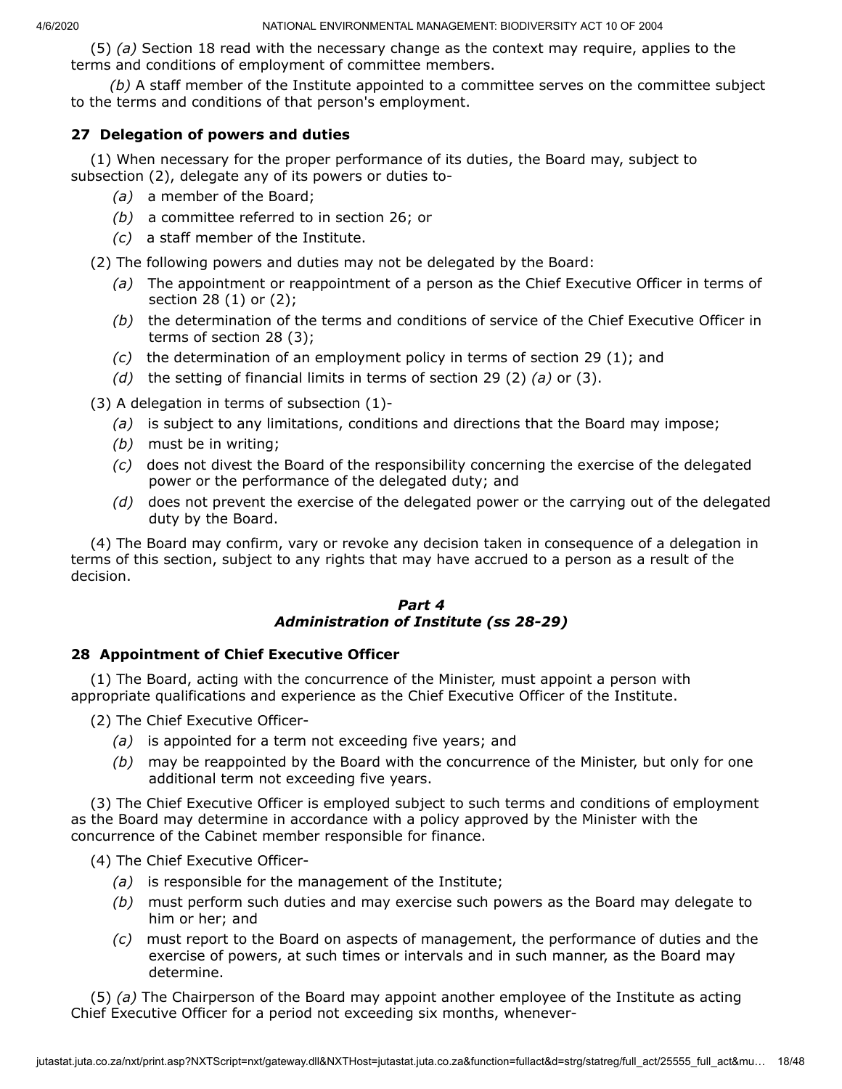(5) *(a)* Section 18 read with the necessary change as the context may require, applies to the terms and conditions of employment of committee members.

*(b)* A staff member of the Institute appointed to a committee serves on the committee subject to the terms and conditions of that person's employment.

# **27 Delegation of powers and duties**

(1) When necessary for the proper performance of its duties, the Board may, subject to subsection (2), delegate any of its powers or duties to-

- *(a)* a member of the Board;
- *(b)* a committee referred to in section 26; or
- *(c)* a staff member of the Institute.

(2) The following powers and duties may not be delegated by the Board:

- *(a)* The appointment or reappointment of a person as the Chief Executive Officer in terms of section 28 (1) or (2);
- *(b)* the determination of the terms and conditions of service of the Chief Executive Officer in terms of section 28 (3);
- *(c)* the determination of an employment policy in terms of section 29 (1); and
- *(d)* the setting of financial limits in terms of section 29 (2) *(a)* or (3).

(3) A delegation in terms of subsection (1)-

- *(a)* is subject to any limitations, conditions and directions that the Board may impose;
- *(b)* must be in writing;
- *(c)* does not divest the Board of the responsibility concerning the exercise of the delegated power or the performance of the delegated duty; and
- *(d)* does not prevent the exercise of the delegated power or the carrying out of the delegated duty by the Board.

(4) The Board may confirm, vary or revoke any decision taken in consequence of a delegation in terms of this section, subject to any rights that may have accrued to a person as a result of the decision.

# *Part 4 Administration of Institute (ss 28-29)*

### **28 Appointment of Chief Executive Officer**

(1) The Board, acting with the concurrence of the Minister, must appoint a person with appropriate qualifications and experience as the Chief Executive Officer of the Institute.

(2) The Chief Executive Officer-

- *(a)* is appointed for a term not exceeding five years; and
- *(b)* may be reappointed by the Board with the concurrence of the Minister, but only for one additional term not exceeding five years.

(3) The Chief Executive Officer is employed subject to such terms and conditions of employment as the Board may determine in accordance with a policy approved by the Minister with the concurrence of the Cabinet member responsible for finance.

(4) The Chief Executive Officer-

- *(a)* is responsible for the management of the Institute;
- *(b)* must perform such duties and may exercise such powers as the Board may delegate to him or her; and
- *(c)* must report to the Board on aspects of management, the performance of duties and the exercise of powers, at such times or intervals and in such manner, as the Board may determine.

(5) *(a)* The Chairperson of the Board may appoint another employee of the Institute as acting Chief Executive Officer for a period not exceeding six months, whenever-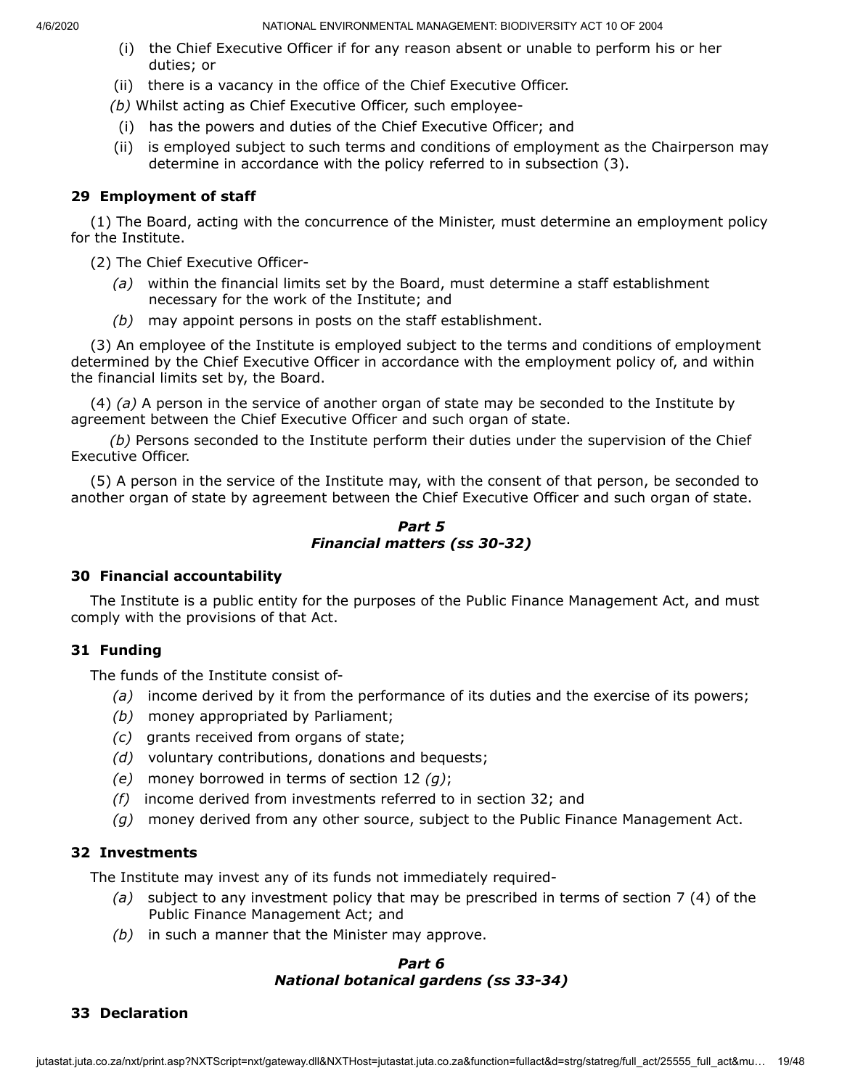- (i) the Chief Executive Officer if for any reason absent or unable to perform his or her duties; or
- (ii) there is a vacancy in the office of the Chief Executive Officer.
- *(b)* Whilst acting as Chief Executive Officer, such employee-
- (i) has the powers and duties of the Chief Executive Officer; and
- (ii) is employed subject to such terms and conditions of employment as the Chairperson may determine in accordance with the policy referred to in subsection (3).

# **29 Employment of staff**

(1) The Board, acting with the concurrence of the Minister, must determine an employment policy for the Institute.

(2) The Chief Executive Officer-

- *(a)* within the financial limits set by the Board, must determine a staff establishment necessary for the work of the Institute; and
- *(b)* may appoint persons in posts on the staff establishment.

(3) An employee of the Institute is employed subject to the terms and conditions of employment determined by the Chief Executive Officer in accordance with the employment policy of, and within the financial limits set by, the Board.

(4) *(a)* A person in the service of another organ of state may be seconded to the Institute by agreement between the Chief Executive Officer and such organ of state.

*(b)* Persons seconded to the Institute perform their duties under the supervision of the Chief Executive Officer.

(5) A person in the service of the Institute may, with the consent of that person, be seconded to another organ of state by agreement between the Chief Executive Officer and such organ of state.

### *Part 5 Financial matters (ss 30-32)*

### **30 Financial accountability**

The Institute is a public entity for the purposes of the Public Finance Management Act, and must comply with the provisions of that Act.

# **31 Funding**

The funds of the Institute consist of-

- *(a)* income derived by it from the performance of its duties and the exercise of its powers;
- *(b)* money appropriated by Parliament;
- *(c)* grants received from organs of state;
- *(d)* voluntary contributions, donations and bequests;
- *(e)* money borrowed in terms of section 12 *(g)*;
- *(f)* income derived from investments referred to in section 32; and
- *(g)* money derived from any other source, subject to the Public Finance Management Act.

### **32 Investments**

The Institute may invest any of its funds not immediately required-

- *(a)* subject to any investment policy that may be prescribed in terms of section 7 (4) of the Public Finance Management Act; and
- *(b)* in such a manner that the Minister may approve.

### *Part 6 National botanical gardens (ss 33-34)*

# **33 Declaration**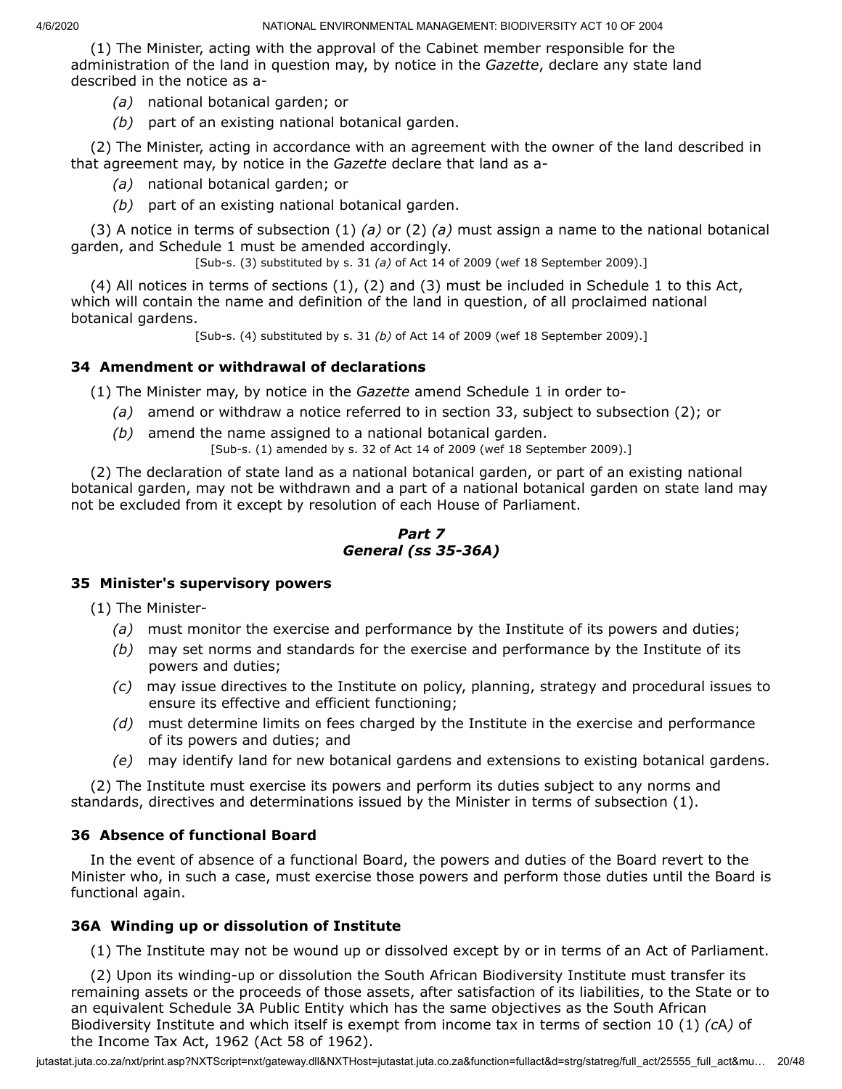(1) The Minister, acting with the approval of the Cabinet member responsible for the administration of the land in question may, by notice in the *Gazette*, declare any state land described in the notice as a-

- *(a)* national botanical garden; or
- *(b)* part of an existing national botanical garden.

(2) The Minister, acting in accordance with an agreement with the owner of the land described in that agreement may, by notice in the *Gazette* declare that land as a-

- *(a)* national botanical garden; or
- *(b)* part of an existing national botanical garden.

(3) A notice in terms of subsection (1) *(a)* or (2) *(a)* must assign a name to the national botanical garden, and Schedule 1 must be amended accordingly.

[Sub-s. (3) substituted by s. 31 *(a)* of Act 14 of 2009 (wef 18 September 2009).]

(4) All notices in terms of sections (1), (2) and (3) must be included in Schedule 1 to this Act, which will contain the name and definition of the land in question, of all proclaimed national botanical gardens.

[Sub-s. (4) substituted by s. 31 *(b)* of Act 14 of 2009 (wef 18 September 2009).]

# **34 Amendment or withdrawal of declarations**

(1) The Minister may, by notice in the *Gazette* amend Schedule 1 in order to-

- *(a)* amend or withdraw a notice referred to in section 33, subject to subsection (2); or
- *(b)* amend the name assigned to a national botanical garden. [Sub-s. (1) amended by s. 32 of Act 14 of 2009 (wef 18 September 2009).]

(2) The declaration of state land as a national botanical garden, or part of an existing national botanical garden, may not be withdrawn and a part of a national botanical garden on state land may not be excluded from it except by resolution of each House of Parliament.

#### *Part 7 General (ss 35-36A)*

### **35 Minister's supervisory powers**

(1) The Minister-

- *(a)* must monitor the exercise and performance by the Institute of its powers and duties;
- *(b)* may set norms and standards for the exercise and performance by the Institute of its powers and duties;
- *(c)* may issue directives to the Institute on policy, planning, strategy and procedural issues to ensure its effective and efficient functioning;
- *(d)* must determine limits on fees charged by the Institute in the exercise and performance of its powers and duties; and
- *(e)* may identify land for new botanical gardens and extensions to existing botanical gardens.

(2) The Institute must exercise its powers and perform its duties subject to any norms and standards, directives and determinations issued by the Minister in terms of subsection (1).

### **36 Absence of functional Board**

In the event of absence of a functional Board, the powers and duties of the Board revert to the Minister who, in such a case, must exercise those powers and perform those duties until the Board is functional again.

### **36A Winding up or dissolution of Institute**

(1) The Institute may not be wound up or dissolved except by or in terms of an Act of Parliament.

(2) Upon its winding-up or dissolution the South African Biodiversity Institute must transfer its remaining assets or the proceeds of those assets, after satisfaction of its liabilities, to the State or to an equivalent Schedule 3A Public Entity which has the same objectives as the South African Biodiversity Institute and which itself is exempt from income tax in terms of section 10 (1) *(c*A*)* of the Income Tax Act, 1962 (Act 58 of 1962).

jutastat.juta.co.za/nxt/print.asp?NXTScript=nxt/gateway.dll&NXTHost=jutastat.juta.co.za&function=fullact&d=strg/statreg/full\_act/25555\_full\_act&mu... 20/48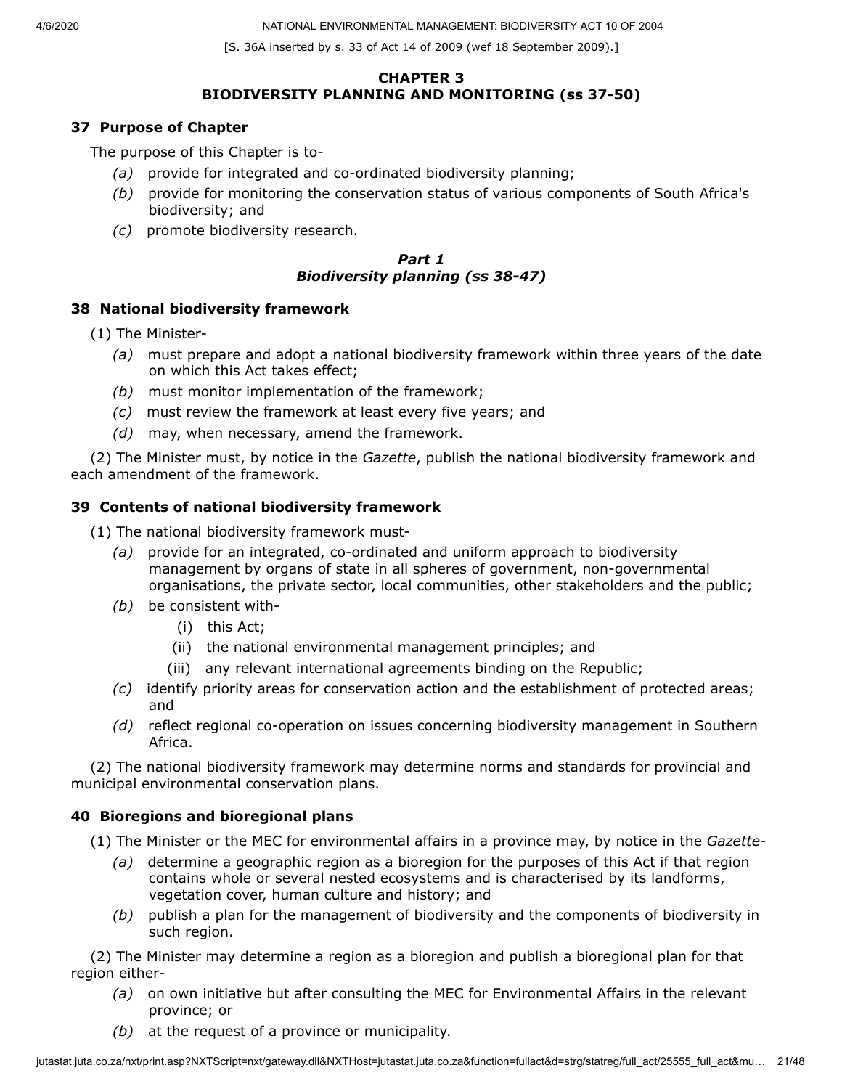[S. 36A inserted by s. 33 of Act 14 of 2009 (wef 18 September 2009).]

#### **CHAPTER 3 BIODIVERSITY PLANNING AND MONITORING (ss 37-50)**

# **37 Purpose of Chapter**

The purpose of this Chapter is to-

- *(a)* provide for integrated and co-ordinated biodiversity planning;
- *(b)* provide for monitoring the conservation status of various components of South Africa's biodiversity; and
- *(c)* promote biodiversity research.

### *Part 1 Biodiversity planning (ss 38-47)*

### **38 National biodiversity framework**

- (1) The Minister-
	- *(a)* must prepare and adopt a national biodiversity framework within three years of the date on which this Act takes effect;
	- *(b)* must monitor implementation of the framework;
	- *(c)* must review the framework at least every five years; and
	- *(d)* may, when necessary, amend the framework.

(2) The Minister must, by notice in the *Gazette*, publish the national biodiversity framework and each amendment of the framework.

# **39 Contents of national biodiversity framework**

(1) The national biodiversity framework must-

- *(a)* provide for an integrated, co-ordinated and uniform approach to biodiversity management by organs of state in all spheres of government, non-governmental organisations, the private sector, local communities, other stakeholders and the public;
- *(b)* be consistent with-
	- (i) this Act;
	- (ii) the national environmental management principles; and
	- (iii) any relevant international agreements binding on the Republic;
- *(c)* identify priority areas for conservation action and the establishment of protected areas; and
- *(d)* reflect regional co-operation on issues concerning biodiversity management in Southern Africa.

(2) The national biodiversity framework may determine norms and standards for provincial and municipal environmental conservation plans.

# **40 Bioregions and bioregional plans**

- (1) The Minister or the MEC for environmental affairs in a province may, by notice in the *Gazette*
	- *(a)* determine a geographic region as a bioregion for the purposes of this Act if that region contains whole or several nested ecosystems and is characterised by its landforms, vegetation cover, human culture and history; and
	- *(b)* publish a plan for the management of biodiversity and the components of biodiversity in such region.

(2) The Minister may determine a region as a bioregion and publish a bioregional plan for that region either-

- *(a)* on own initiative but after consulting the MEC for Environmental Affairs in the relevant province; or
- *(b)* at the request of a province or municipality.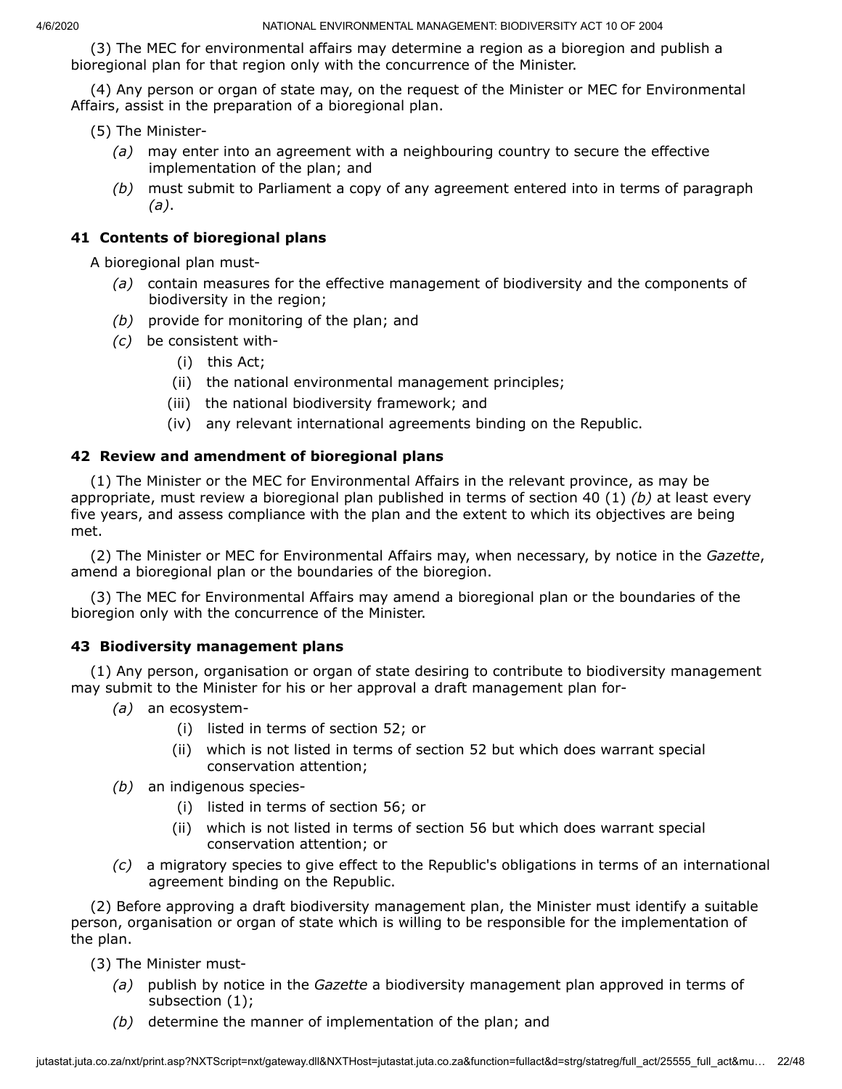(3) The MEC for environmental affairs may determine a region as a bioregion and publish a bioregional plan for that region only with the concurrence of the Minister.

(4) Any person or organ of state may, on the request of the Minister or MEC for Environmental Affairs, assist in the preparation of a bioregional plan.

(5) The Minister-

- *(a)* may enter into an agreement with a neighbouring country to secure the effective implementation of the plan; and
- *(b)* must submit to Parliament a copy of any agreement entered into in terms of paragraph *(a)*.

# **41 Contents of bioregional plans**

A bioregional plan must-

- *(a)* contain measures for the effective management of biodiversity and the components of biodiversity in the region;
- *(b)* provide for monitoring of the plan; and
- *(c)* be consistent with-
	- (i) this Act;
	- (ii) the national environmental management principles;
	- (iii) the national biodiversity framework; and
	- (iv) any relevant international agreements binding on the Republic.

### **42 Review and amendment of bioregional plans**

(1) The Minister or the MEC for Environmental Affairs in the relevant province, as may be appropriate, must review a bioregional plan published in terms of section 40 (1) *(b)* at least every five years, and assess compliance with the plan and the extent to which its objectives are being met.

(2) The Minister or MEC for Environmental Affairs may, when necessary, by notice in the *Gazette*, amend a bioregional plan or the boundaries of the bioregion.

(3) The MEC for Environmental Affairs may amend a bioregional plan or the boundaries of the bioregion only with the concurrence of the Minister.

### **43 Biodiversity management plans**

(1) Any person, organisation or organ of state desiring to contribute to biodiversity management may submit to the Minister for his or her approval a draft management plan for-

- *(a)* an ecosystem-
	- (i) listed in terms of section 52; or
	- (ii) which is not listed in terms of section 52 but which does warrant special conservation attention;
- *(b)* an indigenous species-
	- (i) listed in terms of section 56; or
	- (ii) which is not listed in terms of section 56 but which does warrant special conservation attention; or
- *(c)* a migratory species to give effect to the Republic's obligations in terms of an international agreement binding on the Republic.

(2) Before approving a draft biodiversity management plan, the Minister must identify a suitable person, organisation or organ of state which is willing to be responsible for the implementation of the plan.

(3) The Minister must-

- *(a)* publish by notice in the *Gazette* a biodiversity management plan approved in terms of subsection (1);
- *(b)* determine the manner of implementation of the plan; and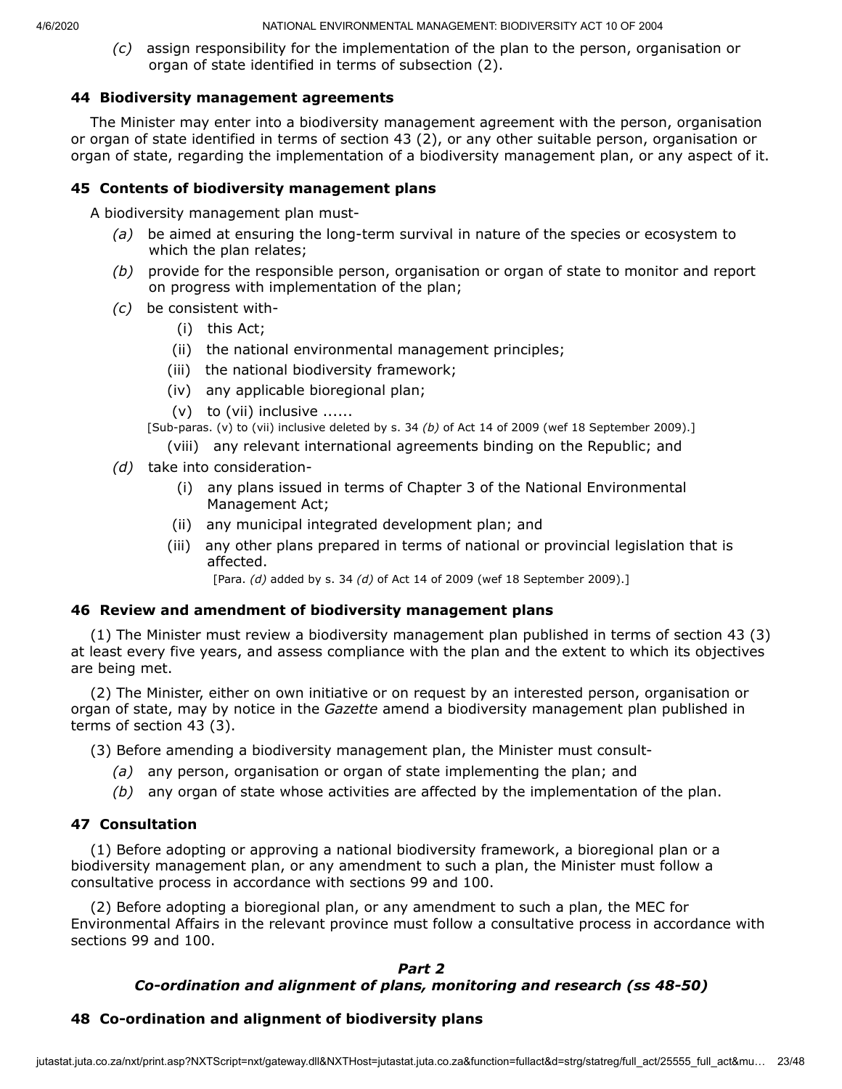*(c)* assign responsibility for the implementation of the plan to the person, organisation or organ of state identified in terms of subsection (2).

# **44 Biodiversity management agreements**

The Minister may enter into a biodiversity management agreement with the person, organisation or organ of state identified in terms of section 43 (2), or any other suitable person, organisation or organ of state, regarding the implementation of a biodiversity management plan, or any aspect of it.

# **45 Contents of biodiversity management plans**

A biodiversity management plan must-

- *(a)* be aimed at ensuring the long-term survival in nature of the species or ecosystem to which the plan relates;
- *(b)* provide for the responsible person, organisation or organ of state to monitor and report on progress with implementation of the plan;
- *(c)* be consistent with-
	- (i) this Act;
	- (ii) the national environmental management principles;
	- (iii) the national biodiversity framework;
	- (iv) any applicable bioregional plan;
	- (v) to (vii) inclusive ......
	- [Sub-paras. (v) to (vii) inclusive deleted by s. 34 *(b)* of Act 14 of 2009 (wef 18 September 2009).]
		- (viii) any relevant international agreements binding on the Republic; and
- *(d)* take into consideration-
	- (i) any plans issued in terms of Chapter 3 of the National Environmental Management Act;
	- (ii) any municipal integrated development plan; and
	- (iii) any other plans prepared in terms of national or provincial legislation that is affected.

[Para. *(d)* added by s. 34 *(d)* of Act 14 of 2009 (wef 18 September 2009).]

### **46 Review and amendment of biodiversity management plans**

(1) The Minister must review a biodiversity management plan published in terms of section 43 (3) at least every five years, and assess compliance with the plan and the extent to which its objectives are being met.

(2) The Minister, either on own initiative or on request by an interested person, organisation or organ of state, may by notice in the *Gazette* amend a biodiversity management plan published in terms of section 43 (3).

(3) Before amending a biodiversity management plan, the Minister must consult-

- *(a)* any person, organisation or organ of state implementing the plan; and
- *(b)* any organ of state whose activities are affected by the implementation of the plan.

# **47 Consultation**

(1) Before adopting or approving a national biodiversity framework, a bioregional plan or a biodiversity management plan, or any amendment to such a plan, the Minister must follow a consultative process in accordance with sections 99 and 100.

(2) Before adopting a bioregional plan, or any amendment to such a plan, the MEC for Environmental Affairs in the relevant province must follow a consultative process in accordance with sections 99 and 100.

# *Part 2*

# *Co-ordination and alignment of plans, monitoring and research (ss 48-50)*

# **48 Co-ordination and alignment of biodiversity plans**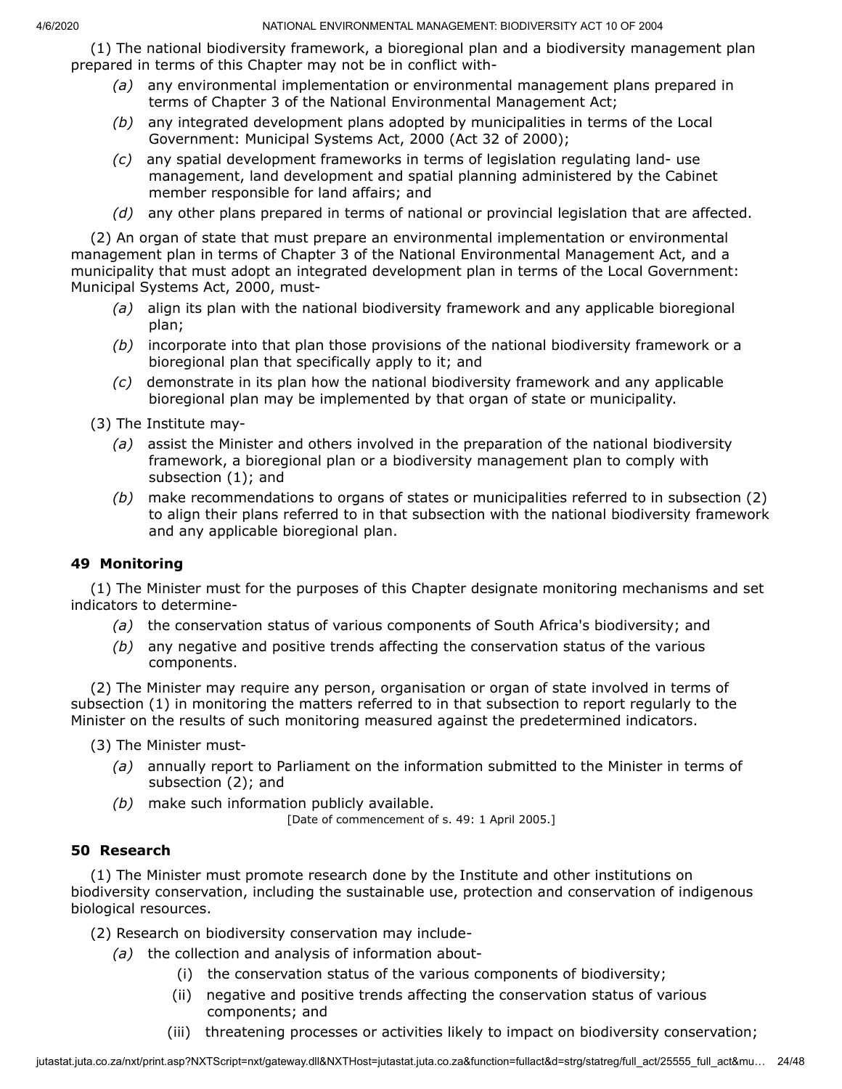(1) The national biodiversity framework, a bioregional plan and a biodiversity management plan prepared in terms of this Chapter may not be in conflict with-

- *(a)* any environmental implementation or environmental management plans prepared in terms of Chapter 3 of the National Environmental Management Act;
- *(b)* any integrated development plans adopted by municipalities in terms of the Local Government: Municipal Systems Act, 2000 (Act 32 of 2000);
- *(c)* any spatial development frameworks in terms of legislation regulating land- use management, land development and spatial planning administered by the Cabinet member responsible for land affairs; and
- *(d)* any other plans prepared in terms of national or provincial legislation that are affected.

(2) An organ of state that must prepare an environmental implementation or environmental management plan in terms of Chapter 3 of the National Environmental Management Act, and a municipality that must adopt an integrated development plan in terms of the Local Government: Municipal Systems Act, 2000, must-

- *(a)* align its plan with the national biodiversity framework and any applicable bioregional plan;
- *(b)* incorporate into that plan those provisions of the national biodiversity framework or a bioregional plan that specifically apply to it; and
- *(c)* demonstrate in its plan how the national biodiversity framework and any applicable bioregional plan may be implemented by that organ of state or municipality.

(3) The Institute may-

- *(a)* assist the Minister and others involved in the preparation of the national biodiversity framework, a bioregional plan or a biodiversity management plan to comply with subsection (1); and
- *(b)* make recommendations to organs of states or municipalities referred to in subsection (2) to align their plans referred to in that subsection with the national biodiversity framework and any applicable bioregional plan.

### **49 Monitoring**

(1) The Minister must for the purposes of this Chapter designate monitoring mechanisms and set indicators to determine-

- *(a)* the conservation status of various components of South Africa's biodiversity; and
- *(b)* any negative and positive trends affecting the conservation status of the various components.

(2) The Minister may require any person, organisation or organ of state involved in terms of subsection (1) in monitoring the matters referred to in that subsection to report regularly to the Minister on the results of such monitoring measured against the predetermined indicators.

(3) The Minister must-

- *(a)* annually report to Parliament on the information submitted to the Minister in terms of subsection (2); and
- *(b)* make such information publicly available.

[Date of commencement of s. 49: 1 April 2005.]

### **50 Research**

(1) The Minister must promote research done by the Institute and other institutions on biodiversity conservation, including the sustainable use, protection and conservation of indigenous biological resources.

- (2) Research on biodiversity conservation may include-
	- *(a)* the collection and analysis of information about-
		- (i) the conservation status of the various components of biodiversity;
		- (ii) negative and positive trends affecting the conservation status of various components; and
		- (iii) threatening processes or activities likely to impact on biodiversity conservation;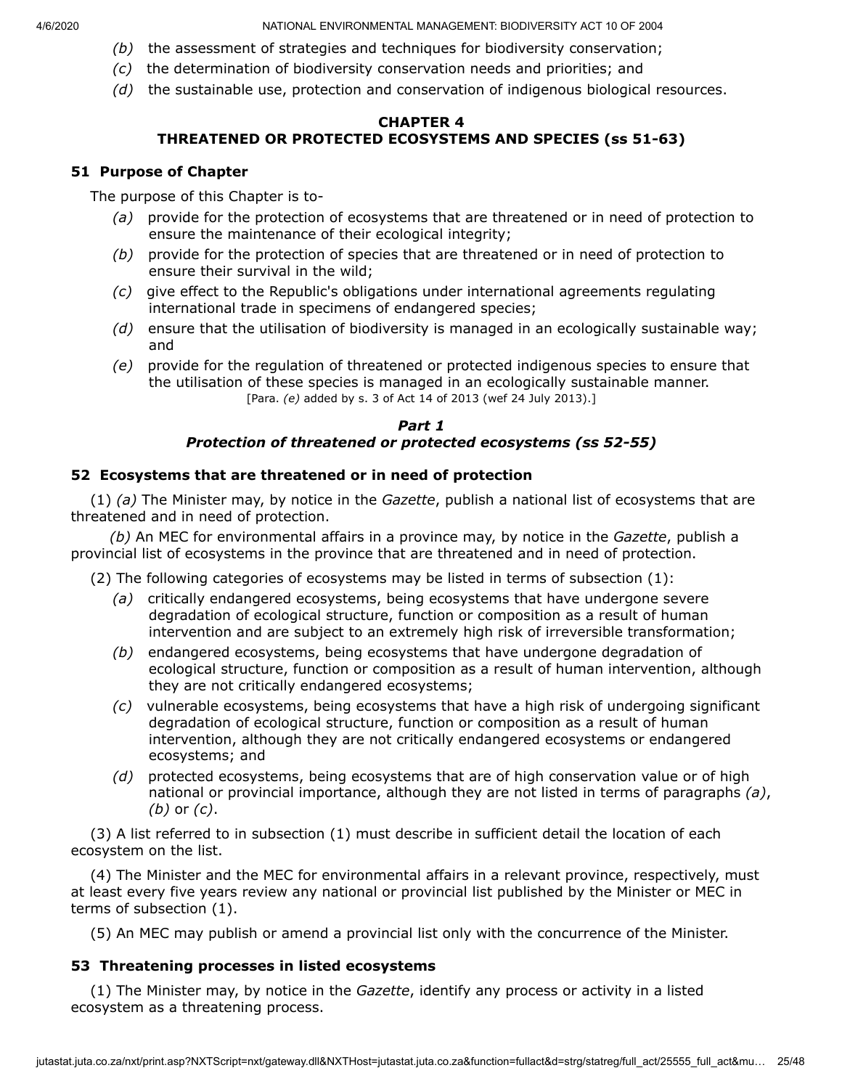- *(b)* the assessment of strategies and techniques for biodiversity conservation;
- *(c)* the determination of biodiversity conservation needs and priorities; and
- *(d)* the sustainable use, protection and conservation of indigenous biological resources.

#### **CHAPTER 4 THREATENED OR PROTECTED ECOSYSTEMS AND SPECIES (ss 51-63)**

### **51 Purpose of Chapter**

The purpose of this Chapter is to-

- *(a)* provide for the protection of ecosystems that are threatened or in need of protection to ensure the maintenance of their ecological integrity;
- *(b)* provide for the protection of species that are threatened or in need of protection to ensure their survival in the wild;
- *(c)* give effect to the Republic's obligations under international agreements regulating international trade in specimens of endangered species;
- *(d)* ensure that the utilisation of biodiversity is managed in an ecologically sustainable way; and
- *(e)* provide for the regulation of threatened or protected indigenous species to ensure that the utilisation of these species is managed in an ecologically sustainable manner. [Para. *(e)* added by s. 3 of Act 14 of 2013 (wef 24 July 2013).]

# *Part 1 Protection of threatened or protected ecosystems (ss 52-55)*

# **52 Ecosystems that are threatened or in need of protection**

(1) *(a)* The Minister may, by notice in the *Gazette*, publish a national list of ecosystems that are threatened and in need of protection.

*(b)* An MEC for environmental affairs in a province may, by notice in the *Gazette*, publish a provincial list of ecosystems in the province that are threatened and in need of protection.

(2) The following categories of ecosystems may be listed in terms of subsection (1):

- *(a)* critically endangered ecosystems, being ecosystems that have undergone severe degradation of ecological structure, function or composition as a result of human intervention and are subject to an extremely high risk of irreversible transformation;
- *(b)* endangered ecosystems, being ecosystems that have undergone degradation of ecological structure, function or composition as a result of human intervention, although they are not critically endangered ecosystems;
- *(c)* vulnerable ecosystems, being ecosystems that have a high risk of undergoing significant degradation of ecological structure, function or composition as a result of human intervention, although they are not critically endangered ecosystems or endangered ecosystems; and
- *(d)* protected ecosystems, being ecosystems that are of high conservation value or of high national or provincial importance, although they are not listed in terms of paragraphs *(a)*, *(b)* or *(c)*.

(3) A list referred to in subsection (1) must describe in sufficient detail the location of each ecosystem on the list.

(4) The Minister and the MEC for environmental affairs in a relevant province, respectively, must at least every five years review any national or provincial list published by the Minister or MEC in terms of subsection (1).

(5) An MEC may publish or amend a provincial list only with the concurrence of the Minister.

# **53 Threatening processes in listed ecosystems**

(1) The Minister may, by notice in the *Gazette*, identify any process or activity in a listed ecosystem as a threatening process.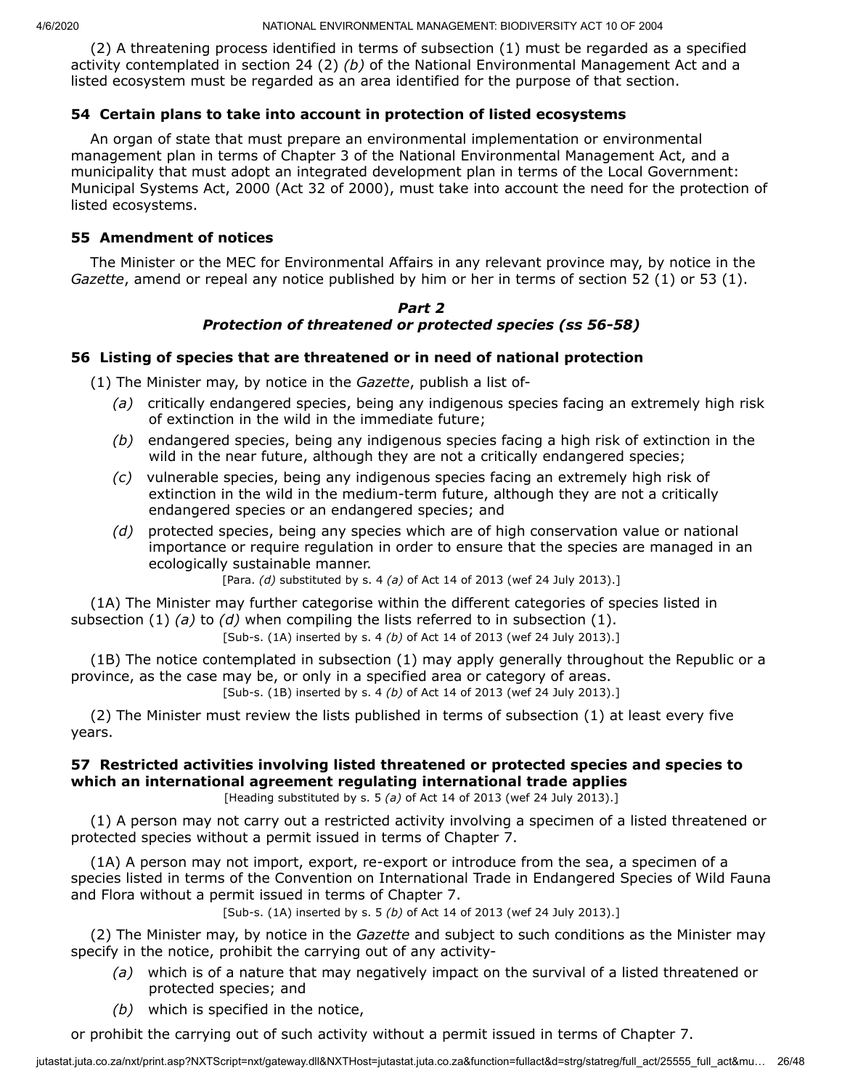(2) A threatening process identified in terms of subsection (1) must be regarded as a specified activity contemplated in section 24 (2) *(b)* of the National Environmental Management Act and a listed ecosystem must be regarded as an area identified for the purpose of that section.

#### **54 Certain plans to take into account in protection of listed ecosystems**

An organ of state that must prepare an environmental implementation or environmental management plan in terms of Chapter 3 of the National Environmental Management Act, and a municipality that must adopt an integrated development plan in terms of the Local Government: Municipal Systems Act, 2000 (Act 32 of 2000), must take into account the need for the protection of listed ecosystems.

#### **55 Amendment of notices**

The Minister or the MEC for Environmental Affairs in any relevant province may, by notice in the *Gazette*, amend or repeal any notice published by him or her in terms of section 52 (1) or 53 (1).

#### *Part 2 Protection of threatened or protected species (ss 56-58)*

#### **56 Listing of species that are threatened or in need of national protection**

(1) The Minister may, by notice in the *Gazette*, publish a list of-

- *(a)* critically endangered species, being any indigenous species facing an extremely high risk of extinction in the wild in the immediate future;
- *(b)* endangered species, being any indigenous species facing a high risk of extinction in the wild in the near future, although they are not a critically endangered species;
- *(c)* vulnerable species, being any indigenous species facing an extremely high risk of extinction in the wild in the medium-term future, although they are not a critically endangered species or an endangered species; and
- *(d)* protected species, being any species which are of high conservation value or national importance or require regulation in order to ensure that the species are managed in an ecologically sustainable manner.

[Para. *(d)* substituted by s. 4 *(a)* of Act 14 of 2013 (wef 24 July 2013).]

(1A) The Minister may further categorise within the different categories of species listed in subsection (1) *(a)* to *(d)* when compiling the lists referred to in subsection (1).

[Sub-s. (1A) inserted by s. 4 *(b)* of Act 14 of 2013 (wef 24 July 2013).]

(1B) The notice contemplated in subsection (1) may apply generally throughout the Republic or a province, as the case may be, or only in a specified area or category of areas. [Sub-s. (1B) inserted by s. 4 *(b)* of Act 14 of 2013 (wef 24 July 2013).]

(2) The Minister must review the lists published in terms of subsection (1) at least every five years.

# **57 Restricted activities involving listed threatened or protected species and species to which an international agreement regulating international trade applies**

[Heading substituted by s. 5 *(a)* of Act 14 of 2013 (wef 24 July 2013).]

(1) A person may not carry out a restricted activity involving a specimen of a listed threatened or protected species without a permit issued in terms of Chapter 7.

(1A) A person may not import, export, re-export or introduce from the sea, a specimen of a species listed in terms of the Convention on International Trade in Endangered Species of Wild Fauna and Flora without a permit issued in terms of Chapter 7.

[Sub-s. (1A) inserted by s. 5 *(b)* of Act 14 of 2013 (wef 24 July 2013).]

(2) The Minister may, by notice in the *Gazette* and subject to such conditions as the Minister may specify in the notice, prohibit the carrying out of any activity-

- *(a)* which is of a nature that may negatively impact on the survival of a listed threatened or protected species; and
- *(b)* which is specified in the notice,

or prohibit the carrying out of such activity without a permit issued in terms of Chapter 7.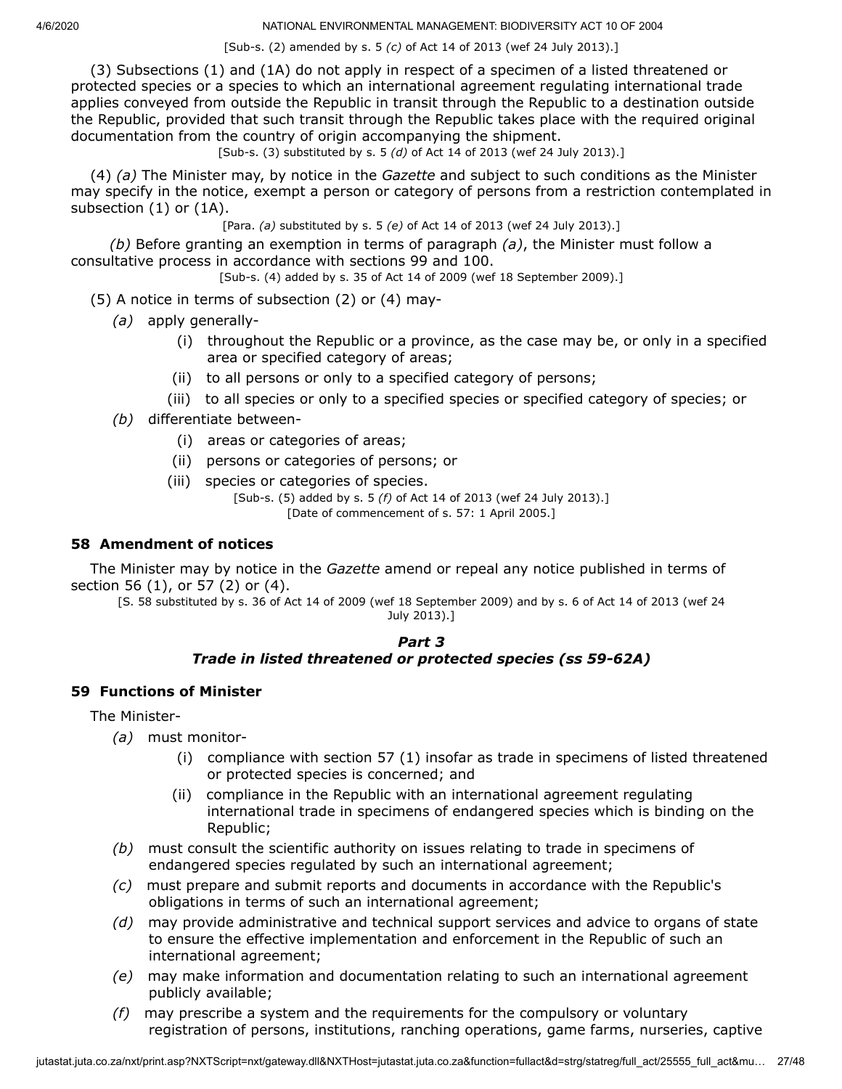[Sub-s. (2) amended by s. 5 *(c)* of Act 14 of 2013 (wef 24 July 2013).]

(3) Subsections (1) and (1A) do not apply in respect of a specimen of a listed threatened or protected species or a species to which an international agreement regulating international trade applies conveyed from outside the Republic in transit through the Republic to a destination outside the Republic, provided that such transit through the Republic takes place with the required original documentation from the country of origin accompanying the shipment.

[Sub-s. (3) substituted by s. 5 *(d)* of Act 14 of 2013 (wef 24 July 2013).]

(4) *(a)* The Minister may, by notice in the *Gazette* and subject to such conditions as the Minister may specify in the notice, exempt a person or category of persons from a restriction contemplated in subsection (1) or (1A).

[Para. *(a)* substituted by s. 5 *(e)* of Act 14 of 2013 (wef 24 July 2013).]

*(b)* Before granting an exemption in terms of paragraph *(a)*, the Minister must follow a consultative process in accordance with sections 99 and 100.

[Sub-s. (4) added by s. 35 of Act 14 of 2009 (wef 18 September 2009).]

(5) A notice in terms of subsection (2) or (4) may-

- *(a)* apply generally-
	- (i) throughout the Republic or a province, as the case may be, or only in a specified area or specified category of areas;
	- (ii) to all persons or only to a specified category of persons;
	- (iii) to all species or only to a specified species or specified category of species; or
- *(b)* differentiate between-
	- (i) areas or categories of areas;
	- (ii) persons or categories of persons; or
	- (iii) species or categories of species.

[Sub-s. (5) added by s. 5 *(f)* of Act 14 of 2013 (wef 24 July 2013).] [Date of commencement of s. 57: 1 April 2005.]

### **58 Amendment of notices**

The Minister may by notice in the *Gazette* amend or repeal any notice published in terms of section 56 (1), or 57 (2) or (4).

[S. 58 substituted by s. 36 of Act 14 of 2009 (wef 18 September 2009) and by s. 6 of Act 14 of 2013 (wef 24 July 2013).]

#### *Part 3 Trade in listed threatened or protected species (ss 59-62A)*

### **59 Functions of Minister**

The Minister-

- *(a)* must monitor-
	- (i) compliance with section 57 (1) insofar as trade in specimens of listed threatened or protected species is concerned; and
	- (ii) compliance in the Republic with an international agreement regulating international trade in specimens of endangered species which is binding on the Republic;
- *(b)* must consult the scientific authority on issues relating to trade in specimens of endangered species regulated by such an international agreement;
- *(c)* must prepare and submit reports and documents in accordance with the Republic's obligations in terms of such an international agreement;
- *(d)* may provide administrative and technical support services and advice to organs of state to ensure the effective implementation and enforcement in the Republic of such an international agreement;
- *(e)* may make information and documentation relating to such an international agreement publicly available;
- *(f)* may prescribe a system and the requirements for the compulsory or voluntary registration of persons, institutions, ranching operations, game farms, nurseries, captive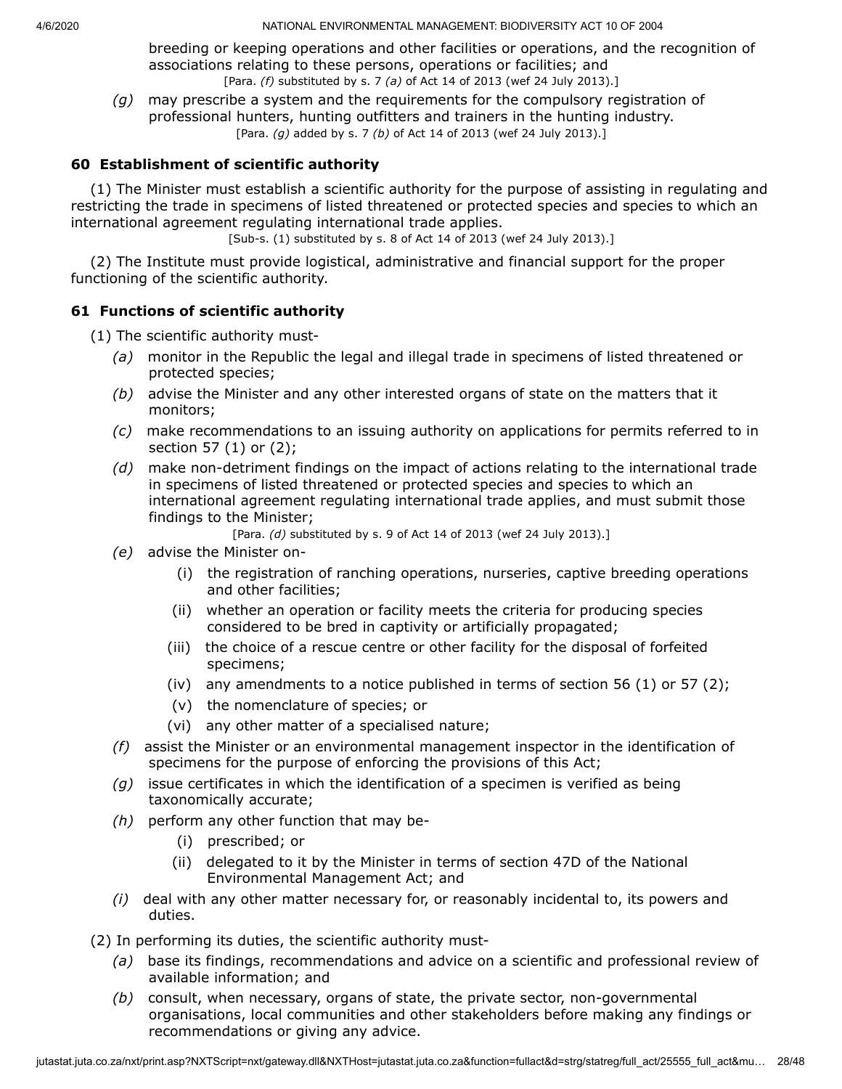breeding or keeping operations and other facilities or operations, and the recognition of associations relating to these persons, operations or facilities; and [Para. *(f)* substituted by s. 7 *(a)* of Act 14 of 2013 (wef 24 July 2013).]

*(g)* may prescribe a system and the requirements for the compulsory registration of professional hunters, hunting outfitters and trainers in the hunting industry. [Para. *(g)* added by s. 7 *(b)* of Act 14 of 2013 (wef 24 July 2013).]

# **60 Establishment of scientific authority**

(1) The Minister must establish a scientific authority for the purpose of assisting in regulating and restricting the trade in specimens of listed threatened or protected species and species to which an international agreement regulating international trade applies.

[Sub-s. (1) substituted by s. 8 of Act 14 of 2013 (wef 24 July 2013).]

(2) The Institute must provide logistical, administrative and financial support for the proper functioning of the scientific authority.

# **61 Functions of scientific authority**

(1) The scientific authority must-

- *(a)* monitor in the Republic the legal and illegal trade in specimens of listed threatened or protected species;
- *(b)* advise the Minister and any other interested organs of state on the matters that it monitors;
- *(c)* make recommendations to an issuing authority on applications for permits referred to in section 57 (1) or (2);
- *(d)* make non-detriment findings on the impact of actions relating to the international trade in specimens of listed threatened or protected species and species to which an international agreement regulating international trade applies, and must submit those findings to the Minister;
	- [Para. *(d)* substituted by s. 9 of Act 14 of 2013 (wef 24 July 2013).]
- *(e)* advise the Minister on-
	- (i) the registration of ranching operations, nurseries, captive breeding operations and other facilities;
	- (ii) whether an operation or facility meets the criteria for producing species considered to be bred in captivity or artificially propagated;
	- (iii) the choice of a rescue centre or other facility for the disposal of forfeited specimens;
	- (iv) any amendments to a notice published in terms of section 56 (1) or 57 (2);
	- (v) the nomenclature of species; or
	- (vi) any other matter of a specialised nature;
- *(f)* assist the Minister or an environmental management inspector in the identification of specimens for the purpose of enforcing the provisions of this Act;
- *(g)* issue certificates in which the identification of a specimen is verified as being taxonomically accurate;
- *(h)* perform any other function that may be-
	- (i) prescribed; or
	- (ii) delegated to it by the Minister in terms of section 47D of the National Environmental Management Act; and
- *(i)* deal with any other matter necessary for, or reasonably incidental to, its powers and duties.

(2) In performing its duties, the scientific authority must-

- *(a)* base its findings, recommendations and advice on a scientific and professional review of available information; and
- *(b)* consult, when necessary, organs of state, the private sector, non-governmental organisations, local communities and other stakeholders before making any findings or recommendations or giving any advice.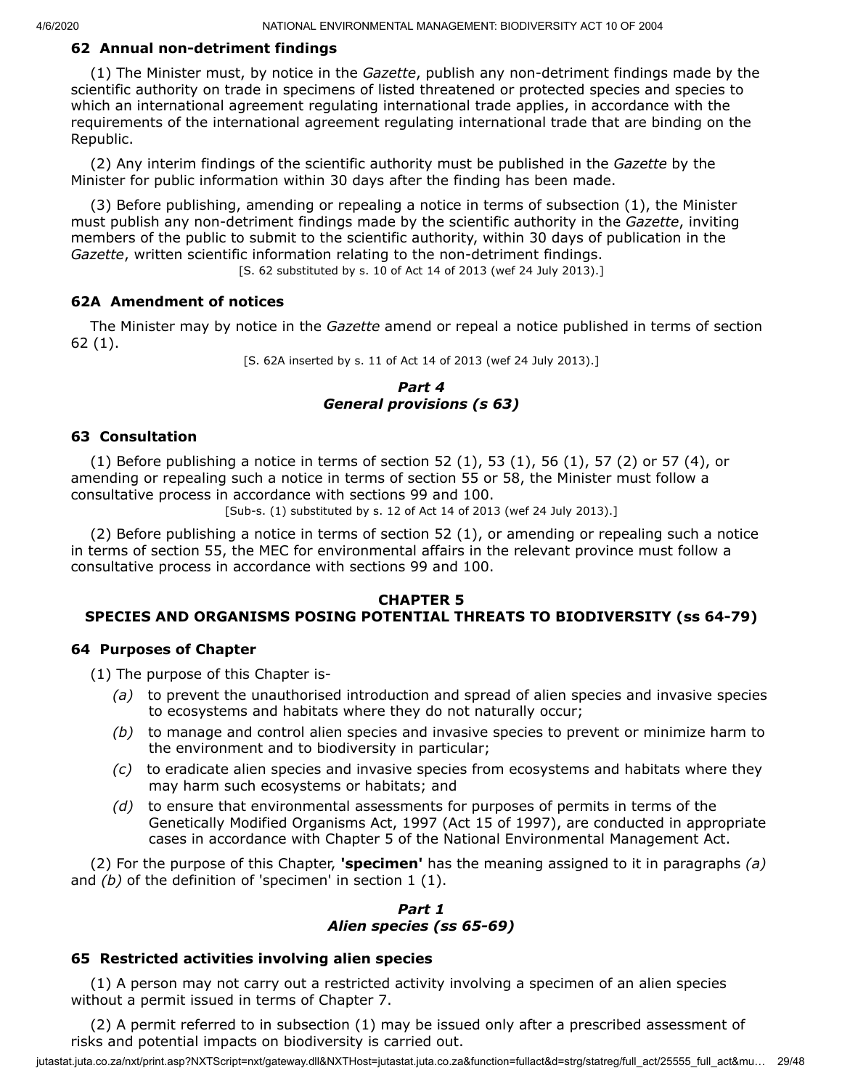# **62 Annual non-detriment findings**

(1) The Minister must, by notice in the *Gazette*, publish any non-detriment findings made by the scientific authority on trade in specimens of listed threatened or protected species and species to which an international agreement regulating international trade applies, in accordance with the requirements of the international agreement regulating international trade that are binding on the Republic.

(2) Any interim findings of the scientific authority must be published in the *Gazette* by the Minister for public information within 30 days after the finding has been made.

(3) Before publishing, amending or repealing a notice in terms of subsection (1), the Minister must publish any non-detriment findings made by the scientific authority in the *Gazette*, inviting members of the public to submit to the scientific authority, within 30 days of publication in the *Gazette*, written scientific information relating to the non-detriment findings.

[S. 62 substituted by s. 10 of Act 14 of 2013 (wef 24 July 2013).]

#### **62A Amendment of notices**

The Minister may by notice in the *Gazette* amend or repeal a notice published in terms of section 62 (1).

[S. 62A inserted by s. 11 of Act 14 of 2013 (wef 24 July 2013).]

#### *Part 4 General provisions (s 63)*

#### **63 Consultation**

(1) Before publishing a notice in terms of section 52 (1), 53 (1), 56 (1), 57 (2) or 57 (4), or amending or repealing such a notice in terms of section 55 or 58, the Minister must follow a consultative process in accordance with sections 99 and 100.

[Sub-s. (1) substituted by s. 12 of Act 14 of 2013 (wef 24 July 2013).]

(2) Before publishing a notice in terms of section 52 (1), or amending or repealing such a notice in terms of section 55, the MEC for environmental affairs in the relevant province must follow a consultative process in accordance with sections 99 and 100.

#### **CHAPTER 5 SPECIES AND ORGANISMS POSING POTENTIAL THREATS TO BIODIVERSITY (ss 64-79)**

#### **64 Purposes of Chapter**

(1) The purpose of this Chapter is-

- *(a)* to prevent the unauthorised introduction and spread of alien species and invasive species to ecosystems and habitats where they do not naturally occur;
- *(b)* to manage and control alien species and invasive species to prevent or minimize harm to the environment and to biodiversity in particular;
- *(c)* to eradicate alien species and invasive species from ecosystems and habitats where they may harm such ecosystems or habitats; and
- *(d)* to ensure that environmental assessments for purposes of permits in terms of the Genetically Modified Organisms Act, 1997 (Act 15 of 1997), are conducted in appropriate cases in accordance with Chapter 5 of the National Environmental Management Act.

(2) For the purpose of this Chapter, **'specimen'** has the meaning assigned to it in paragraphs *(a)* and *(b)* of the definition of 'specimen' in section 1 (1).

*Part 1 Alien species (ss 65-69)*

### **65 Restricted activities involving alien species**

(1) A person may not carry out a restricted activity involving a specimen of an alien species without a permit issued in terms of Chapter 7.

(2) A permit referred to in subsection (1) may be issued only after a prescribed assessment of risks and potential impacts on biodiversity is carried out.

jutastat.juta.co.za/nxt/print.asp?NXTScript=nxt/gateway.dll&NXTHost=jutastat.juta.co.za&function=fullact&d=strg/statreg/full\_act/25555\_full\_act&mu... 29/48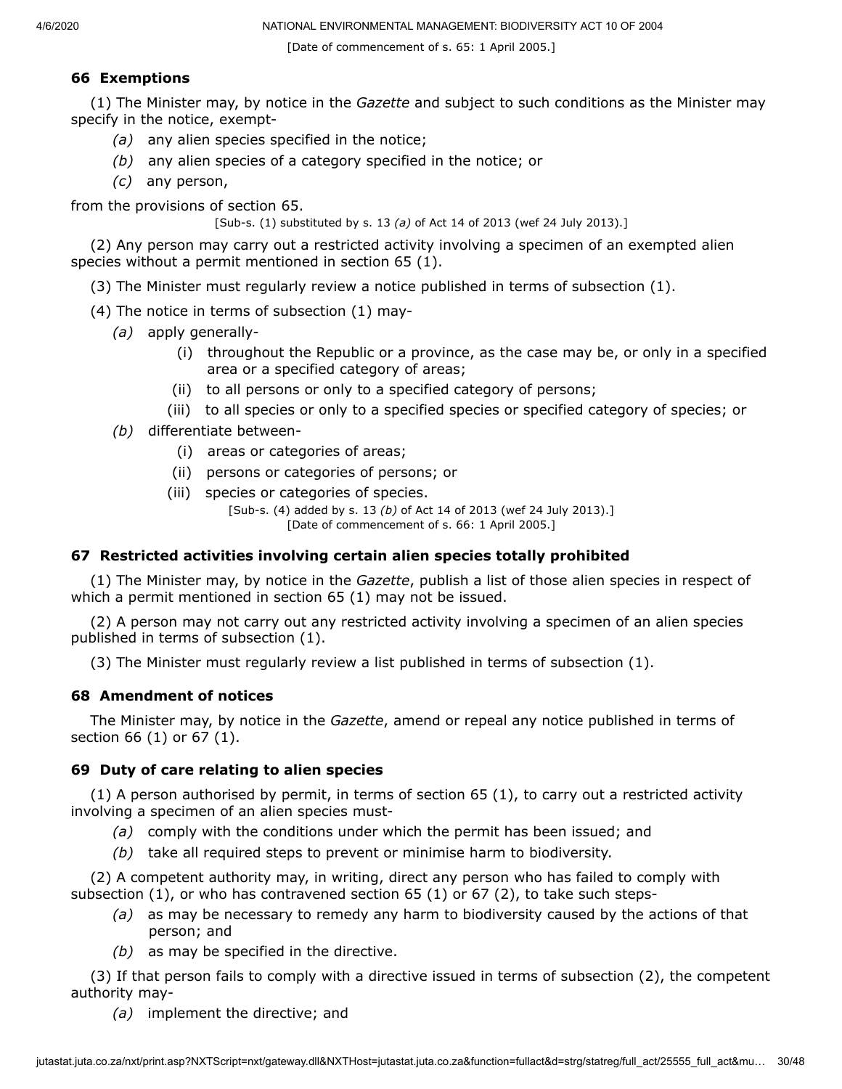[Date of commencement of s. 65: 1 April 2005.]

# **66 Exemptions**

(1) The Minister may, by notice in the *Gazette* and subject to such conditions as the Minister may specify in the notice, exempt-

- *(a)* any alien species specified in the notice;
- *(b)* any alien species of a category specified in the notice; or
- *(c)* any person,

from the provisions of section 65.

[Sub-s. (1) substituted by s. 13 *(a)* of Act 14 of 2013 (wef 24 July 2013).]

(2) Any person may carry out a restricted activity involving a specimen of an exempted alien species without a permit mentioned in section 65 (1).

(3) The Minister must regularly review a notice published in terms of subsection (1).

- (4) The notice in terms of subsection (1) may-
	- *(a)* apply generally-
		- (i) throughout the Republic or a province, as the case may be, or only in a specified area or a specified category of areas;
		- (ii) to all persons or only to a specified category of persons;
		- (iii) to all species or only to a specified species or specified category of species; or
	- *(b)* differentiate between-
		- (i) areas or categories of areas;
		- (ii) persons or categories of persons; or
		- (iii) species or categories of species.

[Sub-s. (4) added by s. 13 *(b)* of Act 14 of 2013 (wef 24 July 2013).] [Date of commencement of s. 66: 1 April 2005.]

### **67 Restricted activities involving certain alien species totally prohibited**

(1) The Minister may, by notice in the *Gazette*, publish a list of those alien species in respect of which a permit mentioned in section 65 (1) may not be issued.

(2) A person may not carry out any restricted activity involving a specimen of an alien species published in terms of subsection (1).

(3) The Minister must regularly review a list published in terms of subsection (1).

# **68 Amendment of notices**

The Minister may, by notice in the *Gazette*, amend or repeal any notice published in terms of section 66 (1) or 67 (1).

# **69 Duty of care relating to alien species**

(1) A person authorised by permit, in terms of section 65 (1), to carry out a restricted activity involving a specimen of an alien species must-

- *(a)* comply with the conditions under which the permit has been issued; and
- *(b)* take all required steps to prevent or minimise harm to biodiversity.

(2) A competent authority may, in writing, direct any person who has failed to comply with subsection (1), or who has contravened section 65 (1) or 67 (2), to take such steps-

- *(a)* as may be necessary to remedy any harm to biodiversity caused by the actions of that person; and
- *(b)* as may be specified in the directive.

(3) If that person fails to comply with a directive issued in terms of subsection (2), the competent authority may-

*(a)* implement the directive; and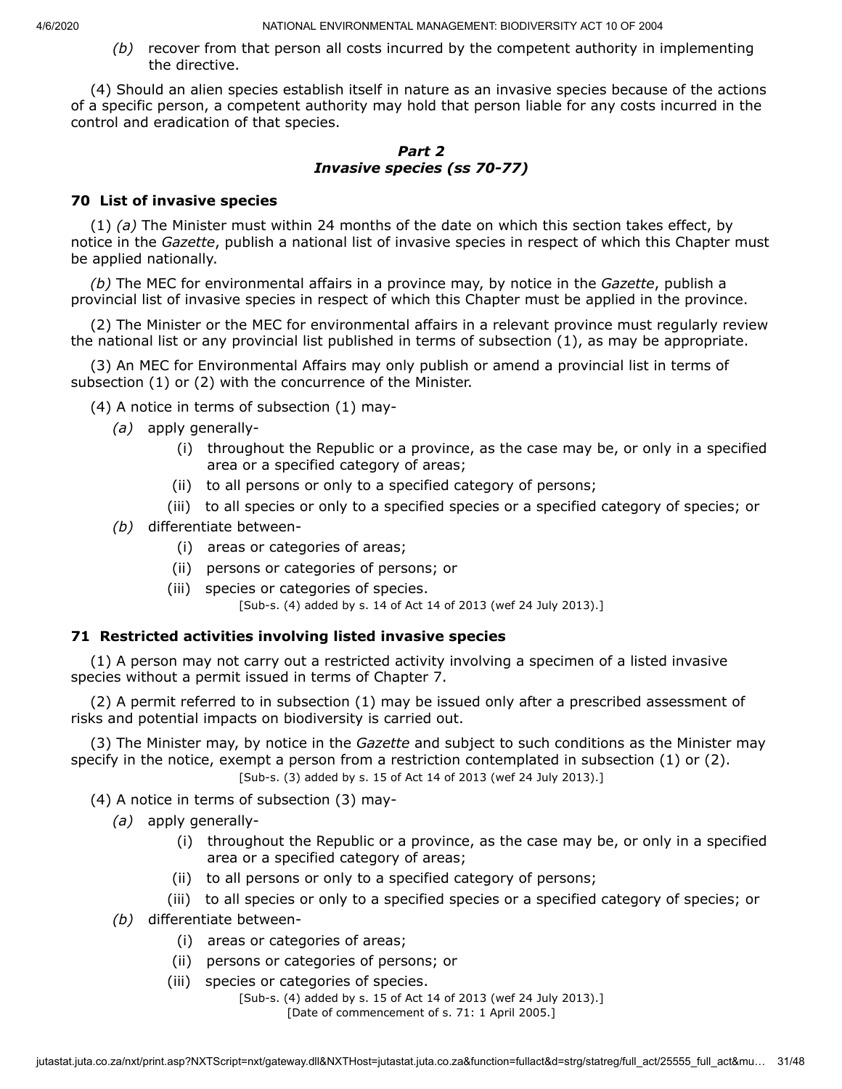*(b)* recover from that person all costs incurred by the competent authority in implementing the directive.

(4) Should an alien species establish itself in nature as an invasive species because of the actions of a specific person, a competent authority may hold that person liable for any costs incurred in the control and eradication of that species.

# *Part 2 Invasive species (ss 70-77)*

# **70 List of invasive species**

(1) *(a)* The Minister must within 24 months of the date on which this section takes effect, by notice in the *Gazette*, publish a national list of invasive species in respect of which this Chapter must be applied nationally.

*(b)* The MEC for environmental affairs in a province may, by notice in the *Gazette*, publish a provincial list of invasive species in respect of which this Chapter must be applied in the province.

(2) The Minister or the MEC for environmental affairs in a relevant province must regularly review the national list or any provincial list published in terms of subsection (1), as may be appropriate.

(3) An MEC for Environmental Affairs may only publish or amend a provincial list in terms of subsection (1) or (2) with the concurrence of the Minister.

(4) A notice in terms of subsection (1) may-

- *(a)* apply generally-
	- (i) throughout the Republic or a province, as the case may be, or only in a specified area or a specified category of areas;
	- (ii) to all persons or only to a specified category of persons;
	- (iii) to all species or only to a specified species or a specified category of species; or
- *(b)* differentiate between-
	- (i) areas or categories of areas;
	- (ii) persons or categories of persons; or
	- (iii) species or categories of species.

[Sub-s. (4) added by s. 14 of Act 14 of 2013 (wef 24 July 2013).]

### **71 Restricted activities involving listed invasive species**

(1) A person may not carry out a restricted activity involving a specimen of a listed invasive species without a permit issued in terms of Chapter 7.

(2) A permit referred to in subsection (1) may be issued only after a prescribed assessment of risks and potential impacts on biodiversity is carried out.

(3) The Minister may, by notice in the *Gazette* and subject to such conditions as the Minister may specify in the notice, exempt a person from a restriction contemplated in subsection (1) or (2). [Sub-s. (3) added by s. 15 of Act 14 of 2013 (wef 24 July 2013).]

(4) A notice in terms of subsection (3) may-

- *(a)* apply generally-
	- (i) throughout the Republic or a province, as the case may be, or only in a specified area or a specified category of areas;
	- (ii) to all persons or only to a specified category of persons;
	- (iii) to all species or only to a specified species or a specified category of species; or
- *(b)* differentiate between-
	- (i) areas or categories of areas;
	- (ii) persons or categories of persons; or
	- (iii) species or categories of species.

[Sub-s. (4) added by s. 15 of Act 14 of 2013 (wef 24 July 2013).] [Date of commencement of s. 71: 1 April 2005.]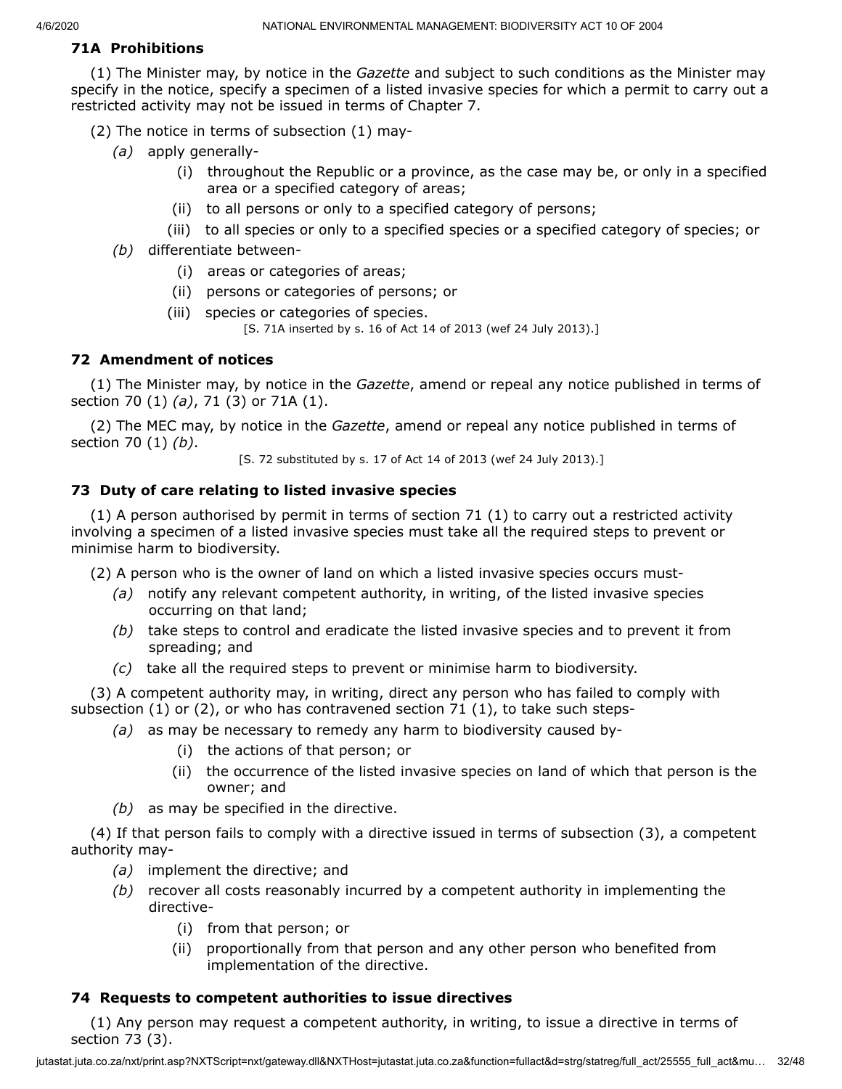# **71A Prohibitions**

(1) The Minister may, by notice in the *Gazette* and subject to such conditions as the Minister may specify in the notice, specify a specimen of a listed invasive species for which a permit to carry out a restricted activity may not be issued in terms of Chapter 7.

(2) The notice in terms of subsection (1) may-

- *(a)* apply generally-
	- (i) throughout the Republic or a province, as the case may be, or only in a specified area or a specified category of areas;
	- (ii) to all persons or only to a specified category of persons;
	- (iii) to all species or only to a specified species or a specified category of species; or
- *(b)* differentiate between-
	- (i) areas or categories of areas;
	- (ii) persons or categories of persons; or
	- (iii) species or categories of species.
		- [S. 71A inserted by s. 16 of Act 14 of 2013 (wef 24 July 2013).]

# **72 Amendment of notices**

(1) The Minister may, by notice in the *Gazette*, amend or repeal any notice published in terms of section 70 (1) *(a)*, 71 (3) or 71A (1).

(2) The MEC may, by notice in the *Gazette*, amend or repeal any notice published in terms of section 70 (1) *(b)*.

[S. 72 substituted by s. 17 of Act 14 of 2013 (wef 24 July 2013).]

# **73 Duty of care relating to listed invasive species**

(1) A person authorised by permit in terms of section 71 (1) to carry out a restricted activity involving a specimen of a listed invasive species must take all the required steps to prevent or minimise harm to biodiversity.

(2) A person who is the owner of land on which a listed invasive species occurs must-

- *(a)* notify any relevant competent authority, in writing, of the listed invasive species occurring on that land;
- *(b)* take steps to control and eradicate the listed invasive species and to prevent it from spreading; and
- *(c)* take all the required steps to prevent or minimise harm to biodiversity.

(3) A competent authority may, in writing, direct any person who has failed to comply with subsection  $(1)$  or  $(2)$ , or who has contravened section 71  $(1)$ , to take such steps-

- *(a)* as may be necessary to remedy any harm to biodiversity caused by-
	- (i) the actions of that person; or
	- (ii) the occurrence of the listed invasive species on land of which that person is the owner; and
- *(b)* as may be specified in the directive.

(4) If that person fails to comply with a directive issued in terms of subsection (3), a competent authority may-

- *(a)* implement the directive; and
- *(b)* recover all costs reasonably incurred by a competent authority in implementing the directive-
	- (i) from that person; or
	- (ii) proportionally from that person and any other person who benefited from implementation of the directive.

### **74 Requests to competent authorities to issue directives**

(1) Any person may request a competent authority, in writing, to issue a directive in terms of section 73 (3).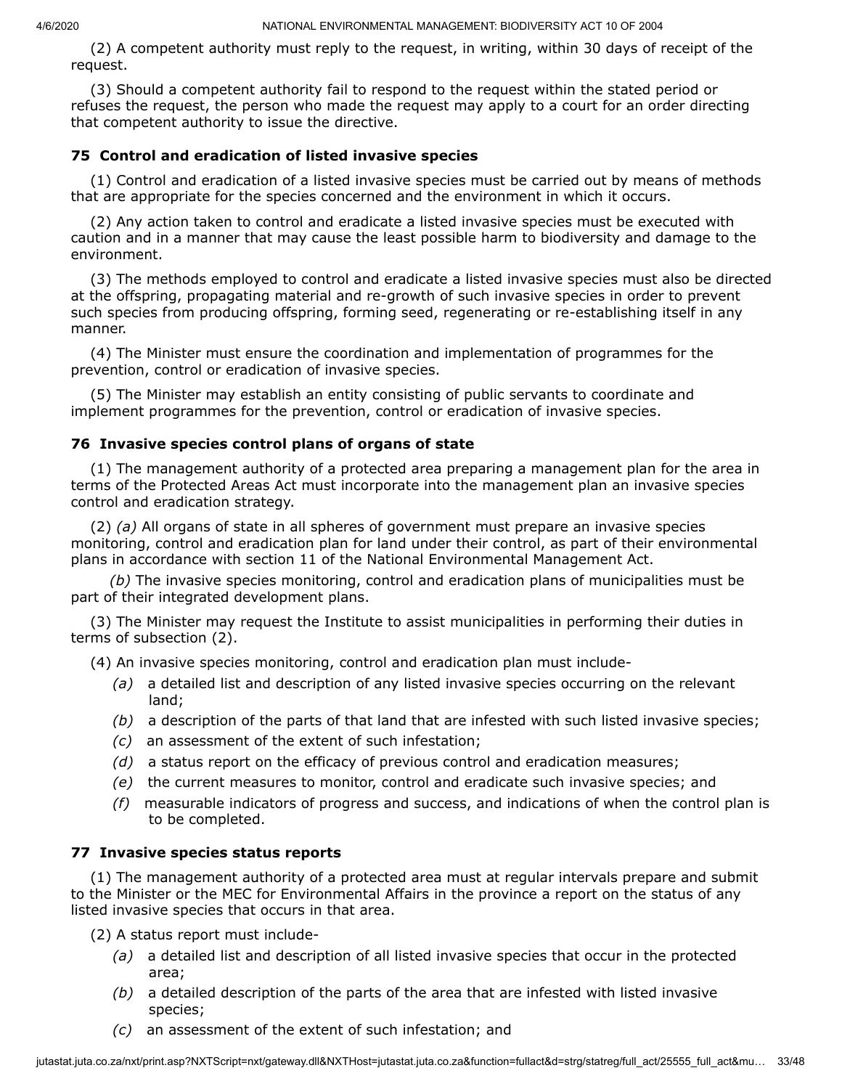(2) A competent authority must reply to the request, in writing, within 30 days of receipt of the request.

(3) Should a competent authority fail to respond to the request within the stated period or refuses the request, the person who made the request may apply to a court for an order directing that competent authority to issue the directive.

#### **75 Control and eradication of listed invasive species**

(1) Control and eradication of a listed invasive species must be carried out by means of methods that are appropriate for the species concerned and the environment in which it occurs.

(2) Any action taken to control and eradicate a listed invasive species must be executed with caution and in a manner that may cause the least possible harm to biodiversity and damage to the environment.

(3) The methods employed to control and eradicate a listed invasive species must also be directed at the offspring, propagating material and re-growth of such invasive species in order to prevent such species from producing offspring, forming seed, regenerating or re-establishing itself in any manner.

(4) The Minister must ensure the coordination and implementation of programmes for the prevention, control or eradication of invasive species.

(5) The Minister may establish an entity consisting of public servants to coordinate and implement programmes for the prevention, control or eradication of invasive species.

#### **76 Invasive species control plans of organs of state**

(1) The management authority of a protected area preparing a management plan for the area in terms of the Protected Areas Act must incorporate into the management plan an invasive species control and eradication strategy.

(2) *(a)* All organs of state in all spheres of government must prepare an invasive species monitoring, control and eradication plan for land under their control, as part of their environmental plans in accordance with section 11 of the National Environmental Management Act.

*(b)* The invasive species monitoring, control and eradication plans of municipalities must be part of their integrated development plans.

(3) The Minister may request the Institute to assist municipalities in performing their duties in terms of subsection (2).

(4) An invasive species monitoring, control and eradication plan must include-

- *(a)* a detailed list and description of any listed invasive species occurring on the relevant land;
- *(b)* a description of the parts of that land that are infested with such listed invasive species;
- *(c)* an assessment of the extent of such infestation;
- *(d)* a status report on the efficacy of previous control and eradication measures;
- *(e)* the current measures to monitor, control and eradicate such invasive species; and
- *(f)* measurable indicators of progress and success, and indications of when the control plan is to be completed.

#### **77 Invasive species status reports**

(1) The management authority of a protected area must at regular intervals prepare and submit to the Minister or the MEC for Environmental Affairs in the province a report on the status of any listed invasive species that occurs in that area.

(2) A status report must include-

- *(a)* a detailed list and description of all listed invasive species that occur in the protected area;
- *(b)* a detailed description of the parts of the area that are infested with listed invasive species;
- *(c)* an assessment of the extent of such infestation; and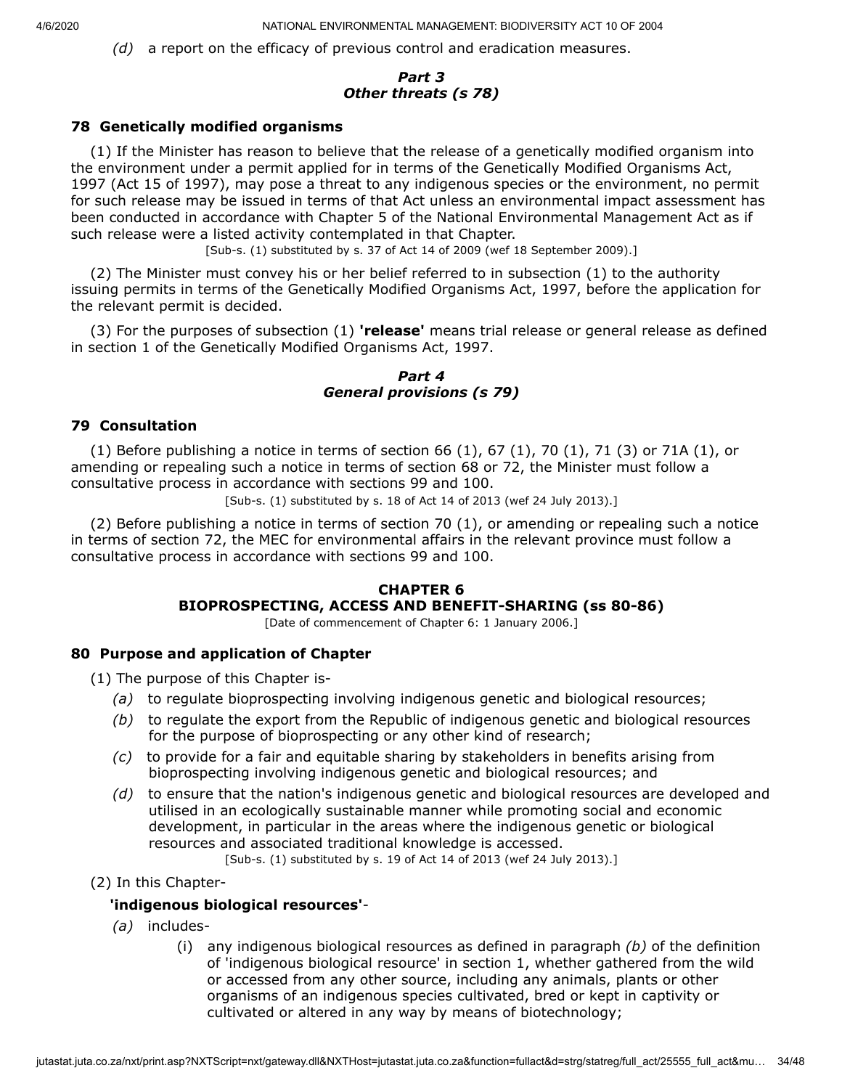*(d)* a report on the efficacy of previous control and eradication measures.

# *Part 3 Other threats (s 78)*

### **78 Genetically modified organisms**

(1) If the Minister has reason to believe that the release of a genetically modified organism into the environment under a permit applied for in terms of the Genetically Modified Organisms Act, 1997 (Act 15 of 1997), may pose a threat to any indigenous species or the environment, no permit for such release may be issued in terms of that Act unless an environmental impact assessment has been conducted in accordance with Chapter 5 of the National Environmental Management Act as if such release were a listed activity contemplated in that Chapter.

[Sub-s. (1) substituted by s. 37 of Act 14 of 2009 (wef 18 September 2009).]

(2) The Minister must convey his or her belief referred to in subsection (1) to the authority issuing permits in terms of the Genetically Modified Organisms Act, 1997, before the application for the relevant permit is decided.

(3) For the purposes of subsection (1) **'release'** means trial release or general release as defined in section 1 of the Genetically Modified Organisms Act, 1997.

#### *Part 4 General provisions (s 79)*

#### **79 Consultation**

(1) Before publishing a notice in terms of section 66  $(1)$ , 67  $(1)$ , 70  $(1)$ , 71  $(3)$  or 71A  $(1)$ , or amending or repealing such a notice in terms of section 68 or 72, the Minister must follow a consultative process in accordance with sections 99 and 100.

[Sub-s. (1) substituted by s. 18 of Act 14 of 2013 (wef 24 July 2013).]

(2) Before publishing a notice in terms of section 70 (1), or amending or repealing such a notice in terms of section 72, the MEC for environmental affairs in the relevant province must follow a consultative process in accordance with sections 99 and 100.

### **CHAPTER 6 BIOPROSPECTING, ACCESS AND BENEFIT-SHARING (ss 80-86)**

[Date of commencement of Chapter 6: 1 January 2006.]

### **80 Purpose and application of Chapter**

(1) The purpose of this Chapter is-

- *(a)* to regulate bioprospecting involving indigenous genetic and biological resources;
- *(b)* to regulate the export from the Republic of indigenous genetic and biological resources for the purpose of bioprospecting or any other kind of research;
- *(c)* to provide for a fair and equitable sharing by stakeholders in benefits arising from bioprospecting involving indigenous genetic and biological resources; and
- *(d)* to ensure that the nation's indigenous genetic and biological resources are developed and utilised in an ecologically sustainable manner while promoting social and economic development, in particular in the areas where the indigenous genetic or biological resources and associated traditional knowledge is accessed.

[Sub-s. (1) substituted by s. 19 of Act 14 of 2013 (wef 24 July 2013).]

(2) In this Chapter-

### **'indigenous biological resources'**-

- *(a)* includes-
	- (i) any indigenous biological resources as defined in paragraph *(b)* of the definition of 'indigenous biological resource' in section 1, whether gathered from the wild or accessed from any other source, including any animals, plants or other organisms of an indigenous species cultivated, bred or kept in captivity or cultivated or altered in any way by means of biotechnology;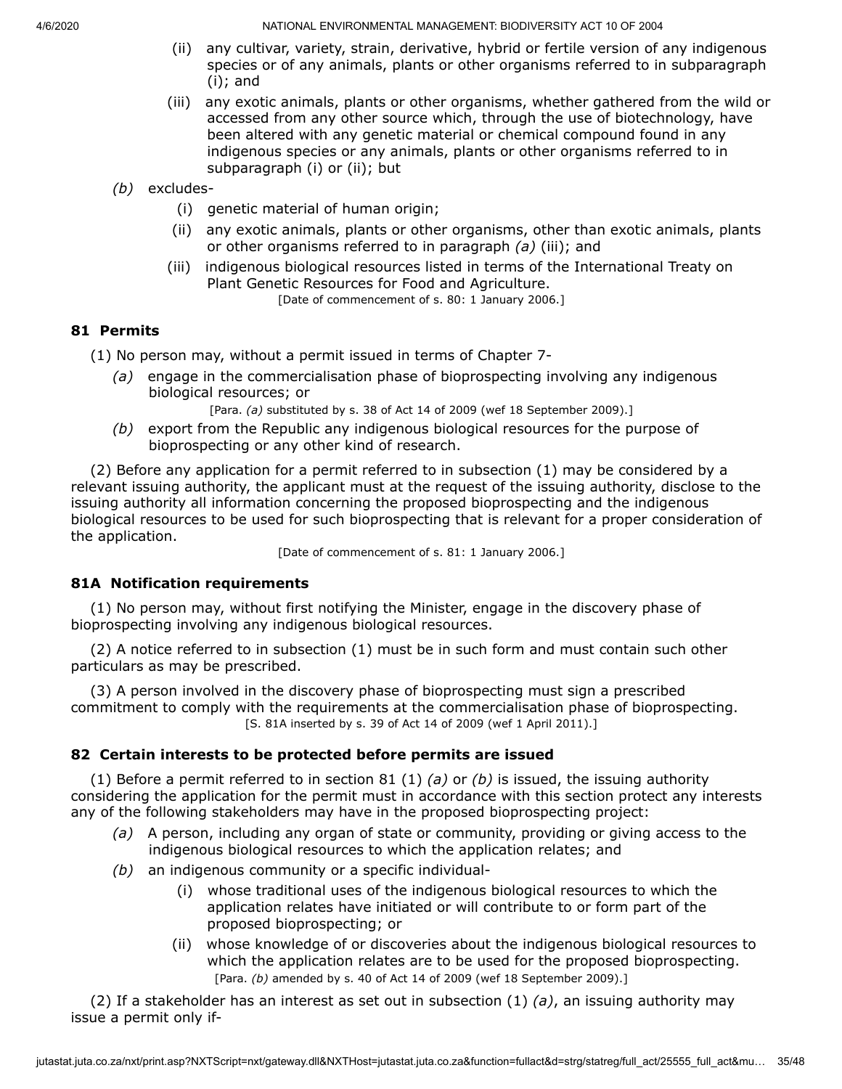- (ii) any cultivar, variety, strain, derivative, hybrid or fertile version of any indigenous species or of any animals, plants or other organisms referred to in subparagraph (i); and
- (iii) any exotic animals, plants or other organisms, whether gathered from the wild or accessed from any other source which, through the use of biotechnology, have been altered with any genetic material or chemical compound found in any indigenous species or any animals, plants or other organisms referred to in subparagraph (i) or (ii); but
- *(b)* excludes-
	- (i) genetic material of human origin;
	- (ii) any exotic animals, plants or other organisms, other than exotic animals, plants or other organisms referred to in paragraph *(a)* (iii); and
	- (iii) indigenous biological resources listed in terms of the International Treaty on Plant Genetic Resources for Food and Agriculture. [Date of commencement of s. 80: 1 January 2006.]

### **81 Permits**

- (1) No person may, without a permit issued in terms of Chapter 7-
	- *(a)* engage in the commercialisation phase of bioprospecting involving any indigenous biological resources; or

[Para. *(a)* substituted by s. 38 of Act 14 of 2009 (wef 18 September 2009).]

*(b)* export from the Republic any indigenous biological resources for the purpose of bioprospecting or any other kind of research.

(2) Before any application for a permit referred to in subsection (1) may be considered by a relevant issuing authority, the applicant must at the request of the issuing authority, disclose to the issuing authority all information concerning the proposed bioprospecting and the indigenous biological resources to be used for such bioprospecting that is relevant for a proper consideration of the application.

[Date of commencement of s. 81: 1 January 2006.]

### **81A Notification requirements**

(1) No person may, without first notifying the Minister, engage in the discovery phase of bioprospecting involving any indigenous biological resources.

(2) A notice referred to in subsection (1) must be in such form and must contain such other particulars as may be prescribed.

(3) A person involved in the discovery phase of bioprospecting must sign a prescribed commitment to comply with the requirements at the commercialisation phase of bioprospecting. [S. 81A inserted by s. 39 of Act 14 of 2009 (wef 1 April 2011).]

### **82 Certain interests to be protected before permits are issued**

(1) Before a permit referred to in section 81 (1) *(a)* or *(b)* is issued, the issuing authority considering the application for the permit must in accordance with this section protect any interests any of the following stakeholders may have in the proposed bioprospecting project:

- *(a)* A person, including any organ of state or community, providing or giving access to the indigenous biological resources to which the application relates; and
- *(b)* an indigenous community or a specific individual-
	- (i) whose traditional uses of the indigenous biological resources to which the application relates have initiated or will contribute to or form part of the proposed bioprospecting; or
	- (ii) whose knowledge of or discoveries about the indigenous biological resources to which the application relates are to be used for the proposed bioprospecting. [Para. *(b)* amended by s. 40 of Act 14 of 2009 (wef 18 September 2009).]

(2) If a stakeholder has an interest as set out in subsection (1) *(a)*, an issuing authority may issue a permit only if-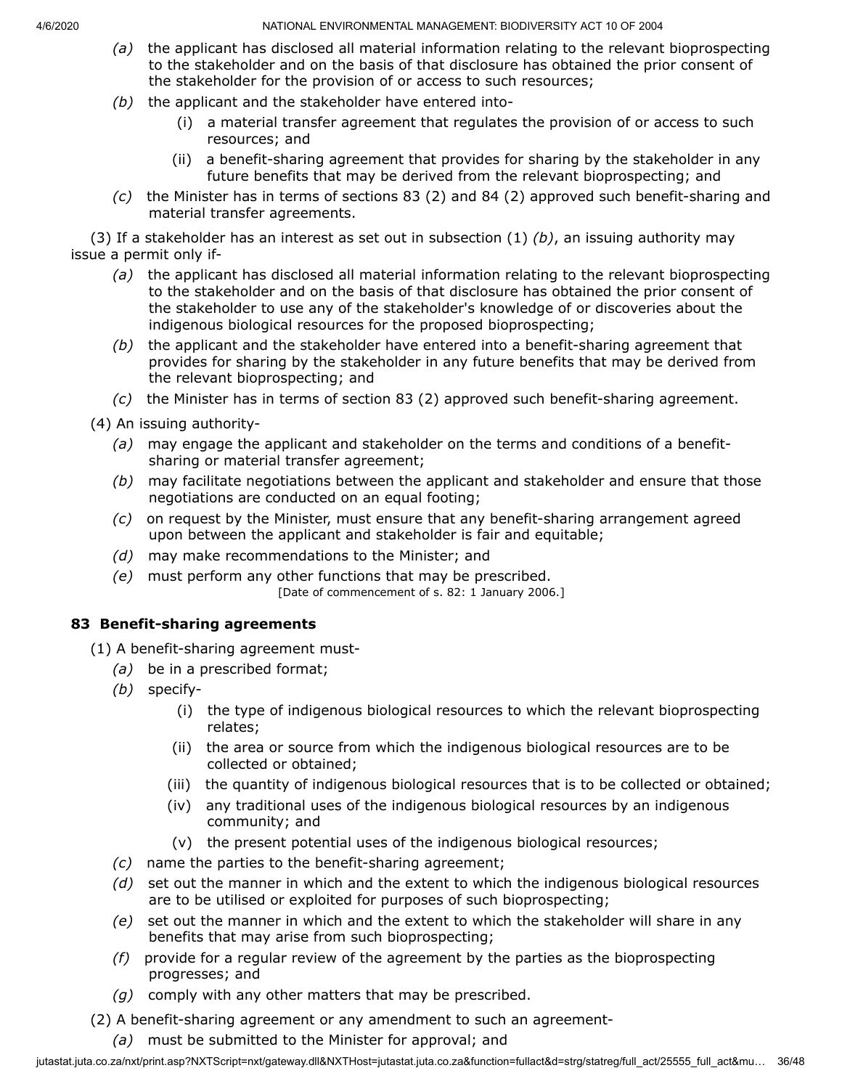- *(a)* the applicant has disclosed all material information relating to the relevant bioprospecting to the stakeholder and on the basis of that disclosure has obtained the prior consent of the stakeholder for the provision of or access to such resources;
- *(b)* the applicant and the stakeholder have entered into-
	- (i) a material transfer agreement that regulates the provision of or access to such resources; and
	- (ii) a benefit-sharing agreement that provides for sharing by the stakeholder in any future benefits that may be derived from the relevant bioprospecting; and
- *(c)* the Minister has in terms of sections 83 (2) and 84 (2) approved such benefit-sharing and material transfer agreements.

(3) If a stakeholder has an interest as set out in subsection (1) *(b)*, an issuing authority may issue a permit only if-

- *(a)* the applicant has disclosed all material information relating to the relevant bioprospecting to the stakeholder and on the basis of that disclosure has obtained the prior consent of the stakeholder to use any of the stakeholder's knowledge of or discoveries about the indigenous biological resources for the proposed bioprospecting;
- *(b)* the applicant and the stakeholder have entered into a benefit-sharing agreement that provides for sharing by the stakeholder in any future benefits that may be derived from the relevant bioprospecting; and
- *(c)* the Minister has in terms of section 83 (2) approved such benefit-sharing agreement.
- (4) An issuing authority-
	- *(a)* may engage the applicant and stakeholder on the terms and conditions of a benefitsharing or material transfer agreement;
	- *(b)* may facilitate negotiations between the applicant and stakeholder and ensure that those negotiations are conducted on an equal footing;
	- *(c)* on request by the Minister, must ensure that any benefit-sharing arrangement agreed upon between the applicant and stakeholder is fair and equitable;
	- *(d)* may make recommendations to the Minister; and
	- *(e)* must perform any other functions that may be prescribed.

[Date of commencement of s. 82: 1 January 2006.]

# **83 Benefit-sharing agreements**

(1) A benefit-sharing agreement must-

- *(a)* be in a prescribed format;
- *(b)* specify-
	- (i) the type of indigenous biological resources to which the relevant bioprospecting relates;
	- (ii) the area or source from which the indigenous biological resources are to be collected or obtained;
	- (iii) the quantity of indigenous biological resources that is to be collected or obtained;
	- (iv) any traditional uses of the indigenous biological resources by an indigenous community; and
	- (v) the present potential uses of the indigenous biological resources;
- *(c)* name the parties to the benefit-sharing agreement;
- *(d)* set out the manner in which and the extent to which the indigenous biological resources are to be utilised or exploited for purposes of such bioprospecting;
- *(e)* set out the manner in which and the extent to which the stakeholder will share in any benefits that may arise from such bioprospecting;
- *(f)* provide for a regular review of the agreement by the parties as the bioprospecting progresses; and
- *(g)* comply with any other matters that may be prescribed.
- (2) A benefit-sharing agreement or any amendment to such an agreement-
	- *(a)* must be submitted to the Minister for approval; and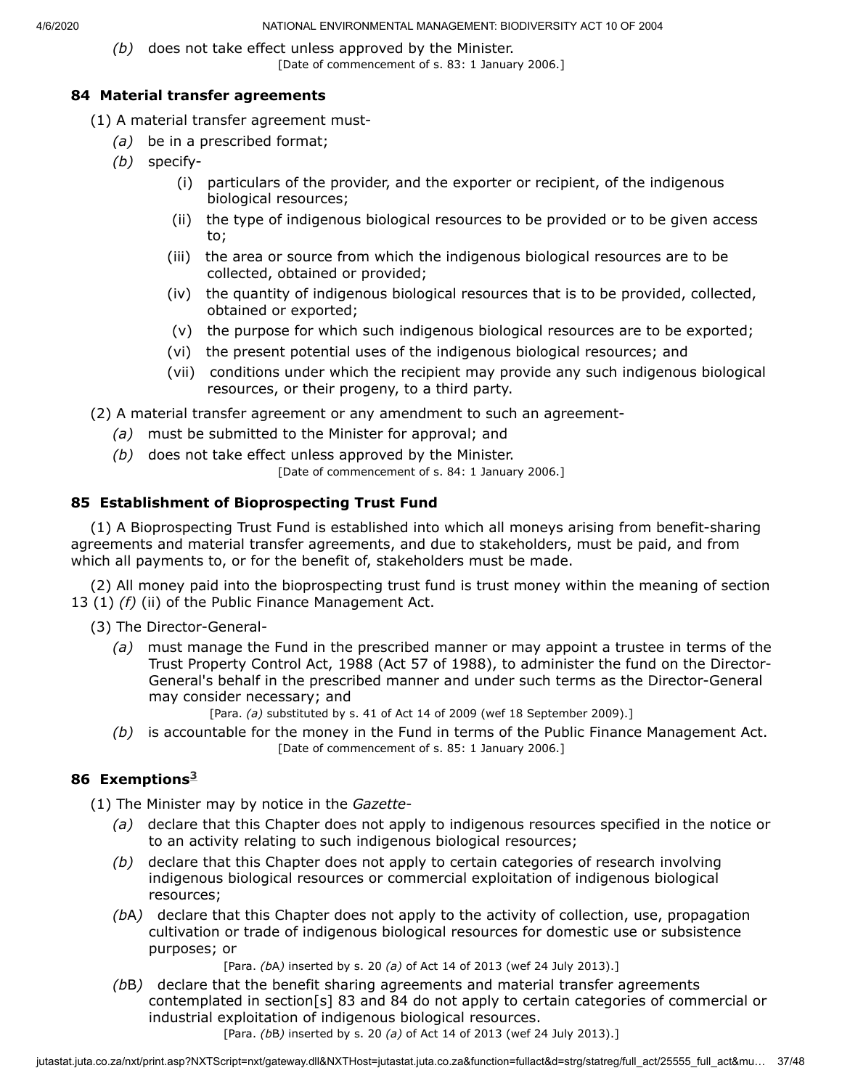*(b)* does not take effect unless approved by the Minister.

[Date of commencement of s. 83: 1 January 2006.]

# **84 Material transfer agreements**

- (1) A material transfer agreement must-
	- *(a)* be in a prescribed format;
	- *(b)* specify-
		- (i) particulars of the provider, and the exporter or recipient, of the indigenous biological resources;
		- (ii) the type of indigenous biological resources to be provided or to be given access to;
		- (iii) the area or source from which the indigenous biological resources are to be collected, obtained or provided;
		- (iv) the quantity of indigenous biological resources that is to be provided, collected, obtained or exported;
		- (v) the purpose for which such indigenous biological resources are to be exported;
		- (vi) the present potential uses of the indigenous biological resources; and
		- (vii) conditions under which the recipient may provide any such indigenous biological resources, or their progeny, to a third party.

(2) A material transfer agreement or any amendment to such an agreement-

- *(a)* must be submitted to the Minister for approval; and
- *(b)* does not take effect unless approved by the Minister.
	- [Date of commencement of s. 84: 1 January 2006.]

# **85 Establishment of Bioprospecting Trust Fund**

(1) A Bioprospecting Trust Fund is established into which all moneys arising from benefit-sharing agreements and material transfer agreements, and due to stakeholders, must be paid, and from which all payments to, or for the benefit of, stakeholders must be made.

(2) All money paid into the bioprospecting trust fund is trust money within the meaning of section 13 (1) *(f)* (ii) of the Public Finance Management Act.

(3) The Director-General-

*(a)* must manage the Fund in the prescribed manner or may appoint a trustee in terms of the Trust Property Control Act, 1988 (Act 57 of 1988), to administer the fund on the Director-General's behalf in the prescribed manner and under such terms as the Director-General may consider necessary; and

[Para. *(a)* substituted by s. 41 of Act 14 of 2009 (wef 18 September 2009).]

*(b)* is accountable for the money in the Fund in terms of the Public Finance Management Act. [Date of commencement of s. 85: 1 January 2006.]

# **86 Exemptions [3](#page-37-0)**

(1) The Minister may by notice in the *Gazette*-

- *(a)* declare that this Chapter does not apply to indigenous resources specified in the notice or to an activity relating to such indigenous biological resources;
- *(b)* declare that this Chapter does not apply to certain categories of research involving indigenous biological resources or commercial exploitation of indigenous biological resources;
- *(b*A*)* declare that this Chapter does not apply to the activity of collection, use, propagation cultivation or trade of indigenous biological resources for domestic use or subsistence purposes; or

[Para. *(b*A*)* inserted by s. 20 *(a)* of Act 14 of 2013 (wef 24 July 2013).]

*(b*B*)* declare that the benefit sharing agreements and material transfer agreements contemplated in section[s] 83 and 84 do not apply to certain categories of commercial or industrial exploitation of indigenous biological resources.

[Para. *(b*B*)* inserted by s. 20 *(a)* of Act 14 of 2013 (wef 24 July 2013).]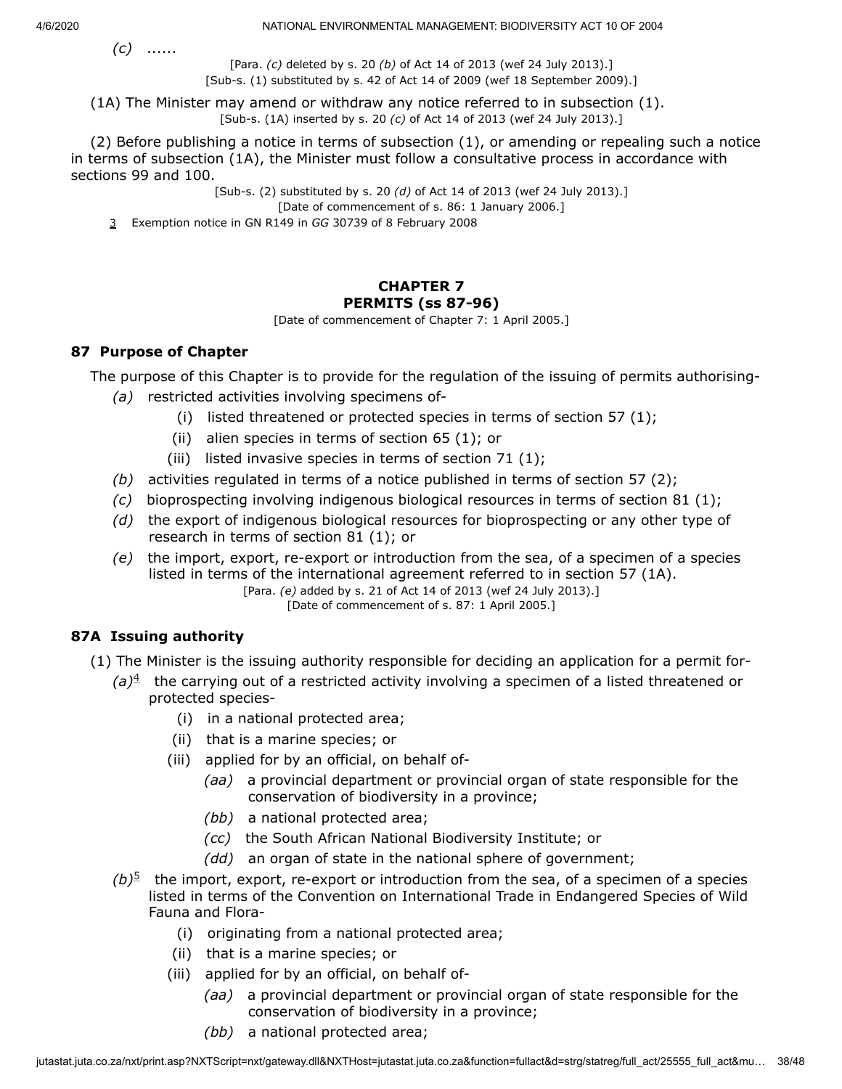*(c)* ......

4/6/2020 NATIONAL ENVIRONMENTAL MANAGEMENT: BIODIVERSITY ACT 10 OF 2004

[Para. *(c)* deleted by s. 20 *(b)* of Act 14 of 2013 (wef 24 July 2013).] [Sub-s. (1) substituted by s. 42 of Act 14 of 2009 (wef 18 September 2009).]

(1A) The Minister may amend or withdraw any notice referred to in subsection (1). [Sub-s. (1A) inserted by s. 20 *(c)* of Act 14 of 2013 (wef 24 July 2013).]

(2) Before publishing a notice in terms of subsection (1), or amending or repealing such a notice in terms of subsection (1A), the Minister must follow a consultative process in accordance with sections 99 and 100.

[Sub-s. (2) substituted by s. 20 *(d)* of Act 14 of 2013 (wef 24 July 2013).]

[Date of commencement of s. 86: 1 January 2006.]

<span id="page-37-0"></span>3 Exemption notice in GN R149 in *GG* 30739 of 8 February 2008

# **CHAPTER 7 PERMITS (ss 87-96)**

[Date of commencement of Chapter 7: 1 April 2005.]

# **87 Purpose of Chapter**

The purpose of this Chapter is to provide for the regulation of the issuing of permits authorising-

- *(a)* restricted activities involving specimens of-
	- (i) listed threatened or protected species in terms of section  $57$  (1);
	- (ii) alien species in terms of section 65 (1); or
	- (iii) listed invasive species in terms of section 71 (1);
- *(b)* activities regulated in terms of a notice published in terms of section 57 (2);
- *(c)* bioprospecting involving indigenous biological resources in terms of section 81 (1);
- *(d)* the export of indigenous biological resources for bioprospecting or any other type of research in terms of section 81 (1); or
- *(e)* the import, export, re-export or introduction from the sea, of a specimen of a species listed in terms of the international agreement referred to in section 57 (1A).

[Para. *(e)* added by s. 21 of Act 14 of 2013 (wef 24 July 2013).] [Date of commencement of s. 87: 1 April 2005.]

# **87A Issuing authority**

- (1) The Minister is the issuing authority responsible for deciding an application for a permit for-
	- $(a)$ <sup>[4](#page-38-0)</sup> the carrying out of a restricted activity involving a specimen of a listed threatened or protected species-
		- (i) in a national protected area;
		- (ii) that is a marine species; or
		- (iii) applied for by an official, on behalf of-
			- *(aa)* a provincial department or provincial organ of state responsible for the conservation of biodiversity in a province;
			- *(bb)* a national protected area;
			- *(cc)* the South African National Biodiversity Institute; or
			- *(dd)* an organ of state in the national sphere of government;
	- $(b)$ <sup>[5](#page-38-1)</sup> the import, export, re-export or introduction from the sea, of a specimen of a species listed in terms of the Convention on International Trade in Endangered Species of Wild Fauna and Flora-
		- (i) originating from a national protected area;
		- (ii) that is a marine species; or
		- (iii) applied for by an official, on behalf of-
			- *(aa)* a provincial department or provincial organ of state responsible for the conservation of biodiversity in a province;
			- *(bb)* a national protected area;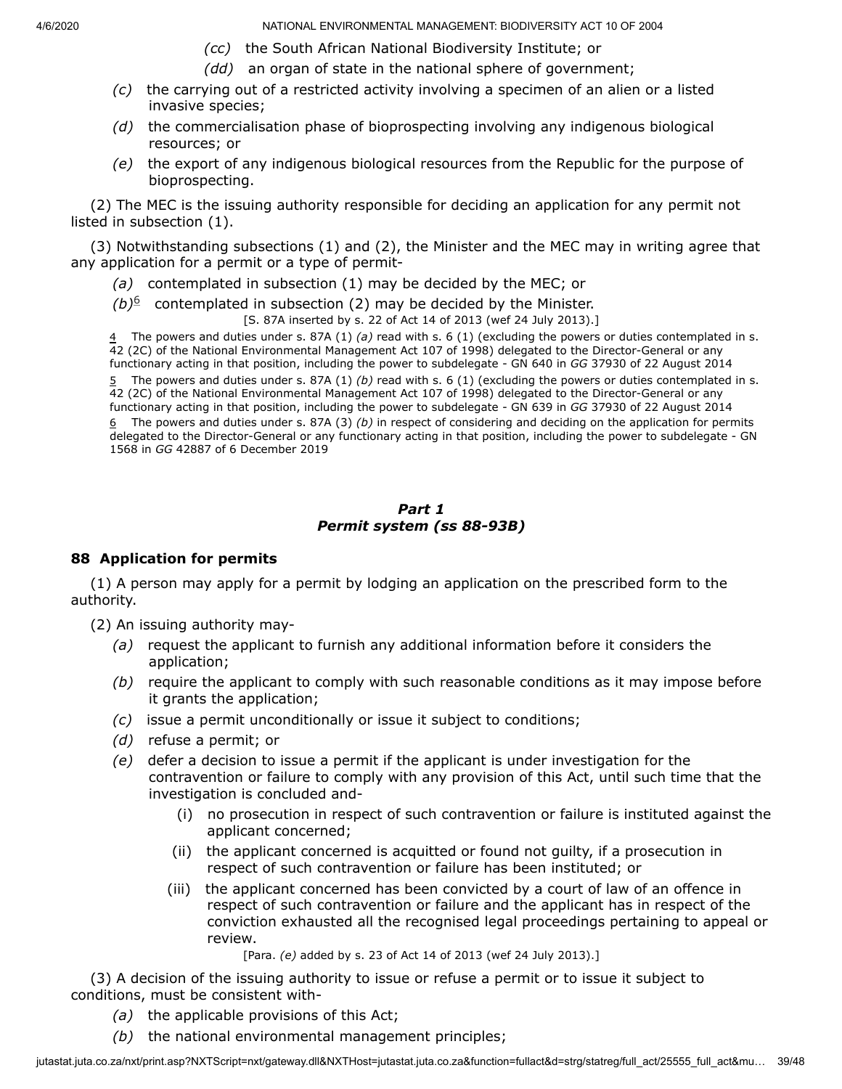- *(cc)* the South African National Biodiversity Institute; or
- *(dd)* an organ of state in the national sphere of government;
- *(c)* the carrying out of a restricted activity involving a specimen of an alien or a listed invasive species;
- *(d)* the commercialisation phase of bioprospecting involving any indigenous biological resources; or
- *(e)* the export of any indigenous biological resources from the Republic for the purpose of bioprospecting.

(2) The MEC is the issuing authority responsible for deciding an application for any permit not listed in subsection (1).

(3) Notwithstanding subsections (1) and (2), the Minister and the MEC may in writing agree that any application for a permit or a type of permit-

- *(a)* contemplated in subsection (1) may be decided by the MEC; or
- $(b)$ <sup>[6](#page-38-2)</sup> contemplated in subsection (2) may be decided by the Minister.

[S. 87A inserted by s. 22 of Act 14 of 2013 (wef 24 July 2013).]

<span id="page-38-0"></span>4 The powers and duties under s. 87A (1) *(a)* read with s. 6 (1) (excluding the powers or duties contemplated in s. 42 (2C) of the National Environmental Management Act 107 of 1998) delegated to the Director-General or any functionary acting in that position, including the power to subdelegate - GN 640 in *GG* 37930 of 22 August 2014

<span id="page-38-2"></span><span id="page-38-1"></span> The powers and duties under s. 87A (1) *(b)* read with s. 6 (1) (excluding the powers or duties contemplated in s. (2C) of the National Environmental Management Act 107 of 1998) delegated to the Director-General or any functionary acting in that position, including the power to subdelegate - GN 639 in *GG* 37930 of 22 August 2014 The powers and duties under s. 87A (3) *(b)* in respect of considering and deciding on the application for permits delegated to the Director-General or any functionary acting in that position, including the power to subdelegate - GN in *GG* 42887 of 6 December 2019

#### *Part 1 Permit system (ss 88-93B)*

### **88 Application for permits**

(1) A person may apply for a permit by lodging an application on the prescribed form to the authority.

(2) An issuing authority may-

- *(a)* request the applicant to furnish any additional information before it considers the application;
- *(b)* require the applicant to comply with such reasonable conditions as it may impose before it grants the application;
- *(c)* issue a permit unconditionally or issue it subject to conditions;
- *(d)* refuse a permit; or
- *(e)* defer a decision to issue a permit if the applicant is under investigation for the contravention or failure to comply with any provision of this Act, until such time that the investigation is concluded and-
	- (i) no prosecution in respect of such contravention or failure is instituted against the applicant concerned;
	- (ii) the applicant concerned is acquitted or found not guilty, if a prosecution in respect of such contravention or failure has been instituted; or
	- (iii) the applicant concerned has been convicted by a court of law of an offence in respect of such contravention or failure and the applicant has in respect of the conviction exhausted all the recognised legal proceedings pertaining to appeal or review.

[Para. *(e)* added by s. 23 of Act 14 of 2013 (wef 24 July 2013).]

(3) A decision of the issuing authority to issue or refuse a permit or to issue it subject to conditions, must be consistent with-

- *(a)* the applicable provisions of this Act;
- *(b)* the national environmental management principles;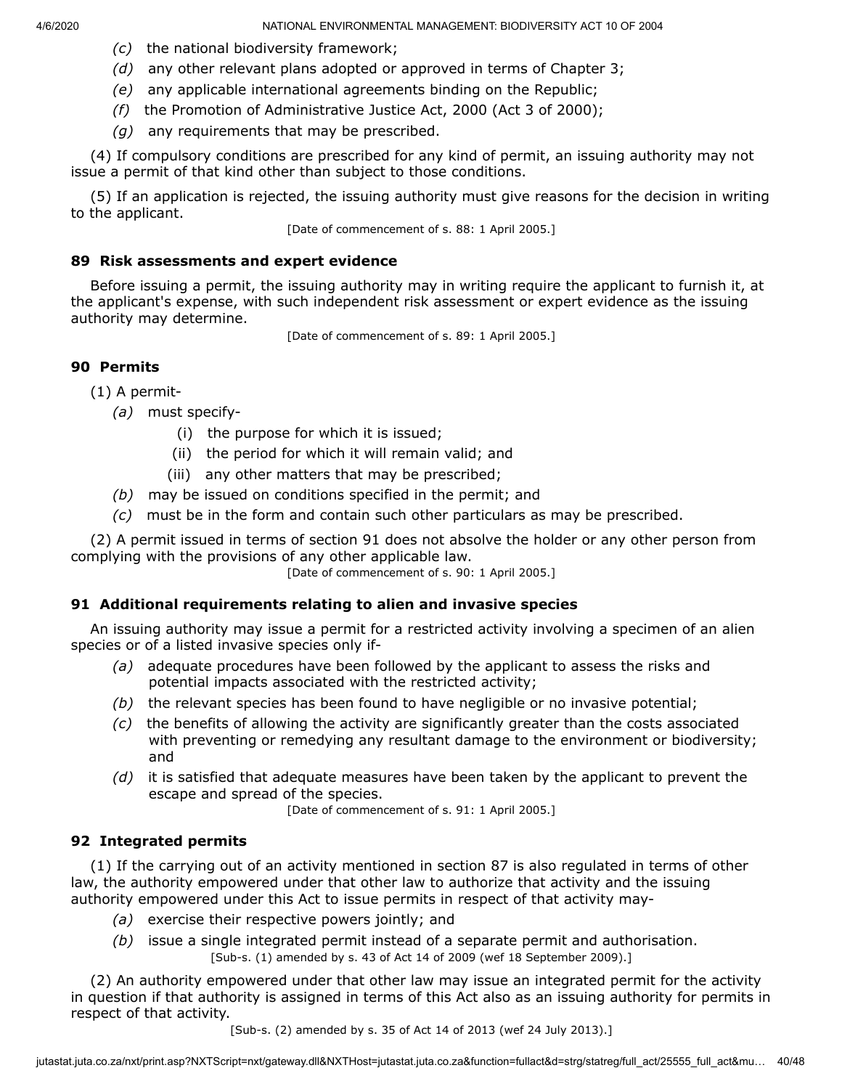- *(c)* the national biodiversity framework;
- *(d)* any other relevant plans adopted or approved in terms of Chapter 3;
- *(e)* any applicable international agreements binding on the Republic;
- *(f)* the Promotion of Administrative Justice Act, 2000 (Act 3 of 2000);
- *(g)* any requirements that may be prescribed.

(4) If compulsory conditions are prescribed for any kind of permit, an issuing authority may not issue a permit of that kind other than subject to those conditions.

(5) If an application is rejected, the issuing authority must give reasons for the decision in writing to the applicant.

[Date of commencement of s. 88: 1 April 2005.]

# **89 Risk assessments and expert evidence**

Before issuing a permit, the issuing authority may in writing require the applicant to furnish it, at the applicant's expense, with such independent risk assessment or expert evidence as the issuing authority may determine.

[Date of commencement of s. 89: 1 April 2005.]

# **90 Permits**

(1) A permit-

- *(a)* must specify-
	- (i) the purpose for which it is issued;
	- (ii) the period for which it will remain valid; and
	- (iii) any other matters that may be prescribed;
- *(b)* may be issued on conditions specified in the permit; and
- *(c)* must be in the form and contain such other particulars as may be prescribed.

(2) A permit issued in terms of section 91 does not absolve the holder or any other person from complying with the provisions of any other applicable law.

[Date of commencement of s. 90: 1 April 2005.]

# **91 Additional requirements relating to alien and invasive species**

An issuing authority may issue a permit for a restricted activity involving a specimen of an alien species or of a listed invasive species only if-

- *(a)* adequate procedures have been followed by the applicant to assess the risks and potential impacts associated with the restricted activity;
- *(b)* the relevant species has been found to have negligible or no invasive potential;
- *(c)* the benefits of allowing the activity are significantly greater than the costs associated with preventing or remedying any resultant damage to the environment or biodiversity; and
- *(d)* it is satisfied that adequate measures have been taken by the applicant to prevent the escape and spread of the species.

[Date of commencement of s. 91: 1 April 2005.]

# **92 Integrated permits**

(1) If the carrying out of an activity mentioned in section 87 is also regulated in terms of other law, the authority empowered under that other law to authorize that activity and the issuing authority empowered under this Act to issue permits in respect of that activity may-

- *(a)* exercise their respective powers jointly; and
- *(b)* issue a single integrated permit instead of a separate permit and authorisation. [Sub-s. (1) amended by s. 43 of Act 14 of 2009 (wef 18 September 2009).]

(2) An authority empowered under that other law may issue an integrated permit for the activity in question if that authority is assigned in terms of this Act also as an issuing authority for permits in respect of that activity.

[Sub-s. (2) amended by s. 35 of Act 14 of 2013 (wef 24 July 2013).]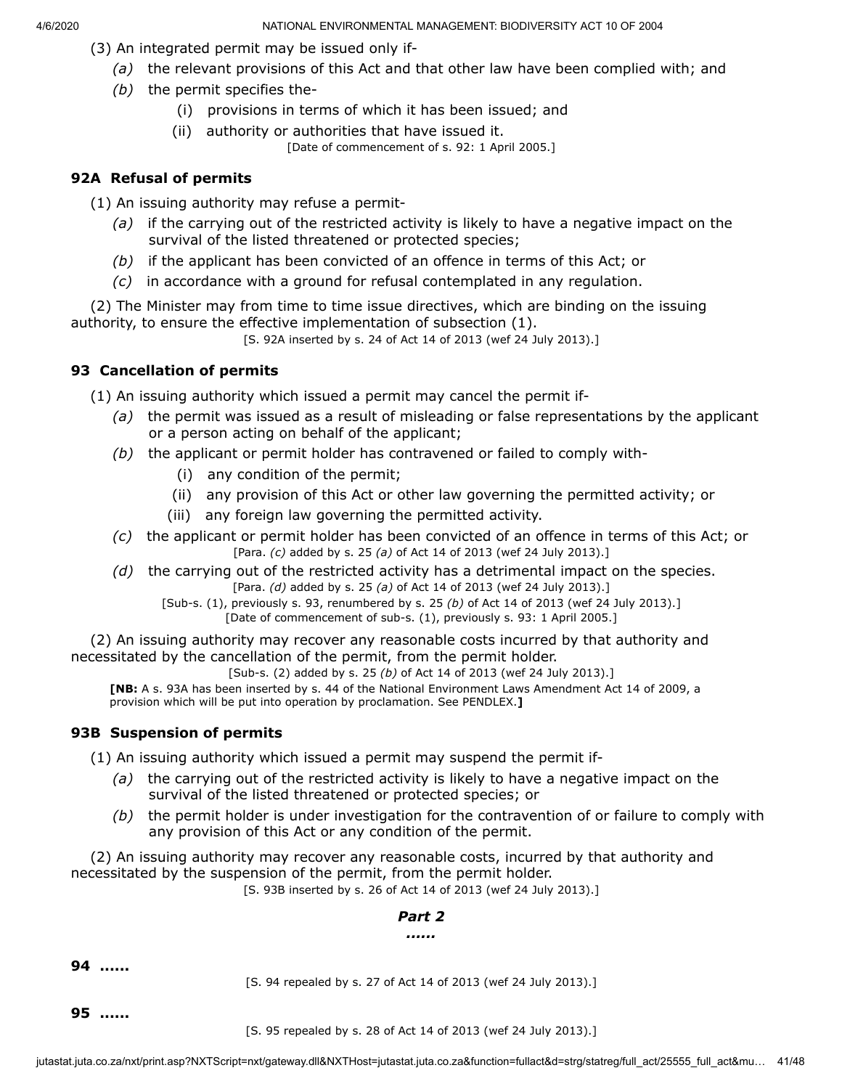- (3) An integrated permit may be issued only if-
	- *(a)* the relevant provisions of this Act and that other law have been complied with; and
	- *(b)* the permit specifies the-
		- (i) provisions in terms of which it has been issued; and
		- (ii) authority or authorities that have issued it.

[Date of commencement of s. 92: 1 April 2005.]

# **92A Refusal of permits**

(1) An issuing authority may refuse a permit-

- *(a)* if the carrying out of the restricted activity is likely to have a negative impact on the survival of the listed threatened or protected species;
- *(b)* if the applicant has been convicted of an offence in terms of this Act; or
- *(c)* in accordance with a ground for refusal contemplated in any regulation.

(2) The Minister may from time to time issue directives, which are binding on the issuing authority, to ensure the effective implementation of subsection (1).

[S. 92A inserted by s. 24 of Act 14 of 2013 (wef 24 July 2013).]

# **93 Cancellation of permits**

(1) An issuing authority which issued a permit may cancel the permit if-

- *(a)* the permit was issued as a result of misleading or false representations by the applicant or a person acting on behalf of the applicant;
- *(b)* the applicant or permit holder has contravened or failed to comply with-
	- (i) any condition of the permit;
	- (ii) any provision of this Act or other law governing the permitted activity; or
	- (iii) any foreign law governing the permitted activity.
- *(c)* the applicant or permit holder has been convicted of an offence in terms of this Act; or [Para. *(c)* added by s. 25 *(a)* of Act 14 of 2013 (wef 24 July 2013).]
- *(d)* the carrying out of the restricted activity has a detrimental impact on the species. [Para. *(d)* added by s. 25 *(a)* of Act 14 of 2013 (wef 24 July 2013).]
	- [Sub-s. (1), previously s. 93, renumbered by s. 25 *(b)* of Act 14 of 2013 (wef 24 July 2013).] [Date of commencement of sub-s. (1), previously s. 93: 1 April 2005.]

(2) An issuing authority may recover any reasonable costs incurred by that authority and necessitated by the cancellation of the permit, from the permit holder.

[Sub-s. (2) added by s. 25 *(b)* of Act 14 of 2013 (wef 24 July 2013).]

**[NB:** A s. 93A has been inserted by s. 44 of the National Environment Laws Amendment Act 14 of 2009, a provision which will be put into operation by proclamation. See PENDLEX.**]**

# **93B Suspension of permits**

(1) An issuing authority which issued a permit may suspend the permit if-

- *(a)* the carrying out of the restricted activity is likely to have a negative impact on the survival of the listed threatened or protected species; or
- *(b)* the permit holder is under investigation for the contravention of or failure to comply with any provision of this Act or any condition of the permit.

(2) An issuing authority may recover any reasonable costs, incurred by that authority and necessitated by the suspension of the permit, from the permit holder.

[S. 93B inserted by s. 26 of Act 14 of 2013 (wef 24 July 2013).]

# *Part 2*

#### *......*

**94 ......**

[S. 94 repealed by s. 27 of Act 14 of 2013 (wef 24 July 2013).]

**95 ......**

[S. 95 repealed by s. 28 of Act 14 of 2013 (wef 24 July 2013).]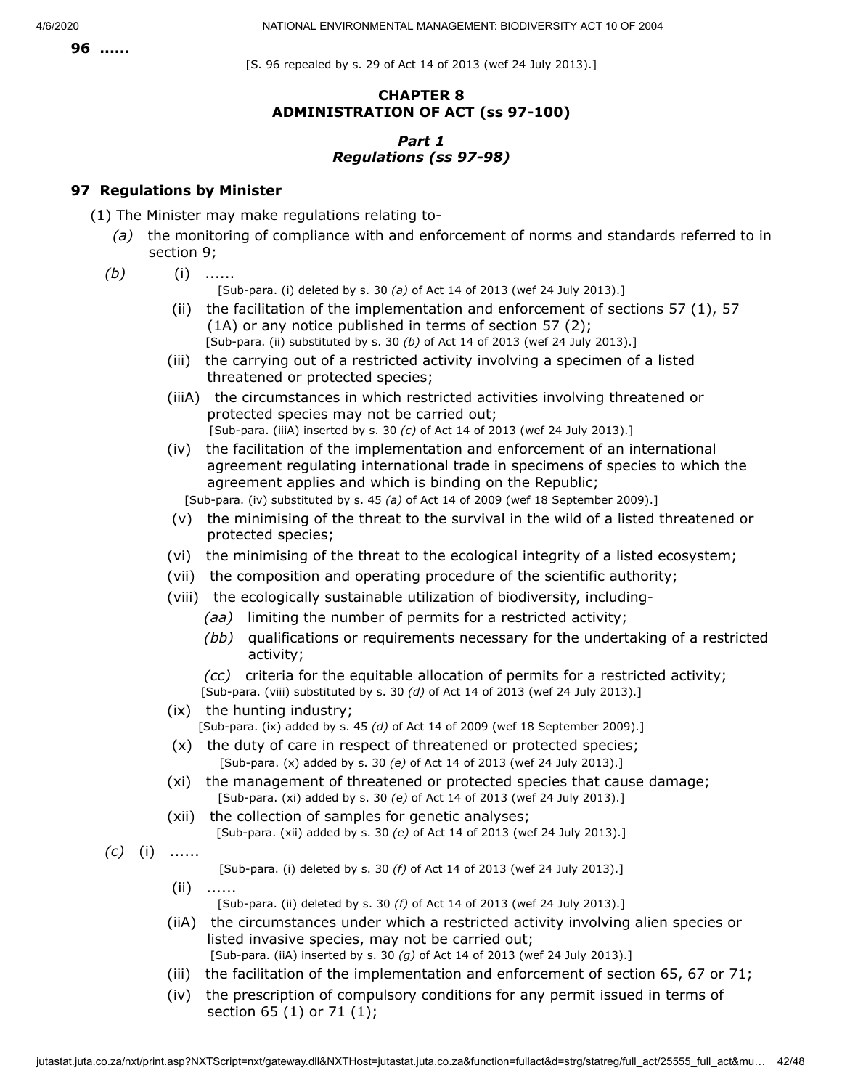[S. 96 repealed by s. 29 of Act 14 of 2013 (wef 24 July 2013).]

# **CHAPTER 8 ADMINISTRATION OF ACT (ss 97-100)**

# *Part 1 Regulations (ss 97-98)*

# **97 Regulations by Minister**

- (1) The Minister may make regulations relating to-
	- *(a)* the monitoring of compliance with and enforcement of norms and standards referred to in section 9;
	- *(b)* (i) ......

[Sub-para. (i) deleted by s. 30 *(a)* of Act 14 of 2013 (wef 24 July 2013).]

- (ii) the facilitation of the implementation and enforcement of sections 57  $(1)$ , 57 (1A) or any notice published in terms of section 57 (2); [Sub-para. (ii) substituted by s. 30 *(b)* of Act 14 of 2013 (wef 24 July 2013).]
- (iii) the carrying out of a restricted activity involving a specimen of a listed threatened or protected species;
- (iiiA) the circumstances in which restricted activities involving threatened or protected species may not be carried out; [Sub-para. (iiiA) inserted by s. 30 *(c)* of Act 14 of 2013 (wef 24 July 2013).]
- (iv) the facilitation of the implementation and enforcement of an international agreement regulating international trade in specimens of species to which the agreement applies and which is binding on the Republic;

[Sub-para. (iv) substituted by s. 45 *(a)* of Act 14 of 2009 (wef 18 September 2009).]

- (v) the minimising of the threat to the survival in the wild of a listed threatened or protected species;
- (vi) the minimising of the threat to the ecological integrity of a listed ecosystem;
- (vii) the composition and operating procedure of the scientific authority;
- (viii) the ecologically sustainable utilization of biodiversity, including-
	- *(aa)* limiting the number of permits for a restricted activity;
	- *(bb)* qualifications or requirements necessary for the undertaking of a restricted activity;
	- *(cc)* criteria for the equitable allocation of permits for a restricted activity;

[Sub-para. (viii) substituted by s. 30 *(d)* of Act 14 of 2013 (wef 24 July 2013).]

(ix) the hunting industry;

[Sub-para. (ix) added by s. 45 *(d)* of Act 14 of 2009 (wef 18 September 2009).]

- (x) the duty of care in respect of threatened or protected species; [Sub-para. (x) added by s. 30 *(e)* of Act 14 of 2013 (wef 24 July 2013).]
- (xi) the management of threatened or protected species that cause damage; [Sub-para. (xi) added by s. 30 *(e)* of Act 14 of 2013 (wef 24 July 2013).]
- (xii) the collection of samples for genetic analyses; [Sub-para. (xii) added by s. 30 *(e)* of Act 14 of 2013 (wef 24 July 2013).]

*(c)* (i) ......

[Sub-para. (i) deleted by s. 30 *(f)* of Act 14 of 2013 (wef 24 July 2013).]

- (ii) ......
	- [Sub-para. (ii) deleted by s. 30 *(f)* of Act 14 of 2013 (wef 24 July 2013).]
- (iiA) the circumstances under which a restricted activity involving alien species or listed invasive species, may not be carried out; [Sub-para. (iiA) inserted by s. 30 *(g)* of Act 14 of 2013 (wef 24 July 2013).]
- (iii) the facilitation of the implementation and enforcement of section 65, 67 or 71;
- (iv) the prescription of compulsory conditions for any permit issued in terms of section 65 (1) or 71 (1);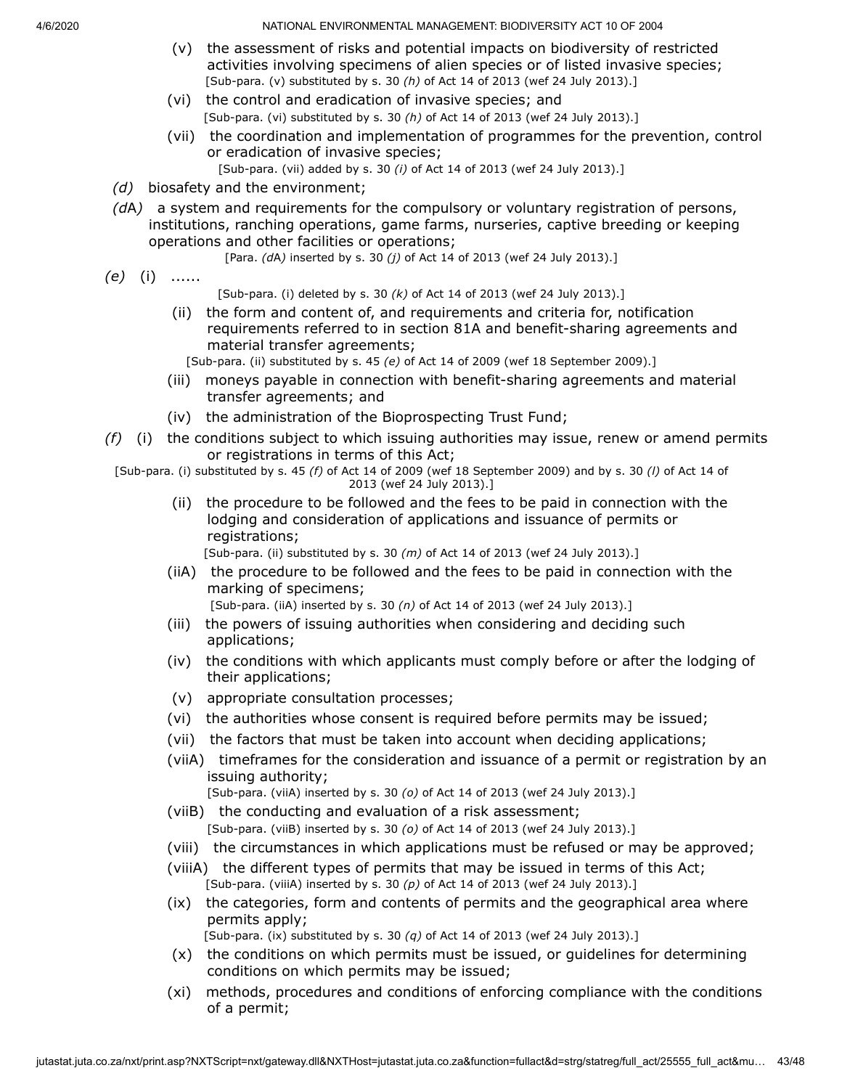- (v) the assessment of risks and potential impacts on biodiversity of restricted activities involving specimens of alien species or of listed invasive species; [Sub-para. (v) substituted by s. 30 *(h)* of Act 14 of 2013 (wef 24 July 2013).]
- (vi) the control and eradication of invasive species; and [Sub-para. (vi) substituted by s. 30 *(h)* of Act 14 of 2013 (wef 24 July 2013).]
- (vii) the coordination and implementation of programmes for the prevention, control or eradication of invasive species;
	- [Sub-para. (vii) added by s. 30 *(i)* of Act 14 of 2013 (wef 24 July 2013).]
- *(d)* biosafety and the environment;
- *(d*A*)* a system and requirements for the compulsory or voluntary registration of persons, institutions, ranching operations, game farms, nurseries, captive breeding or keeping operations and other facilities or operations;
	- [Para. *(d*A*)* inserted by s. 30 *(j)* of Act 14 of 2013 (wef 24 July 2013).]
- *(e)* (i) ......
- [Sub-para. (i) deleted by s. 30 *(k)* of Act 14 of 2013 (wef 24 July 2013).]
- (ii) the form and content of, and requirements and criteria for, notification requirements referred to in section 81A and benefit-sharing agreements and material transfer agreements;

[Sub-para. (ii) substituted by s. 45 *(e)* of Act 14 of 2009 (wef 18 September 2009).]

- (iii) moneys payable in connection with benefit-sharing agreements and material transfer agreements; and
- (iv) the administration of the Bioprospecting Trust Fund;
- *(f)* (i) the conditions subject to which issuing authorities may issue, renew or amend permits or registrations in terms of this Act;
	- [Sub-para. (i) substituted by s. 45 *(f)* of Act 14 of 2009 (wef 18 September 2009) and by s. 30 *(l)* of Act 14 of 2013 (wef 24 July 2013).]
		- (ii) the procedure to be followed and the fees to be paid in connection with the lodging and consideration of applications and issuance of permits or registrations;

[Sub-para. (ii) substituted by s. 30 *(m)* of Act 14 of 2013 (wef 24 July 2013).]

- (iiA) the procedure to be followed and the fees to be paid in connection with the marking of specimens;
	- [Sub-para. (iiA) inserted by s. 30 *(n)* of Act 14 of 2013 (wef 24 July 2013).]
- (iii) the powers of issuing authorities when considering and deciding such applications;
- (iv) the conditions with which applicants must comply before or after the lodging of their applications;
- (v) appropriate consultation processes;
- (vi) the authorities whose consent is required before permits may be issued;
- (vii) the factors that must be taken into account when deciding applications;
- (viiA) timeframes for the consideration and issuance of a permit or registration by an issuing authority;
	- [Sub-para. (viiA) inserted by s. 30 *(o)* of Act 14 of 2013 (wef 24 July 2013).]
- (viiB) the conducting and evaluation of a risk assessment; [Sub-para. (viiB) inserted by s. 30 *(o)* of Act 14 of 2013 (wef 24 July 2013).]
- (viii) the circumstances in which applications must be refused or may be approved;
- (viiiA) the different types of permits that may be issued in terms of this Act; [Sub-para. (viiiA) inserted by s. 30 *(p)* of Act 14 of 2013 (wef 24 July 2013).]
- (ix) the categories, form and contents of permits and the geographical area where permits apply;

[Sub-para. (ix) substituted by s. 30 *(q)* of Act 14 of 2013 (wef 24 July 2013).]

- (x) the conditions on which permits must be issued, or guidelines for determining conditions on which permits may be issued;
- (xi) methods, procedures and conditions of enforcing compliance with the conditions of a permit;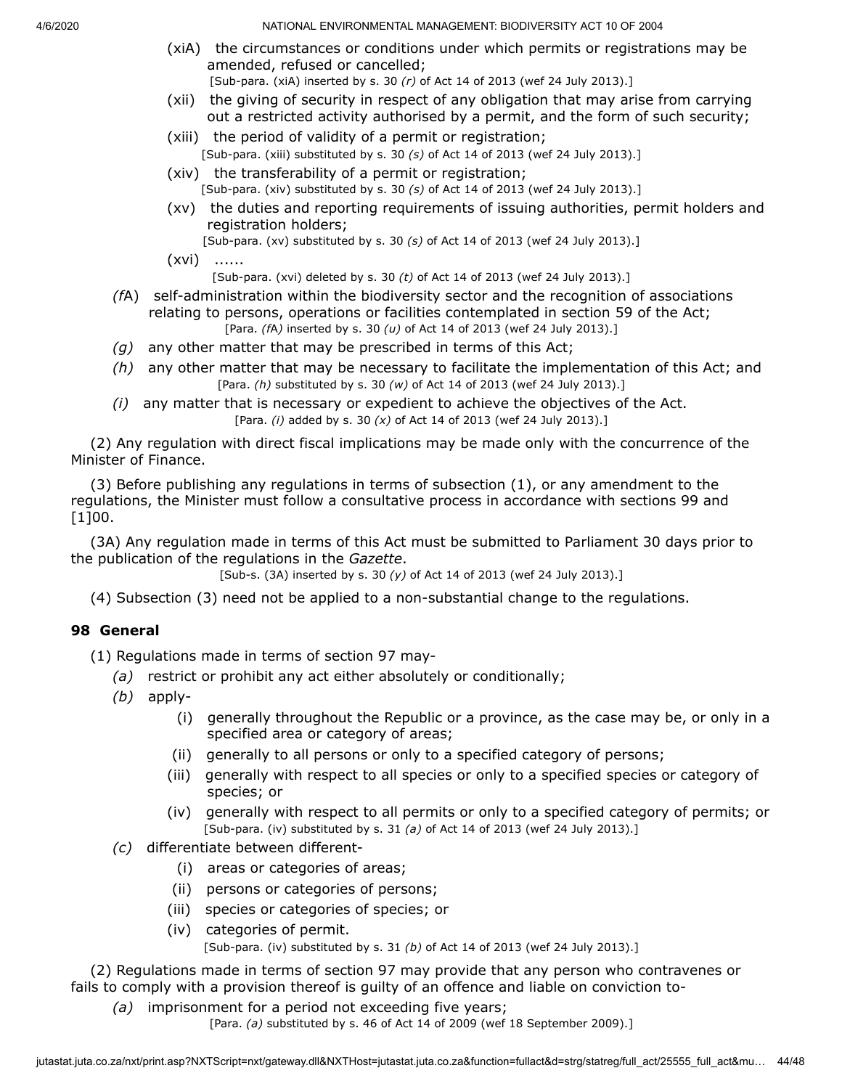- (xiA) the circumstances or conditions under which permits or registrations may be amended, refused or cancelled; [Sub-para. (xiA) inserted by s. 30 *(r)* of Act 14 of 2013 (wef 24 July 2013).]
- (xii) the giving of security in respect of any obligation that may arise from carrying out a restricted activity authorised by a permit, and the form of such security;
- (xiii) the period of validity of a permit or registration; [Sub-para. (xiii) substituted by s. 30 *(s)* of Act 14 of 2013 (wef 24 July 2013).]
- (xiv) the transferability of a permit or registration; [Sub-para. (xiv) substituted by s. 30 *(s)* of Act 14 of 2013 (wef 24 July 2013).]
- (xv) the duties and reporting requirements of issuing authorities, permit holders and registration holders;
	- [Sub-para. (xv) substituted by s. 30 *(s)* of Act 14 of 2013 (wef 24 July 2013).]
- $(xvi)$  ......

[Sub-para. (xvi) deleted by s. 30 *(t)* of Act 14 of 2013 (wef 24 July 2013).]

- *(f*A) self-administration within the biodiversity sector and the recognition of associations relating to persons, operations or facilities contemplated in section 59 of the Act; [Para. *(f*A*)* inserted by s. 30 *(u)* of Act 14 of 2013 (wef 24 July 2013).]
- *(g)* any other matter that may be prescribed in terms of this Act;
- *(h)* any other matter that may be necessary to facilitate the implementation of this Act; and [Para. *(h)* substituted by s. 30 *(w)* of Act 14 of 2013 (wef 24 July 2013).]
- *(i)* any matter that is necessary or expedient to achieve the objectives of the Act. [Para. *(i)* added by s. 30 *(x)* of Act 14 of 2013 (wef 24 July 2013).]

(2) Any regulation with direct fiscal implications may be made only with the concurrence of the Minister of Finance.

(3) Before publishing any regulations in terms of subsection (1), or any amendment to the regulations, the Minister must follow a consultative process in accordance with sections 99 and [1]00.

(3A) Any regulation made in terms of this Act must be submitted to Parliament 30 days prior to the publication of the regulations in the *Gazette*.

[Sub-s. (3A) inserted by s. 30 *(y)* of Act 14 of 2013 (wef 24 July 2013).]

(4) Subsection (3) need not be applied to a non-substantial change to the regulations.

# **98 General**

(1) Regulations made in terms of section 97 may-

- *(a)* restrict or prohibit any act either absolutely or conditionally;
- *(b)* apply-
	- (i) generally throughout the Republic or a province, as the case may be, or only in a specified area or category of areas;
	- (ii) generally to all persons or only to a specified category of persons;
	- (iii) generally with respect to all species or only to a specified species or category of species; or
	- (iv) generally with respect to all permits or only to a specified category of permits; or [Sub-para. (iv) substituted by s. 31 *(a)* of Act 14 of 2013 (wef 24 July 2013).]
- *(c)* differentiate between different-
	- (i) areas or categories of areas;
	- (ii) persons or categories of persons;
	- (iii) species or categories of species; or
	- (iv) categories of permit. [Sub-para. (iv) substituted by s. 31 *(b)* of Act 14 of 2013 (wef 24 July 2013).]

(2) Regulations made in terms of section 97 may provide that any person who contravenes or fails to comply with a provision thereof is guilty of an offence and liable on conviction to-

*(a)* imprisonment for a period not exceeding five years;

[Para. *(a)* substituted by s. 46 of Act 14 of 2009 (wef 18 September 2009).]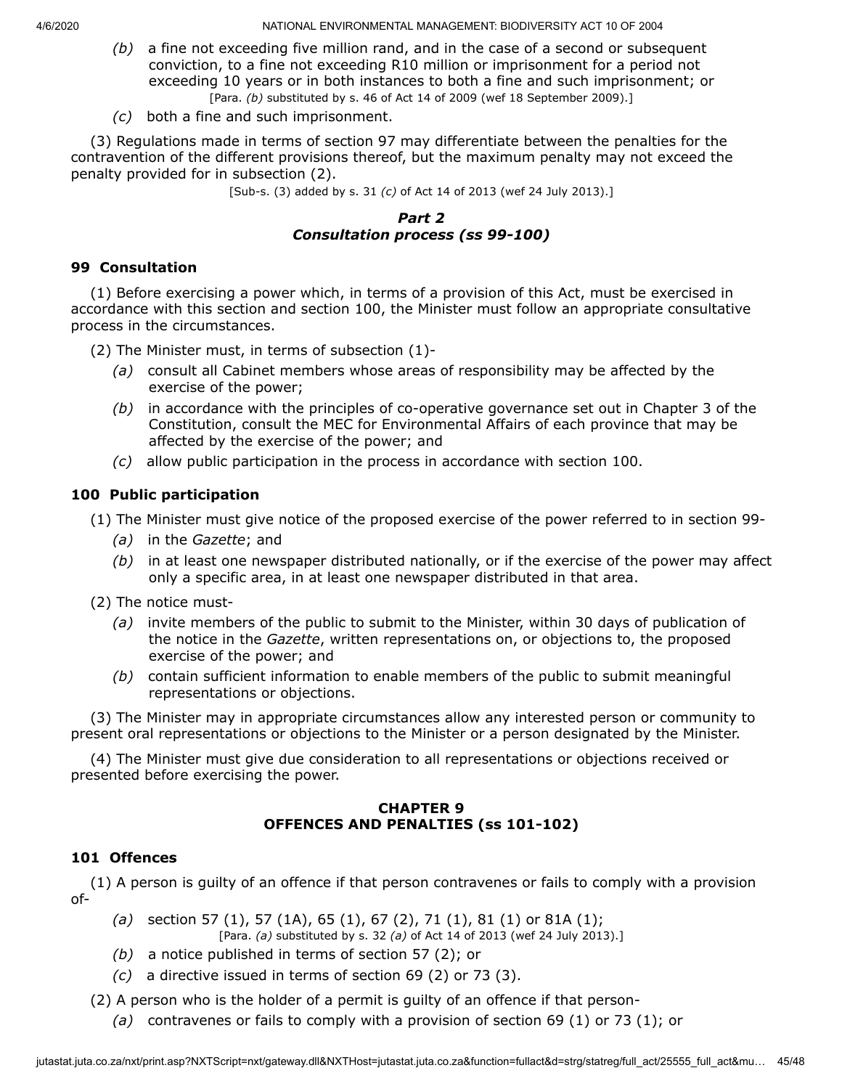- *(b)* a fine not exceeding five million rand, and in the case of a second or subsequent conviction, to a fine not exceeding R10 million or imprisonment for a period not exceeding 10 years or in both instances to both a fine and such imprisonment; or [Para. *(b)* substituted by s. 46 of Act 14 of 2009 (wef 18 September 2009).]
- *(c)* both a fine and such imprisonment.

(3) Regulations made in terms of section 97 may differentiate between the penalties for the contravention of the different provisions thereof, but the maximum penalty may not exceed the penalty provided for in subsection (2).

[Sub-s. (3) added by s. 31 *(c)* of Act 14 of 2013 (wef 24 July 2013).]

# *Part 2 Consultation process (ss 99-100)*

### **99 Consultation**

(1) Before exercising a power which, in terms of a provision of this Act, must be exercised in accordance with this section and section 100, the Minister must follow an appropriate consultative process in the circumstances.

- (2) The Minister must, in terms of subsection (1)-
	- *(a)* consult all Cabinet members whose areas of responsibility may be affected by the exercise of the power;
	- *(b)* in accordance with the principles of co-operative governance set out in Chapter 3 of the Constitution, consult the MEC for Environmental Affairs of each province that may be affected by the exercise of the power; and
	- *(c)* allow public participation in the process in accordance with section 100.

# **100 Public participation**

(1) The Minister must give notice of the proposed exercise of the power referred to in section 99-

- *(a)* in the *Gazette*; and
- *(b)* in at least one newspaper distributed nationally, or if the exercise of the power may affect only a specific area, in at least one newspaper distributed in that area.

(2) The notice must-

- *(a)* invite members of the public to submit to the Minister, within 30 days of publication of the notice in the *Gazette*, written representations on, or objections to, the proposed exercise of the power; and
- *(b)* contain sufficient information to enable members of the public to submit meaningful representations or objections.

(3) The Minister may in appropriate circumstances allow any interested person or community to present oral representations or objections to the Minister or a person designated by the Minister.

(4) The Minister must give due consideration to all representations or objections received or presented before exercising the power.

#### **CHAPTER 9 OFFENCES AND PENALTIES (ss 101-102)**

### **101 Offences**

(1) A person is guilty of an offence if that person contravenes or fails to comply with a provision of-

*(a)* section 57 (1), 57 (1A), 65 (1), 67 (2), 71 (1), 81 (1) or 81A (1);

[Para. *(a)* substituted by s. 32 *(a)* of Act 14 of 2013 (wef 24 July 2013).]

- *(b)* a notice published in terms of section 57 (2); or
- *(c)* a directive issued in terms of section 69 (2) or 73 (3).

(2) A person who is the holder of a permit is guilty of an offence if that person-

*(a)* contravenes or fails to comply with a provision of section 69 (1) or 73 (1); or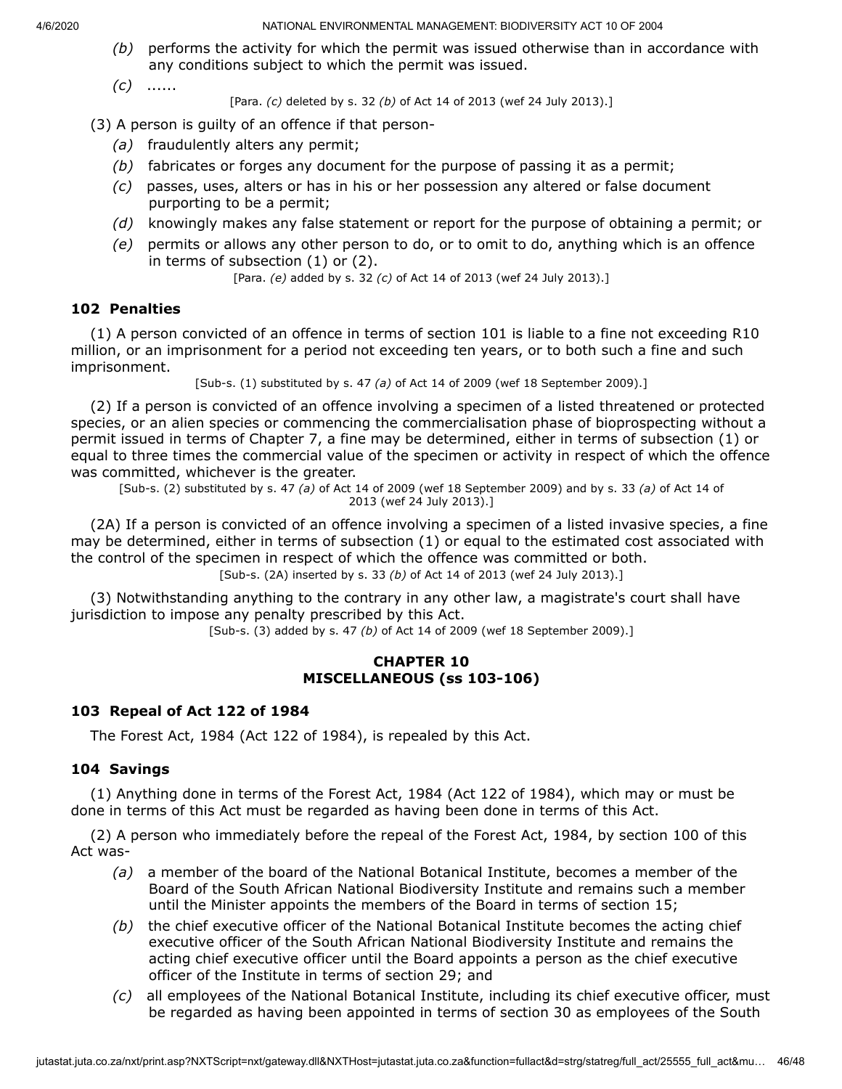- *(b)* performs the activity for which the permit was issued otherwise than in accordance with any conditions subject to which the permit was issued.
- *(c)* ......

[Para. *(c)* deleted by s. 32 *(b)* of Act 14 of 2013 (wef 24 July 2013).]

(3) A person is guilty of an offence if that person-

- *(a)* fraudulently alters any permit;
- *(b)* fabricates or forges any document for the purpose of passing it as a permit;
- *(c)* passes, uses, alters or has in his or her possession any altered or false document purporting to be a permit;
- *(d)* knowingly makes any false statement or report for the purpose of obtaining a permit; or
- *(e)* permits or allows any other person to do, or to omit to do, anything which is an offence in terms of subsection (1) or (2).

[Para. *(e)* added by s. 32 *(c)* of Act 14 of 2013 (wef 24 July 2013).]

# **102 Penalties**

(1) A person convicted of an offence in terms of section 101 is liable to a fine not exceeding R10 million, or an imprisonment for a period not exceeding ten years, or to both such a fine and such imprisonment.

[Sub-s. (1) substituted by s. 47 *(a)* of Act 14 of 2009 (wef 18 September 2009).]

(2) If a person is convicted of an offence involving a specimen of a listed threatened or protected species, or an alien species or commencing the commercialisation phase of bioprospecting without a permit issued in terms of Chapter 7, a fine may be determined, either in terms of subsection (1) or equal to three times the commercial value of the specimen or activity in respect of which the offence was committed, whichever is the greater.

[Sub-s. (2) substituted by s. 47 *(a)* of Act 14 of 2009 (wef 18 September 2009) and by s. 33 *(a)* of Act 14 of 2013 (wef 24 July 2013).]

(2A) If a person is convicted of an offence involving a specimen of a listed invasive species, a fine may be determined, either in terms of subsection (1) or equal to the estimated cost associated with the control of the specimen in respect of which the offence was committed or both.

[Sub-s. (2A) inserted by s. 33 *(b)* of Act 14 of 2013 (wef 24 July 2013).]

(3) Notwithstanding anything to the contrary in any other law, a magistrate's court shall have jurisdiction to impose any penalty prescribed by this Act.

[Sub-s. (3) added by s. 47 *(b)* of Act 14 of 2009 (wef 18 September 2009).]

#### **CHAPTER 10 MISCELLANEOUS (ss 103-106)**

#### **103 Repeal of Act 122 of 1984**

The Forest Act, 1984 (Act 122 of 1984), is repealed by this Act.

### **104 Savings**

(1) Anything done in terms of the Forest Act, 1984 (Act 122 of 1984), which may or must be done in terms of this Act must be regarded as having been done in terms of this Act.

(2) A person who immediately before the repeal of the Forest Act, 1984, by section 100 of this Act was-

- *(a)* a member of the board of the National Botanical Institute, becomes a member of the Board of the South African National Biodiversity Institute and remains such a member until the Minister appoints the members of the Board in terms of section 15;
- *(b)* the chief executive officer of the National Botanical Institute becomes the acting chief executive officer of the South African National Biodiversity Institute and remains the acting chief executive officer until the Board appoints a person as the chief executive officer of the Institute in terms of section 29; and
- *(c)* all employees of the National Botanical Institute, including its chief executive officer, must be regarded as having been appointed in terms of section 30 as employees of the South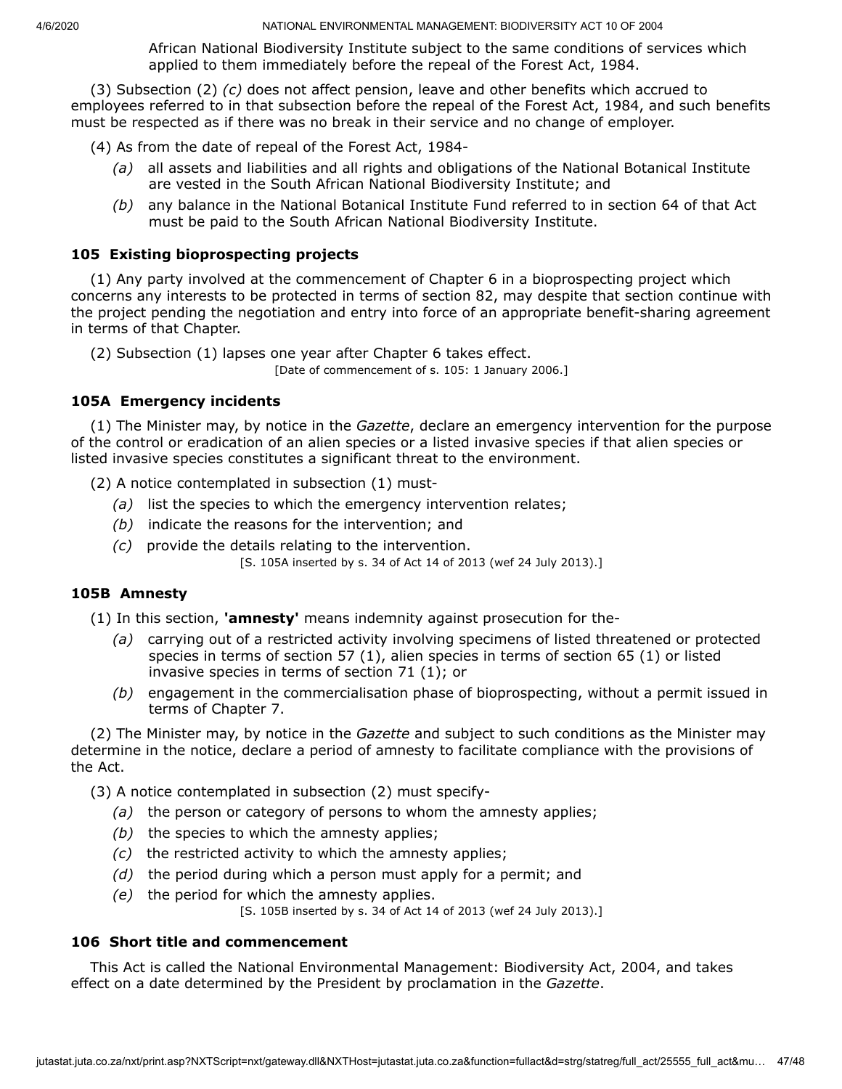African National Biodiversity Institute subject to the same conditions of services which applied to them immediately before the repeal of the Forest Act, 1984.

(3) Subsection (2) *(c)* does not affect pension, leave and other benefits which accrued to employees referred to in that subsection before the repeal of the Forest Act, 1984, and such benefits must be respected as if there was no break in their service and no change of employer.

(4) As from the date of repeal of the Forest Act, 1984-

- *(a)* all assets and liabilities and all rights and obligations of the National Botanical Institute are vested in the South African National Biodiversity Institute; and
- *(b)* any balance in the National Botanical Institute Fund referred to in section 64 of that Act must be paid to the South African National Biodiversity Institute.

### **105 Existing bioprospecting projects**

(1) Any party involved at the commencement of Chapter 6 in a bioprospecting project which concerns any interests to be protected in terms of section 82, may despite that section continue with the project pending the negotiation and entry into force of an appropriate benefit-sharing agreement in terms of that Chapter.

(2) Subsection (1) lapses one year after Chapter 6 takes effect.

[Date of commencement of s. 105: 1 January 2006.]

# **105A Emergency incidents**

(1) The Minister may, by notice in the *Gazette*, declare an emergency intervention for the purpose of the control or eradication of an alien species or a listed invasive species if that alien species or listed invasive species constitutes a significant threat to the environment.

(2) A notice contemplated in subsection (1) must-

- *(a)* list the species to which the emergency intervention relates;
- *(b)* indicate the reasons for the intervention; and
- *(c)* provide the details relating to the intervention.

[S. 105A inserted by s. 34 of Act 14 of 2013 (wef 24 July 2013).]

### **105B Amnesty**

(1) In this section, **'amnesty'** means indemnity against prosecution for the-

- *(a)* carrying out of a restricted activity involving specimens of listed threatened or protected species in terms of section 57 (1), alien species in terms of section 65 (1) or listed invasive species in terms of section 71 (1); or
- *(b)* engagement in the commercialisation phase of bioprospecting, without a permit issued in terms of Chapter 7.

(2) The Minister may, by notice in the *Gazette* and subject to such conditions as the Minister may determine in the notice, declare a period of amnesty to facilitate compliance with the provisions of the Act.

(3) A notice contemplated in subsection (2) must specify-

- *(a)* the person or category of persons to whom the amnesty applies;
- *(b)* the species to which the amnesty applies;
- *(c)* the restricted activity to which the amnesty applies;
- *(d)* the period during which a person must apply for a permit; and
- *(e)* the period for which the amnesty applies.

[S. 105B inserted by s. 34 of Act 14 of 2013 (wef 24 July 2013).]

### **106 Short title and commencement**

This Act is called the National Environmental Management: Biodiversity Act, 2004, and takes effect on a date determined by the President by proclamation in the *Gazette*.